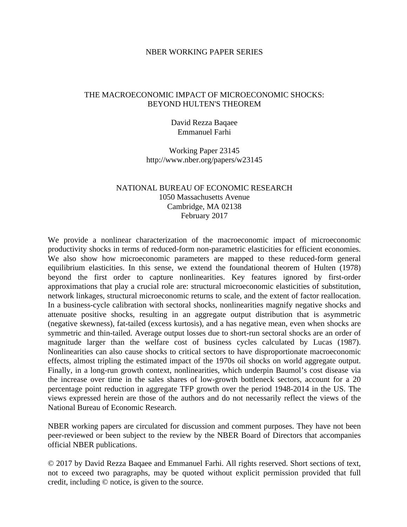#### NBER WORKING PAPER SERIES

## THE MACROECONOMIC IMPACT OF MICROECONOMIC SHOCKS: BEYOND HULTEN'S THEOREM

### David Rezza Baqaee Emmanuel Farhi

### Working Paper 23145 http://www.nber.org/papers/w23145

## NATIONAL BUREAU OF ECONOMIC RESEARCH 1050 Massachusetts Avenue Cambridge, MA 02138 February 2017

We provide a nonlinear characterization of the macroeconomic impact of microeconomic productivity shocks in terms of reduced-form non-parametric elasticities for efficient economies. We also show how microeconomic parameters are mapped to these reduced-form general equilibrium elasticities. In this sense, we extend the foundational theorem of Hulten (1978) beyond the first order to capture nonlinearities. Key features ignored by first-order approximations that play a crucial role are: structural microeconomic elasticities of substitution, network linkages, structural microeconomic returns to scale, and the extent of factor reallocation. In a business-cycle calibration with sectoral shocks, nonlinearities magnify negative shocks and attenuate positive shocks, resulting in an aggregate output distribution that is asymmetric (negative skewness), fat-tailed (excess kurtosis), and a has negative mean, even when shocks are symmetric and thin-tailed. Average output losses due to short-run sectoral shocks are an order of magnitude larger than the welfare cost of business cycles calculated by Lucas (1987). Nonlinearities can also cause shocks to critical sectors to have disproportionate macroeconomic effects, almost tripling the estimated impact of the 1970s oil shocks on world aggregate output. Finally, in a long-run growth context, nonlinearities, which underpin Baumol's cost disease via the increase over time in the sales shares of low-growth bottleneck sectors, account for a 20 percentage point reduction in aggregate TFP growth over the period 1948-2014 in the US. The views expressed herein are those of the authors and do not necessarily reflect the views of the National Bureau of Economic Research.

NBER working papers are circulated for discussion and comment purposes. They have not been peer-reviewed or been subject to the review by the NBER Board of Directors that accompanies official NBER publications.

© 2017 by David Rezza Baqaee and Emmanuel Farhi. All rights reserved. Short sections of text, not to exceed two paragraphs, may be quoted without explicit permission provided that full credit, including © notice, is given to the source.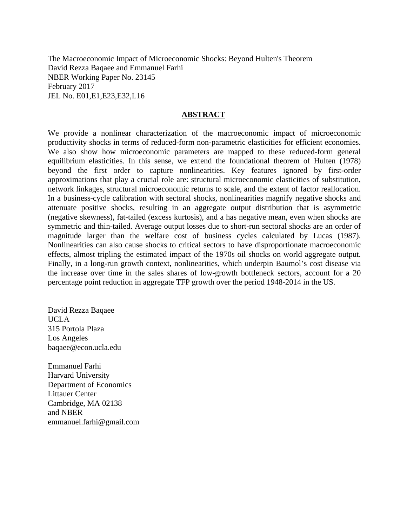The Macroeconomic Impact of Microeconomic Shocks: Beyond Hulten's Theorem David Rezza Baqaee and Emmanuel Farhi NBER Working Paper No. 23145 February 2017 JEL No. E01,E1,E23,E32,L16

### **ABSTRACT**

We provide a nonlinear characterization of the macroeconomic impact of microeconomic productivity shocks in terms of reduced-form non-parametric elasticities for efficient economies. We also show how microeconomic parameters are mapped to these reduced-form general equilibrium elasticities. In this sense, we extend the foundational theorem of Hulten (1978) beyond the first order to capture nonlinearities. Key features ignored by first-order approximations that play a crucial role are: structural microeconomic elasticities of substitution, network linkages, structural microeconomic returns to scale, and the extent of factor reallocation. In a business-cycle calibration with sectoral shocks, nonlinearities magnify negative shocks and attenuate positive shocks, resulting in an aggregate output distribution that is asymmetric (negative skewness), fat-tailed (excess kurtosis), and a has negative mean, even when shocks are symmetric and thin-tailed. Average output losses due to short-run sectoral shocks are an order of magnitude larger than the welfare cost of business cycles calculated by Lucas (1987). Nonlinearities can also cause shocks to critical sectors to have disproportionate macroeconomic effects, almost tripling the estimated impact of the 1970s oil shocks on world aggregate output. Finally, in a long-run growth context, nonlinearities, which underpin Baumol's cost disease via the increase over time in the sales shares of low-growth bottleneck sectors, account for a 20 percentage point reduction in aggregate TFP growth over the period 1948-2014 in the US.

David Rezza Baqaee UCLA 315 Portola Plaza Los Angeles baqaee@econ.ucla.edu

Emmanuel Farhi Harvard University Department of Economics Littauer Center Cambridge, MA 02138 and NBER emmanuel.farhi@gmail.com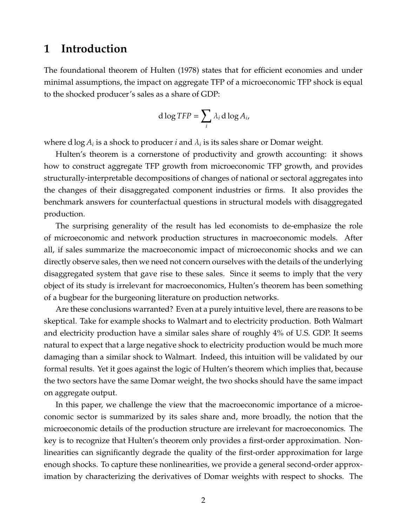# **1 Introduction**

The foundational theorem of [Hulten](#page-50-0) [\(1978\)](#page-50-0) states that for efficient economies and under minimal assumptions, the impact on aggregate TFP of a microeconomic TFP shock is equal to the shocked producer's sales as a share of GDP:

$$
d \log TFP = \sum_{i} \lambda_i \, d \log A_i,
$$

where d  $\log A_i$  is a shock to producer  $i$  and  $\lambda_i$  is its sales share or Domar weight.

Hulten's theorem is a cornerstone of productivity and growth accounting: it shows how to construct aggregate TFP growth from microeconomic TFP growth, and provides structurally-interpretable decompositions of changes of national or sectoral aggregates into the changes of their disaggregated component industries or firms. It also provides the benchmark answers for counterfactual questions in structural models with disaggregated production.

The surprising generality of the result has led economists to de-emphasize the role of microeconomic and network production structures in macroeconomic models. After all, if sales summarize the macroeconomic impact of microeconomic shocks and we can directly observe sales, then we need not concern ourselves with the details of the underlying disaggregated system that gave rise to these sales. Since it seems to imply that the very object of its study is irrelevant for macroeconomics, Hulten's theorem has been something of a bugbear for the burgeoning literature on production networks.

Are these conclusions warranted? Even at a purely intuitive level, there are reasons to be skeptical. Take for example shocks to Walmart and to electricity production. Both Walmart and electricity production have a similar sales share of roughly 4% of U.S. GDP. It seems natural to expect that a large negative shock to electricity production would be much more damaging than a similar shock to Walmart. Indeed, this intuition will be validated by our formal results. Yet it goes against the logic of Hulten's theorem which implies that, because the two sectors have the same Domar weight, the two shocks should have the same impact on aggregate output.

In this paper, we challenge the view that the macroeconomic importance of a microeconomic sector is summarized by its sales share and, more broadly, the notion that the microeconomic details of the production structure are irrelevant for macroeconomics. The key is to recognize that Hulten's theorem only provides a first-order approximation. Nonlinearities can significantly degrade the quality of the first-order approximation for large enough shocks. To capture these nonlinearities, we provide a general second-order approximation by characterizing the derivatives of Domar weights with respect to shocks. The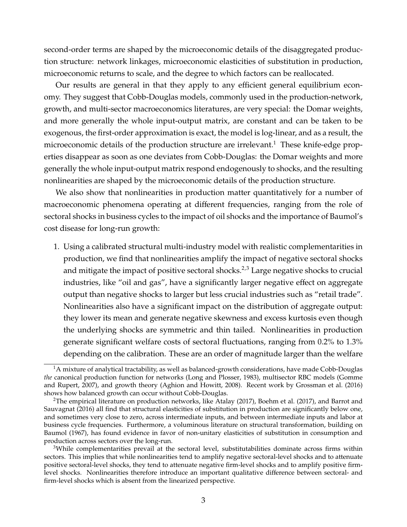second-order terms are shaped by the microeconomic details of the disaggregated production structure: network linkages, microeconomic elasticities of substitution in production, microeconomic returns to scale, and the degree to which factors can be reallocated.

Our results are general in that they apply to any efficient general equilibrium economy. They suggest that Cobb-Douglas models, commonly used in the production-network, growth, and multi-sector macroeconomics literatures, are very special: the Domar weights, and more generally the whole input-output matrix, are constant and can be taken to be exogenous, the first-order approximation is exact, the model is log-linear, and as a result, the microeconomic details of the production structure are irrelevant.<sup>[1](#page--1-0)</sup> These knife-edge properties disappear as soon as one deviates from Cobb-Douglas: the Domar weights and more generally the whole input-output matrix respond endogenously to shocks, and the resulting nonlinearities are shaped by the microeconomic details of the production structure.

We also show that nonlinearities in production matter quantitatively for a number of macroeconomic phenomena operating at different frequencies, ranging from the role of sectoral shocks in business cycles to the impact of oil shocks and the importance of Baumol's cost disease for long-run growth:

1. Using a calibrated structural multi-industry model with realistic complementarities in production, we find that nonlinearities amplify the impact of negative sectoral shocks and mitigate the impact of positive sectoral shocks.<sup>[2](#page--1-0),[3](#page--1-0)</sup> Large negative shocks to crucial industries, like "oil and gas", have a significantly larger negative effect on aggregate output than negative shocks to larger but less crucial industries such as "retail trade". Nonlinearities also have a significant impact on the distribution of aggregate output: they lower its mean and generate negative skewness and excess kurtosis even though the underlying shocks are symmetric and thin tailed. Nonlinearities in production generate significant welfare costs of sectoral fluctuations, ranging from 0.2% to 1.3% depending on the calibration. These are an order of magnitude larger than the welfare

 $1A$  mixture of analytical tractability, as well as balanced-growth considerations, have made Cobb-Douglas *the* canonical production function for networks [\(Long and Plosser, 1983\)](#page-50-1), multisector RBC models [\(Gomme](#page-49-0) [and Rupert, 2007\)](#page-49-0), and growth theory [\(Aghion and Howitt, 2008\)](#page-48-0). Recent work by [Grossman et al.](#page-49-1) [\(2016\)](#page-49-1) shows how balanced growth can occur without Cobb-Douglas.

<sup>&</sup>lt;sup>2</sup>The empirical literature on production networks, like [Atalay](#page-48-1) [\(2017\)](#page-49-2), [Boehm et al.](#page-49-2) (2017), and [Barrot and](#page-49-3) [Sauvagnat](#page-49-3) [\(2016\)](#page-49-3) all find that structural elasticities of substitution in production are significantly below one, and sometimes very close to zero, across intermediate inputs, and between intermediate inputs and labor at business cycle frequencies. Furthermore, a voluminous literature on structural transformation, building on [Baumol](#page-49-4) [\(1967\)](#page-49-4), has found evidence in favor of non-unitary elasticities of substitution in consumption and production across sectors over the long-run.

<sup>&</sup>lt;sup>3</sup>While complementarities prevail at the sectoral level, substitutabilities dominate across firms within sectors. This implies that while nonlinearities tend to amplify negative sectoral-level shocks and to attenuate positive sectoral-level shocks, they tend to attenuate negative firm-level shocks and to amplify positive firmlevel shocks. Nonlinearities therefore introduce an important qualitative difference between sectoral- and firm-level shocks which is absent from the linearized perspective.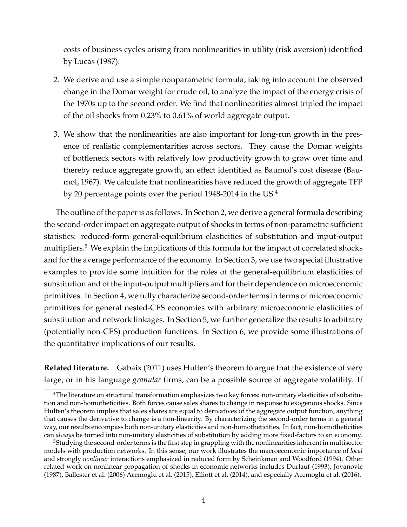costs of business cycles arising from nonlinearities in utility (risk aversion) identified by [Lucas](#page-50-2) [\(1987\)](#page-50-2).

- 2. We derive and use a simple nonparametric formula, taking into account the observed change in the Domar weight for crude oil, to analyze the impact of the energy crisis of the 1970s up to the second order. We find that nonlinearities almost tripled the impact of the oil shocks from 0.23% to 0.61% of world aggregate output.
- 3. We show that the nonlinearities are also important for long-run growth in the presence of realistic complementarities across sectors. They cause the Domar weights of bottleneck sectors with relatively low productivity growth to grow over time and thereby reduce aggregate growth, an effect identified as Baumol's cost disease [\(Bau](#page-49-4)[mol, 1967\)](#page-49-4). We calculate that nonlinearities have reduced the growth of aggregate TFP by 20 percentage points over the period 19[4](#page--1-0)8-2014 in the US.<sup>4</sup>

The outline of the paper is as follows. In Section [2,](#page-6-0) we derive a general formula describing the second-order impact on aggregate output of shocks in terms of non-parametric sufficient statistics: reduced-form general-equilibrium elasticities of substitution and input-output multipliers.<sup>[5](#page--1-0)</sup> We explain the implications of this formula for the impact of correlated shocks and for the average performance of the economy. In Section [3,](#page-15-0) we use two special illustrative examples to provide some intuition for the roles of the general-equilibrium elasticities of substitution and of the input-output multipliers and for their dependence on microeconomic primitives. In Section [4,](#page-22-0) we fully characterize second-order terms in terms of microeconomic primitives for general nested-CES economies with arbitrary microeconomic elasticities of substitution and network linkages. In Section [5,](#page-34-0) we further generalize the results to arbitrary (potentially non-CES) production functions. In Section [6,](#page-35-0) we provide some illustrations of the quantitative implications of our results.

**Related literature.** [Gabaix](#page-49-5) [\(2011\)](#page-49-5) uses Hulten's theorem to argue that the existence of very large, or in his language *granular* firms, can be a possible source of aggregate volatility. If

<sup>&</sup>lt;sup>4</sup>The literature on structural transformation emphasizes two key forces: non-unitary elasticities of substitution and non-homotheticities. Both forces cause sales shares to change in response to exogenous shocks. Since Hulten's theorem implies that sales shares are equal to derivatives of the aggregate output function, anything that causes the derivative to change is a non-linearity. By characterizing the second-order terms in a general way, our results encompass both non-unitary elasticities and non-homotheticities. In fact, non-homotheticities can *always* be turned into non-unitary elasticities of substitution by adding more fixed-factors to an economy.

<sup>&</sup>lt;sup>5</sup>Studying the second-order terms is the first step in grappling with the nonlinearities inherent in multisector models with production networks. In this sense, our work illustrates the macroeconomic importance of *local* and strongly *nonlinear* interactions emphasized in reduced form by [Scheinkman and Woodford](#page-50-3) [\(1994\)](#page-50-3). Other related work on nonlinear propagation of shocks in economic networks includes [Durlauf](#page-49-6) [\(1993\)](#page-49-6), [Jovanovic](#page-50-4) [\(1987\)](#page-50-4), [Ballester et al.](#page-48-2) [\(2006\)](#page-48-2) [Acemoglu et al.](#page-48-3) [\(2015\)](#page-48-3), [Elliott et al.](#page-49-7) [\(2014\)](#page-49-7), and especially [Acemoglu et al.](#page-48-4) [\(2016\)](#page-48-4).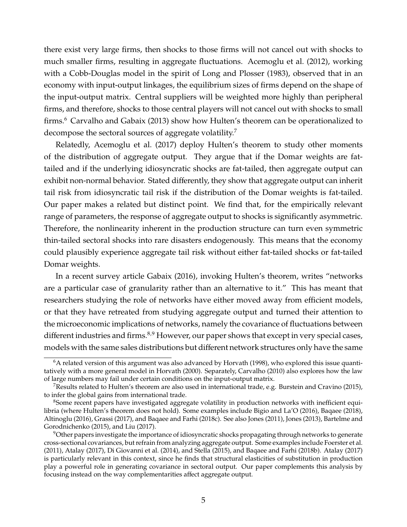there exist very large firms, then shocks to those firms will not cancel out with shocks to much smaller firms, resulting in aggregate fluctuations. [Acemoglu et al.](#page-48-5) [\(2012\)](#page-48-5), working with a Cobb-Douglas model in the spirit of [Long and Plosser](#page-50-1) [\(1983\)](#page-50-1), observed that in an economy with input-output linkages, the equilibrium sizes of firms depend on the shape of the input-output matrix. Central suppliers will be weighted more highly than peripheral firms, and therefore, shocks to those central players will not cancel out with shocks to small firms.<sup>[6](#page--1-0)</sup> [Carvalho and Gabaix](#page-49-8) [\(2013\)](#page-49-8) show how Hulten's theorem can be operationalized to decompose the sectoral sources of aggregate volatility.[7](#page--1-0)

Relatedly, [Acemoglu et al.](#page-48-6) [\(2017\)](#page-48-6) deploy Hulten's theorem to study other moments of the distribution of aggregate output. They argue that if the Domar weights are fattailed and if the underlying idiosyncratic shocks are fat-tailed, then aggregate output can exhibit non-normal behavior. Stated differently, they show that aggregate output can inherit tail risk from idiosyncratic tail risk if the distribution of the Domar weights is fat-tailed. Our paper makes a related but distinct point. We find that, for the empirically relevant range of parameters, the response of aggregate output to shocks is significantly asymmetric. Therefore, the nonlinearity inherent in the production structure can turn even symmetric thin-tailed sectoral shocks into rare disasters endogenously. This means that the economy could plausibly experience aggregate tail risk without either fat-tailed shocks or fat-tailed Domar weights.

In a recent survey article [Gabaix](#page-49-9) [\(2016\)](#page-49-9), invoking Hulten's theorem, writes "networks are a particular case of granularity rather than an alternative to it." This has meant that researchers studying the role of networks have either moved away from efficient models, or that they have retreated from studying aggregate output and turned their attention to the microeconomic implications of networks, namely the covariance of fluctuations between different industries and firms.<sup>[8](#page--1-0),[9](#page--1-0)</sup> However, our paper shows that except in very special cases, models with the same sales distributions but different network structures only have the same

 $6A$  related version of this argument was also advanced by [Horvath](#page-50-5) [\(1998\)](#page-50-5), who explored this issue quantitatively with a more general model in [Horvath](#page-50-6) [\(2000\)](#page-50-6). Separately, [Carvalho](#page-49-10) [\(2010\)](#page-49-10) also explores how the law of large numbers may fail under certain conditions on the input-output matrix.

<sup>&</sup>lt;sup>7</sup>Results related to Hulten's theorem are also used in international trade, e.g. [Burstein and Cravino](#page-49-11) [\(2015\)](#page-49-11), to infer the global gains from international trade.

<sup>&</sup>lt;sup>8</sup>Some recent papers have investigated aggregate volatility in production networks with inefficient equilibria (where Hulten's theorem does not hold). Some examples include [Bigio and La'O](#page-49-12) [\(2016\)](#page-49-12), [Baqaee](#page-48-7) [\(2018\)](#page-48-7), [Altinoglu](#page-48-8) [\(2016\)](#page-48-8), [Grassi](#page-49-13) [\(2017\)](#page-49-13), and [Baqaee and Farhi](#page-49-14) [\(2018c\)](#page-49-14). See also [Jones](#page-50-7) [\(2011\)](#page-50-7), [Jones](#page-50-8) [\(2013\)](#page-50-8), [Bartelme and](#page-49-15) [Gorodnichenko](#page-49-15) [\(2015\)](#page-49-15), and [Liu](#page-50-9) [\(2017\)](#page-50-9).

<sup>&</sup>lt;sup>9</sup>Other papers investigate the importance of idiosyncratic shocks propagating through networks to generate cross-sectional covariances, but refrain from analyzing aggregate output. Some examples include [Foerster et al.](#page-49-16) [\(2011\)](#page-49-16), [Atalay](#page-48-1) [\(2017\)](#page-48-1), [Di Giovanni et al.](#page-49-17) [\(2014\)](#page-49-17), and [Stella](#page-50-10) [\(2015\)](#page-50-10), and [Baqaee and Farhi](#page-49-18) [\(2018b\)](#page-49-18). [Atalay](#page-48-1) [\(2017\)](#page-48-1) is particularly relevant in this context, since he finds that structural elasticities of substitution in production play a powerful role in generating covariance in sectoral output. Our paper complements this analysis by focusing instead on the way complementarities affect aggregate output.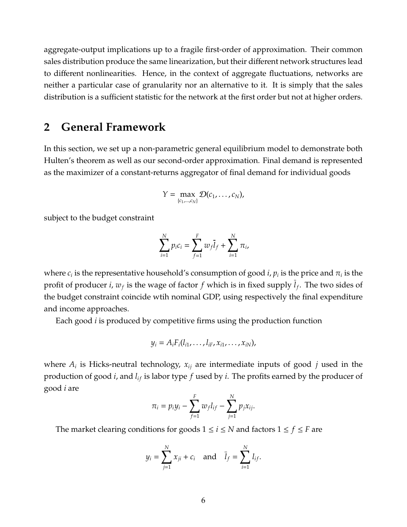aggregate-output implications up to a fragile first-order of approximation. Their common sales distribution produce the same linearization, but their different network structures lead to different nonlinearities. Hence, in the context of aggregate fluctuations, networks are neither a particular case of granularity nor an alternative to it. It is simply that the sales distribution is a sufficient statistic for the network at the first order but not at higher orders.

# <span id="page-6-0"></span>**2 General Framework**

In this section, we set up a non-parametric general equilibrium model to demonstrate both Hulten's theorem as well as our second-order approximation. Final demand is represented as the maximizer of a constant-returns aggregator of final demand for individual goods

$$
Y = \max_{\{c_1,\ldots,c_N\}} \mathcal{D}(c_1,\ldots,c_N),
$$

subject to the budget constraint

$$
\sum_{i=1}^{N} p_i c_i = \sum_{f=1}^{F} w_f \overline{l}_f + \sum_{i=1}^{N} \pi_i,
$$

where  $c_i$  is the representative household's consumption of good *i,*  $p_i$  is the price and  $\pi_i$  is the profit of producer *i*, *w<sup>f</sup>* is the wage of factor *f* which is in fixed supply *l<sup>f</sup>* . The two sides of the budget constraint coincide wtih nominal GDP, using respectively the final expenditure and income approaches.

Each good *i* is produced by competitive firms using the production function

$$
y_i = A_i F_i(l_{i1},\ldots,l_{iF},x_{i1},\ldots,x_{iN}),
$$

where *A<sup>i</sup>* is Hicks-neutral technology, *xij* are intermediate inputs of good *j* used in the production of good *i*, and  $l_{if}$  is labor type *f* used by *i*. The profits earned by the producer of good *i* are

$$
\pi_i = p_i y_i - \sum_{f=1}^F w_f l_{if} - \sum_{j=1}^N p_j x_{ij}.
$$

The market clearing conditions for goods  $1 \le i \le N$  and factors  $1 \le f \le F$  are

$$
y_i = \sum_{j=1}^{N} x_{ji} + c_i
$$
 and  $\bar{l}_f = \sum_{i=1}^{N} l_{if}$ .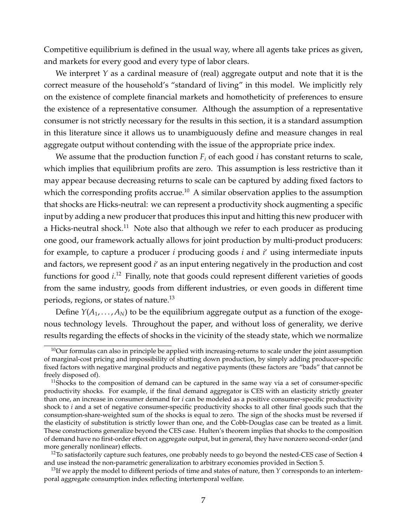Competitive equilibrium is defined in the usual way, where all agents take prices as given, and markets for every good and every type of labor clears.

We interpret *Y* as a cardinal measure of (real) aggregate output and note that it is the correct measure of the household's "standard of living" in this model. We implicitly rely on the existence of complete financial markets and homotheticity of preferences to ensure the existence of a representative consumer. Although the assumption of a representative consumer is not strictly necessary for the results in this section, it is a standard assumption in this literature since it allows us to unambiguously define and measure changes in real aggregate output without contending with the issue of the appropriate price index.

We assume that the production function  $F_i$  of each good *i* has constant returns to scale, which implies that equilibrium profits are zero. This assumption is less restrictive than it may appear because decreasing returns to scale can be captured by adding fixed factors to which the corresponding profits accrue.<sup>[10](#page--1-0)</sup> A similar observation applies to the assumption that shocks are Hicks-neutral: we can represent a productivity shock augmenting a specific input by adding a new producer that produces this input and hitting this new producer with a Hicks-neutral shock.<sup>[11](#page--1-0)</sup> Note also that although we refer to each producer as producing one good, our framework actually allows for joint production by multi-product producers: for example, to capture a producer *i* producing goods *i* and *i* <sup>0</sup> using intermediate inputs and factors, we represent good *i'* as an input entering negatively in the production and cost functions for good *i*. [12](#page--1-0) Finally, note that goods could represent different varieties of goods from the same industry, goods from different industries, or even goods in different time periods, regions, or states of nature.[13](#page--1-0)

Define  $Y(A_1, \ldots, A_N)$  to be the equilibrium aggregate output as a function of the exogenous technology levels. Throughout the paper, and without loss of generality, we derive results regarding the effects of shocks in the vicinity of the steady state, which we normalize

<sup>&</sup>lt;sup>10</sup>Our formulas can also in principle be applied with increasing-returns to scale under the joint assumption of marginal-cost pricing and impossibility of shutting down production, by simply adding producer-specific fixed factors with negative marginal products and negative payments (these factors are "bads" that cannot be freely disposed of).

 $11$ Shocks to the composition of demand can be captured in the same way via a set of consumer-specific productivity shocks. For example, if the final demand aggregator is CES with an elasticity strictly greater than one, an increase in consumer demand for *i* can be modeled as a positive consumer-specific productivity shock to *i* and a set of negative consumer-specific productivity shocks to all other final goods such that the consumption-share-weighted sum of the shocks is equal to zero. The sign of the shocks must be reversed if the elasticity of substitution is strictly lower than one, and the Cobb-Douglas case can be treated as a limit. These constructions generalize beyond the CES case. Hulten's theorem implies that shocks to the composition of demand have no first-order effect on aggregate output, but in general, they have nonzero second-order (and more generally nonlinear) effects.

 $12$ To satisfactorily capture such features, one probably needs to go beyond the nested-CES case of Section [4](#page-22-0) and use instead the non-parametric generalization to arbitrary economies provided in Section [5.](#page-34-0)

<sup>&</sup>lt;sup>13</sup>If we apply the model to different periods of time and states of nature, then *Y* corresponds to an intertemporal aggregate consumption index reflecting intertemporal welfare.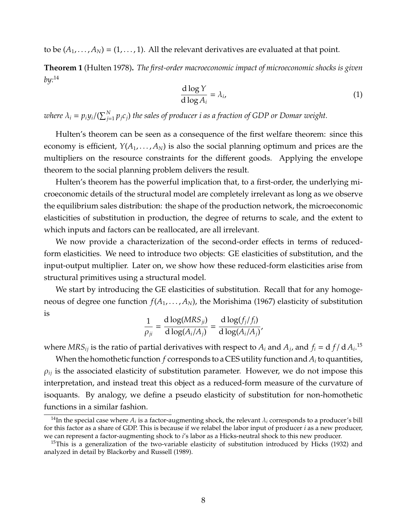to be  $(A_1, \ldots, A_N) = (1, \ldots, 1)$ . All the relevant derivatives are evaluated at that point.

**Theorem 1** [\(Hulten 1978\)](#page-50-0)**.** *The first-order macroeconomic impact of microeconomic shocks is given by:*[14](#page--1-0)

$$
\frac{\mathrm{d}\log Y}{\mathrm{d}\log A_i} = \lambda_i,\tag{1}
$$

where  $\lambda_i = p_i y_i/(\sum_{j=1}^N p_j c_j)$  the sales of producer  $i$  as a fraction of GDP or Domar weight.

Hulten's theorem can be seen as a consequence of the first welfare theorem: since this economy is efficient,  $Y(A_1, \ldots, A_N)$  is also the social planning optimum and prices are the multipliers on the resource constraints for the different goods. Applying the envelope theorem to the social planning problem delivers the result.

Hulten's theorem has the powerful implication that, to a first-order, the underlying microeconomic details of the structural model are completely irrelevant as long as we observe the equilibrium sales distribution: the shape of the production network, the microeconomic elasticities of substitution in production, the degree of returns to scale, and the extent to which inputs and factors can be reallocated, are all irrelevant.

We now provide a characterization of the second-order effects in terms of reducedform elasticities. We need to introduce two objects: GE elasticities of substitution, and the input-output multiplier. Later on, we show how these reduced-form elasticities arise from structural primitives using a structural model.

We start by introducing the GE elasticities of substitution. Recall that for any homogeneous of degree one function  $f(A_1, \ldots, A_N)$ , the [Morishima](#page-50-11) [\(1967\)](#page-50-11) elasticity of substitution is

$$
\frac{1}{\rho_{ji}} = \frac{\mathrm{d}\log(MRS_{ji})}{\mathrm{d}\log(A_i/A_j)} = \frac{\mathrm{d}\log(f_j/f_i)}{\mathrm{d}\log(A_i/A_j)}
$$

where  $MRS_{ij}$  is the ratio of partial derivatives with respect to  $A_i$  and  $A_j$ , and  $f_i = \mathrm{d} f / \mathrm{d} A_i$ .<sup>[15](#page--1-0)</sup>

When the homothetic function *f* corresponds to a CES utility function and *A<sup>i</sup>* to quantities,  $\rho_{ij}$  is the associated elasticity of substitution parameter. However, we do not impose this interpretation, and instead treat this object as a reduced-form measure of the curvature of isoquants. By analogy, we define a pseudo elasticity of substitution for non-homothetic functions in a similar fashion.

 $^{14}$ In the special case where  $A_i$  is a factor-augmenting shock, the relevant  $\lambda_i$  corresponds to a producer's bill for this factor as a share of GDP. This is because if we relabel the labor input of producer *i* as a new producer, we can represent a factor-augmenting shock to *i*'s labor as a Hicks-neutral shock to this new producer.

<sup>&</sup>lt;sup>15</sup>This is a generalization of the two-variable elasticity of substitution introduced by [Hicks](#page-50-12) [\(1932\)](#page-50-12) and analyzed in detail by [Blackorby and Russell](#page-49-19) [\(1989\)](#page-49-19).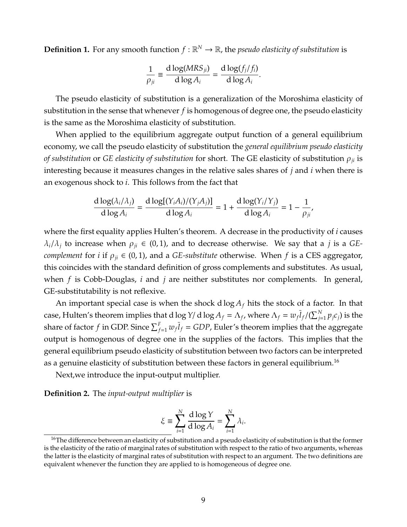**Definition 1.** For any smooth function  $f : \mathbb{R}^N \to \mathbb{R}$ , the *pseudo elasticity of substitution* is

$$
\frac{1}{\rho_{ji}} \equiv \frac{\mathrm{d}\log(MRS_{ji})}{\mathrm{d}\log A_i} = \frac{\mathrm{d}\log(f_j/f_i)}{\mathrm{d}\log A_i}.
$$

The pseudo elasticity of substitution is a generalization of the Moroshima elasticity of substitution in the sense that whenever *f* is homogenous of degree one, the pseudo elasticity is the same as the Moroshima elasticity of substitution.

When applied to the equilibrium aggregate output function of a general equilibrium economy, we call the pseudo elasticity of substitution the *general equilibrium pseudo elasticity of substitution* or *GE elasticity of substitution* for short. The GE elasticity of substitution ρ*ji* is interesting because it measures changes in the relative sales shares of *j* and *i* when there is an exogenous shock to *i*. This follows from the fact that

$$
\frac{d \log(\lambda_i/\lambda_j)}{d \log A_i} = \frac{d \log[(Y_i A_i)/(Y_j A_j)]}{d \log A_i} = 1 + \frac{d \log(Y_i/Y_j)}{d \log A_i} = 1 - \frac{1}{\rho_{ji}},
$$

where the first equality applies Hulten's theorem. A decrease in the productivity of *i* causes  $\lambda_i/\lambda_j$  to increase when  $\rho_{ji} \in (0,1)$ , and to decrease otherwise. We say that a *j* is a *GEcomplement* for *i* if  $\rho_{ji} \in (0,1)$ , and a *GE-substitute* otherwise. When *f* is a CES aggregator, this coincides with the standard definition of gross complements and substitutes. As usual, when *f* is Cobb-Douglas, *i* and *j* are neither substitutes nor complements. In general, GE-substitutability is not reflexive.

An important special case is when the shock  $d \log A_f$  hits the stock of a factor. In that case, Hulten's theorem implies that d log  $Y$ / d log  $A_f = \Lambda_f$ , where  $\Lambda_f = w_f \overline{l}_f/(\sum_{j=1}^N p_j c_j)$  is the share of factor  $f$  in GDP. Since  $\sum_{f=1}^{F} w_f \overline{l}_f = GDP$ , Euler's theorem implies that the aggregate output is homogenous of degree one in the supplies of the factors. This implies that the general equilibrium pseudo elasticity of substitution between two factors can be interpreted as a genuine elasticity of substitution between these factors in general equilibrium.<sup>[16](#page--1-0)</sup>

Next,we introduce the input-output multiplier.

**Definition 2.** The *input-output multiplier* is

$$
\xi \equiv \sum_{i=1}^N \frac{d \log Y}{d \log A_i} = \sum_{i=1}^N \lambda_i.
$$

 $^{16}$ The difference between an elasticity of substitution and a pseudo elasticity of substitution is that the former is the elasticity of the ratio of marginal rates of substitution with respect to the ratio of two arguments, whereas the latter is the elasticity of marginal rates of substitution with respect to an argument. The two definitions are equivalent whenever the function they are applied to is homogeneous of degree one.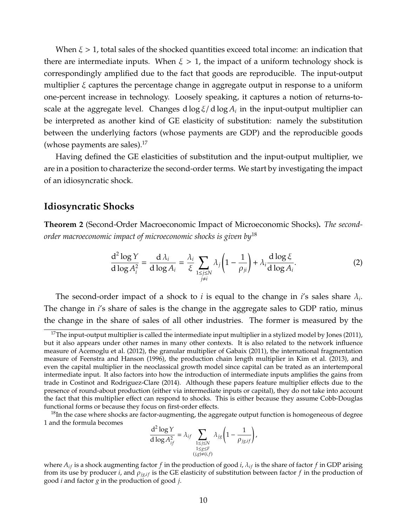When  $\xi > 1$ , total sales of the shocked quantities exceed total income: an indication that there are intermediate inputs. When  $\xi > 1$ , the impact of a uniform technology shock is correspondingly amplified due to the fact that goods are reproducible. The input-output multiplier ξ captures the percentage change in aggregate output in response to a uniform one-percent increase in technology. Loosely speaking, it captures a notion of returns-toscale at the aggregate level. Changes d log  $\xi$ / $d$  log $A_i$  in the input-output multiplier can be interpreted as another kind of GE elasticity of substitution: namely the substitution between the underlying factors (whose payments are GDP) and the reproducible goods (whose payments are sales).<sup>[17](#page--1-0)</sup>

Having defined the GE elasticities of substitution and the input-output multiplier, we are in a position to characterize the second-order terms. We start by investigating the impact of an idiosyncratic shock.

## **Idiosyncratic Shocks**

<span id="page-10-0"></span>**Theorem 2** (Second-Order Macroeconomic Impact of Microeconomic Shocks)**.** *The secondorder macroeconomic impact of microeconomic shocks is given by*[18](#page--1-0)

$$
\frac{\mathrm{d}^2 \log Y}{\mathrm{d} \log A_i^2} = \frac{\mathrm{d} \lambda_i}{\mathrm{d} \log A_i} = \frac{\lambda_i}{\xi} \sum_{\substack{1 \le j \le N \\ j \ne i}} \lambda_j \left( 1 - \frac{1}{\rho_{ji}} \right) + \lambda_i \frac{\mathrm{d} \log \xi}{\mathrm{d} \log A_i}.
$$
 (2)

The second-order impact of a shock to *i* is equal to the change in *i*'s sales share λ*<sup>i</sup>* . The change in *i*'s share of sales is the change in the aggregate sales to GDP ratio, minus the change in the share of sales of all other industries. The former is measured by the

$$
\frac{\mathrm{d}^2 \log Y}{\mathrm{d} \log A_{if}^2} = \lambda_{if} \sum_{\substack{1 \le j \le N \\ 1 \le g \le F \\ (j,g) \ne (i,f)}} \lambda_{jg} \left(1 - \frac{1}{\rho_{jg,if}}\right),
$$

 $17$ The input-output multiplier is called the intermediate input multiplier in a stylized model by [Jones](#page-50-7) [\(2011\)](#page-50-7), but it also appears under other names in many other contexts. It is also related to the network influence measure of [Acemoglu et al.](#page-48-5) [\(2012\)](#page-48-5), the granular multiplier of [Gabaix](#page-49-5) [\(2011\)](#page-49-5), the international fragmentation measure of [Feenstra and Hanson](#page-49-20) [\(1996\)](#page-49-20), the production chain length multiplier in [Kim et al.](#page-50-13) [\(2013\)](#page-50-13), and even the capital multiplier in the neoclassical growth model since capital can be trated as an intertemporal intermediate input. It also factors into how the introduction of intermediate inputs amplifies the gains from trade in [Costinot and Rodriguez-Clare](#page-49-21) [\(2014\)](#page-49-21). Although these papers feature multiplier effects due to the presence of round-about production (either via intermediate inputs or capital), they do not take into account the fact that this multiplier effect can respond to shocks. This is either because they assume Cobb-Douglas functional forms or because they focus on first-order effects.

<sup>&</sup>lt;sup>18</sup>In the case where shocks are factor-augmenting, the aggregate output function is homogeneous of degree 1 and the formula becomes

where  $A_{if}$  is a shock augmenting factor *f* in the production of good *i*,  $\lambda_{if}$  is the share of factor *f* in GDP arising from its use by producer *i*, and  $\rho_{jg,f}$  is the GE elasticity of substitution between factor *f* in the production of good *i* and factor *g* in the production of good *j*.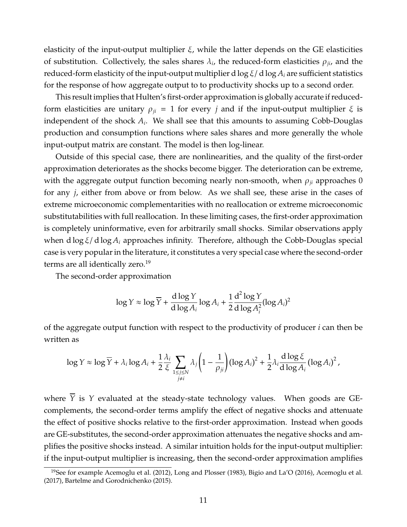elasticity of the input-output multiplier  $\xi$ , while the latter depends on the GE elasticities of substitution. Collectively, the sales shares  $\lambda_i$ , the reduced-form elasticities  $\rho_{ji}$ , and the reduced-form elasticity of the input-output multiplier d  $\log \xi / d \log A_i$  are sufficient statistics for the response of how aggregate output to to productivity shocks up to a second order.

This result implies that Hulten's first-order approximation is globally accurate if reducedform elasticities are unitary  $\rho_{ji} = 1$  for every *j* and if the input-output multiplier  $\xi$  is independent of the shock *A<sup>i</sup>* . We shall see that this amounts to assuming Cobb-Douglas production and consumption functions where sales shares and more generally the whole input-output matrix are constant. The model is then log-linear.

Outside of this special case, there are nonlinearities, and the quality of the first-order approximation deteriorates as the shocks become bigger. The deterioration can be extreme, with the aggregate output function becoming nearly non-smooth, when  $\rho_{ji}$  approaches 0 for any *j*, either from above or from below. As we shall see, these arise in the cases of extreme microeconomic complementarities with no reallocation or extreme microeconomic substitutabilities with full reallocation. In these limiting cases, the first-order approximation is completely uninformative, even for arbitrarily small shocks. Similar observations apply when d log ξ/ d log *A<sup>i</sup>* approaches infinity. Therefore, although the Cobb-Douglas special case is very popular in the literature, it constitutes a very special case where the second-order terms are all identically zero.<sup>[19](#page--1-0)</sup>

The second-order approximation

$$
\log Y \approx \log \overline{Y} + \frac{d \log Y}{d \log A_i} \log A_i + \frac{1}{2} \frac{d^2 \log Y}{d \log A_i^2} (\log A_i)^2
$$

of the aggregate output function with respect to the productivity of producer *i* can then be written as

$$
\log Y \approx \log \overline{Y} + \lambda_i \log A_i + \frac{1}{2} \frac{\lambda_i}{\xi} \sum_{\substack{1 \leq j \leq N \\ j \neq i}} \lambda_j \left(1 - \frac{1}{\rho_{ji}}\right) (\log A_i)^2 + \frac{1}{2} \lambda_i \frac{d \log \xi}{d \log A_i} (\log A_i)^2,
$$

where  $\overline{Y}$  is  $Y$  evaluated at the steady-state technology values. When goods are GEcomplements, the second-order terms amplify the effect of negative shocks and attenuate the effect of positive shocks relative to the first-order approximation. Instead when goods are GE-substitutes, the second-order approximation attenuates the negative shocks and amplifies the positive shocks instead. A similar intuition holds for the input-output multiplier: if the input-output multiplier is increasing, then the second-order approximation amplifies

<sup>&</sup>lt;sup>19</sup>See for example [Acemoglu et al.](#page-48-6) [\(2012\)](#page-48-5), [Long and Plosser](#page-50-1) [\(1983\)](#page-50-1), [Bigio and La'O](#page-49-12) [\(2016\)](#page-49-12), Acemoglu et al. [\(2017\)](#page-48-6), [Bartelme and Gorodnichenko](#page-49-15) [\(2015\)](#page-49-15).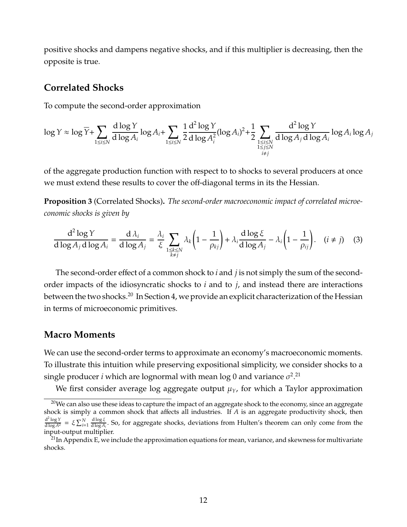positive shocks and dampens negative shocks, and if this multiplier is decreasing, then the opposite is true.

## **Correlated Shocks**

To compute the second-order approximation

$$
\log Y \approx \log \overline{Y} + \sum_{1 \le i \le N} \frac{d \log Y}{d \log A_i} \log A_i + \sum_{1 \le i \le N} \frac{1}{2} \frac{d^2 \log Y}{d \log A_i^2} (\log A_i)^2 + \frac{1}{2} \sum_{\substack{1 \le i \le N \\ 1 \le j \le N \\ i \ne j}} \frac{d^2 \log Y}{d \log A_j d \log A_i} \log A_i \log A_j
$$

of the aggregate production function with respect to to shocks to several producers at once we must extend these results to cover the off-diagonal terms in its the Hessian.

**Proposition 3** (Correlated Shocks)**.** *The second-order macroeconomic impact of correlated microeconomic shocks is given by*

$$
\frac{d^2 \log Y}{d \log A_j d \log A_i} = \frac{d \lambda_i}{d \log A_j} = \frac{\lambda_i}{\xi} \sum_{\substack{1 \le k \le N \\ k \ne j}} \lambda_k \left(1 - \frac{1}{\rho_{kj}}\right) + \lambda_i \frac{d \log \xi}{d \log A_j} - \lambda_i \left(1 - \frac{1}{\rho_{ij}}\right). \quad (i \ne j) \tag{3}
$$

The second-order effect of a common shock to *i* and *j* is not simply the sum of the secondorder impacts of the idiosyncratic shocks to *i* and to *j*, and instead there are interactions between the two shocks.<sup>[20](#page--1-0)</sup> In Section [4,](#page-22-0) we provide an explicit characterization of the Hessian in terms of microeconomic primitives.

### **Macro Moments**

We can use the second-order terms to approximate an economy's macroeconomic moments. To illustrate this intuition while preserving expositional simplicity, we consider shocks to a single producer  $i$  which are lognormal with mean log 0 and variance  $\sigma^2$ . $^{21}$  $^{21}$  $^{21}$ 

We first consider average log aggregate output  $\mu_Y$ , for which a Taylor approximation

 $20$ We can also use these ideas to capture the impact of an aggregate shock to the economy, since an aggregate shock is simply a common shock that affects all industries. If *A* is an aggregate productivity shock, then  $rac{d^2 \log Y}{d \log A^2} = \xi \sum_{i=1}^{N}$ d log ξ  $\frac{d \log \mathcal{E}}{d \log A_i}$ . So, for aggregate shocks, deviations from Hulten's theorem can only come from the input-output multiplier.

 $^{21}$ In Appendix [E,](#page-68-0) we include the approximation equations for mean, variance, and skewness for multivariate shocks.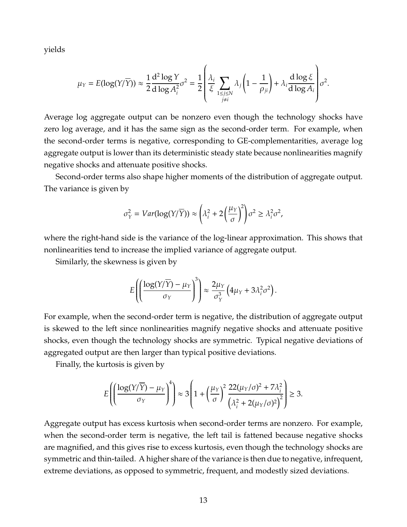yields

$$
\mu_Y = E(\log(Y/\overline{Y})) \approx \frac{1}{2} \frac{d^2 \log Y}{d \log A_i^2} \sigma^2 = \frac{1}{2} \left( \frac{\lambda_i}{\xi} \sum_{\substack{1 \le j \le N \\ j \ne i}} \lambda_j \left( 1 - \frac{1}{\rho_{ji}} \right) + \lambda_i \frac{d \log \xi}{d \log A_i} \right) \sigma^2.
$$

Average log aggregate output can be nonzero even though the technology shocks have zero log average, and it has the same sign as the second-order term. For example, when the second-order terms is negative, corresponding to GE-complementarities, average log aggregate output is lower than its deterministic steady state because nonlinearities magnify negative shocks and attenuate positive shocks.

Second-order terms also shape higher moments of the distribution of aggregate output. The variance is given by

$$
\sigma_Y^2 = Var(\log(Y/\overline{Y})) \approx \left(\lambda_i^2 + 2\left(\frac{\mu_Y}{\sigma}\right)^2\right)\sigma^2 \ge \lambda_i^2\sigma^2,
$$

where the right-hand side is the variance of the log-linear approximation. This shows that nonlinearities tend to increase the implied variance of aggregate output.

Similarly, the skewness is given by

$$
E\left(\left(\frac{\log(Y/\overline{Y})-\mu_Y}{\sigma_Y}\right)^3\right)\approx \frac{2\mu_Y}{\sigma_Y^3}\left(4\mu_Y+3\lambda_i^2\sigma^2\right).
$$

For example, when the second-order term is negative, the distribution of aggregate output is skewed to the left since nonlinearities magnify negative shocks and attenuate positive shocks, even though the technology shocks are symmetric. Typical negative deviations of aggregated output are then larger than typical positive deviations.

Finally, the kurtosis is given by

$$
E\left(\left(\frac{\log(Y/\overline{Y}) - \mu_Y}{\sigma_Y}\right)^4\right) \approx 3\left(1 + \left(\frac{\mu_Y}{\sigma}\right)^2 \frac{22(\mu_Y/\sigma)^2 + 7\lambda_i^2}{\left(\lambda_i^2 + 2(\mu_Y/\sigma)^2\right)^2}\right) \ge 3.
$$

Aggregate output has excess kurtosis when second-order terms are nonzero. For example, when the second-order term is negative, the left tail is fattened because negative shocks are magnified, and this gives rise to excess kurtosis, even though the technology shocks are symmetric and thin-tailed. A higher share of the variance is then due to negative, infrequent, extreme deviations, as opposed to symmetric, frequent, and modestly sized deviations.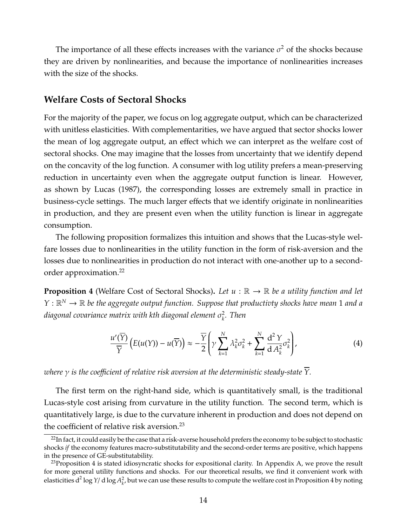The importance of all these effects increases with the variance  $\sigma^2$  of the shocks because they are driven by nonlinearities, and because the importance of nonlinearities increases with the size of the shocks.

## **Welfare Costs of Sectoral Shocks**

For the majority of the paper, we focus on log aggregate output, which can be characterized with unitless elasticities. With complementarities, we have argued that sector shocks lower the mean of log aggregate output, an effect which we can interpret as the welfare cost of sectoral shocks. One may imagine that the losses from uncertainty that we identify depend on the concavity of the log function. A consumer with log utility prefers a mean-preserving reduction in uncertainty even when the aggregate output function is linear. However, as shown by [Lucas](#page-50-2) [\(1987\)](#page-50-2), the corresponding losses are extremely small in practice in business-cycle settings. The much larger effects that we identify originate in nonlinearities in production, and they are present even when the utility function is linear in aggregate consumption.

The following proposition formalizes this intuition and shows that the Lucas-style welfare losses due to nonlinearities in the utility function in the form of risk-aversion and the losses due to nonlinearities in production do not interact with one-another up to a secondorder approximation.[22](#page--1-0)

<span id="page-14-0"></span>**Proposition 4** (Welfare Cost of Sectoral Shocks). Let  $u : \mathbb{R} \to \mathbb{R}$  be a utility function and let  $Y: \mathbb{R}^N \to \mathbb{R}$  be the aggregate output function. Suppose that productivty shocks have mean 1 and a diagonal covariance matrix with kth diagonal element  $\sigma_k^2$ *k . Then*

$$
\frac{u'(\overline{Y})}{\overline{Y}}\left(E(u(Y)) - u(\overline{Y})\right) \approx -\frac{\overline{Y}}{2}\left(\gamma \sum_{k=1}^{N} \lambda_k^2 \sigma_k^2 + \sum_{k=1}^{N} \frac{d^2 Y}{d A_k^2} \sigma_k^2\right),\tag{4}
$$

*where* γ *is the coe*ffi*cient of relative risk aversion at the deterministic steady-state Y.*

The first term on the right-hand side, which is quantitatively small, is the traditional Lucas-style cost arising from curvature in the utility function. The second term, which is quantitatively large, is due to the curvature inherent in production and does not depend on the coefficient of relative risk aversion.<sup>[23](#page--1-0)</sup>

 $^{22}$ In fact, it could easily be the case that a risk-averse household prefers the economy to be subject to stochastic shocks *if* the economy features macro-substitutability and the second-order terms are positive, which happens in the presence of GE-substitutability.

<sup>&</sup>lt;sup>23</sup>Proposition [4](#page-14-0) is stated idiosyncratic shocks for expositional clarity. In Appendix [A,](#page-51-0) we prove the result for more general utility functions and shocks. For our theoretical results, we find it convenient work with elasticities d<sup>2</sup> log Y/ d log  $A_k^2$ , but we can use these results to compute the welfare cost in Proposition [4](#page-14-0) by noting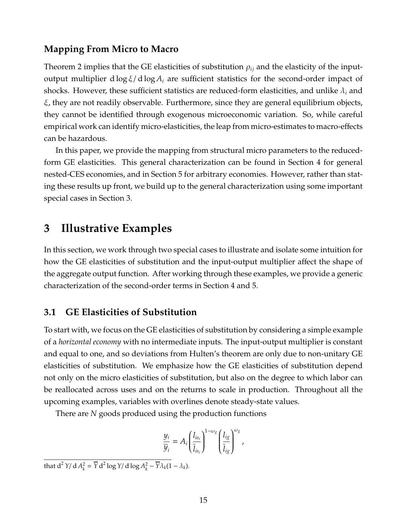# **Mapping From Micro to Macro**

Theorem [2](#page-10-0) implies that the GE elasticities of substitution  $\rho_{ij}$  and the elasticity of the inputoutput multiplier d log ξ/ d log *A<sup>i</sup>* are sufficient statistics for the second-order impact of shocks. However, these sufficient statistics are reduced-form elasticities, and unlike  $\lambda_i$  and ξ, they are not readily observable. Furthermore, since they are general equilibrium objects, they cannot be identified through exogenous microeconomic variation. So, while careful empirical work can identify micro-elasticities, the leap from micro-estimates to macro-effects can be hazardous.

In this paper, we provide the mapping from structural micro parameters to the reducedform GE elasticities. This general characterization can be found in Section [4](#page-22-0) for general nested-CES economies, and in Section [5](#page-34-0) for arbitrary economies. However, rather than stating these results up front, we build up to the general characterization using some important special cases in Section [3.](#page-15-0)

# <span id="page-15-0"></span>**3 Illustrative Examples**

In this section, we work through two special cases to illustrate and isolate some intuition for how the GE elasticities of substitution and the input-output multiplier affect the shape of the aggregate output function. After working through these examples, we provide a generic characterization of the second-order terms in Section [4](#page-22-0) and [5.](#page-34-0)

# **3.1 GE Elasticities of Substitution**

To start with, we focus on the GE elasticities of substitution by considering a simple example of a *horizontal economy* with no intermediate inputs. The input-output multiplier is constant and equal to one, and so deviations from Hulten's theorem are only due to non-unitary GE elasticities of substitution. We emphasize how the GE elasticities of substitution depend not only on the micro elasticities of substitution, but also on the degree to which labor can be reallocated across uses and on the returns to scale in production. Throughout all the upcoming examples, variables with overlines denote steady-state values.

There are *N* goods produced using the production functions

$$
\frac{y_i}{\overline{y}_i} = A_i \left(\frac{l_{is_i}}{\overline{l}_{is_i}}\right)^{1-\omega_g} \left(\frac{l_{ig}}{\overline{l}_{ig}}\right)^{\omega_g},
$$

that  $d^2 Y/dA_k^2 = \overline{Y} d^2 \log Y/d \log A_k^2 - \overline{Y} \lambda_k (1 - \lambda_k).$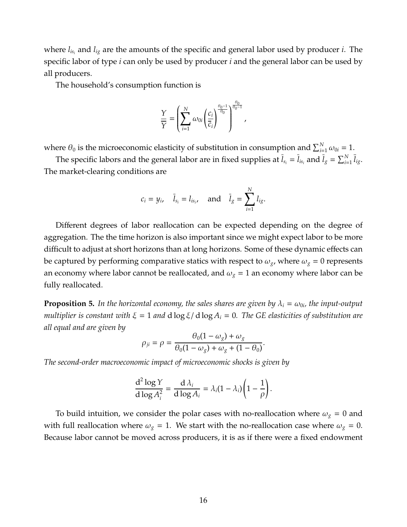where *lis<sup>i</sup>* and *lig* are the amounts of the specific and general labor used by producer *i*. The specific labor of type *i* can only be used by producer *i* and the general labor can be used by all producers.

The household's consumption function is

$$
\frac{\Upsilon}{\overline{\Upsilon}} = \left(\sum_{i=1}^N \omega_{0i} \left(\frac{c_i}{\overline{c}_i}\right)^{\frac{\theta_0 - 1}{\theta_0}}\right)^{\frac{\theta_0}{\theta_0 - 1}},
$$

where  $\theta_0$  is the microeconomic elasticity of substitution in consumption and  $\sum_{i=1}^{N} \omega_{0i} = 1$ .

The specific labors and the general labor are in fixed supplies at  $\bar{l}_{s_i}=\bar{l}_{i s_i}$  and  $\bar{l}_g=\sum_{i=1}^N \bar{l}_{i g}.$ The market-clearing conditions are

$$
c_i = y_i
$$
,  $\bar{l}_{s_i} = l_{is_i}$ , and  $\bar{l}_g = \sum_{i=1}^N l_{ig}$ .

Different degrees of labor reallocation can be expected depending on the degree of aggregation. The the time horizon is also important since we might expect labor to be more difficult to adjust at short horizons than at long horizons. Some of these dynamic effects can be captured by performing comparative statics with respect to  $\omega_g$ , where  $\omega_g = 0$  represents an economy where labor cannot be reallocated, and  $\omega_g = 1$  an economy where labor can be fully reallocated.

**Proposition 5.** In the horizontal economy, the sales shares are given by  $\lambda_i = \omega_{0i}$ , the input-output *multiplier is constant with* ξ = 1 *and* d log ξ/ d log *A<sup>i</sup>* = 0*. The GE elasticities of substitution are all equal and are given by*

$$
\rho_{ji} = \rho = \frac{\theta_0(1-\omega_g) + \omega_g}{\theta_0(1-\omega_g) + \omega_g + (1-\theta_0)}.
$$

*The second-order macroeconomic impact of microeconomic shocks is given by*

$$
\frac{d^2 \log Y}{d \log A_i^2} = \frac{d \lambda_i}{d \log A_i} = \lambda_i (1 - \lambda_i) \left(1 - \frac{1}{\rho}\right).
$$

To build intuition, we consider the polar cases with no-reallocation where  $\omega_g = 0$  and with full reallocation where  $\omega_g = 1$ . We start with the no-reallocation case where  $\omega_g = 0$ . Because labor cannot be moved across producers, it is as if there were a fixed endowment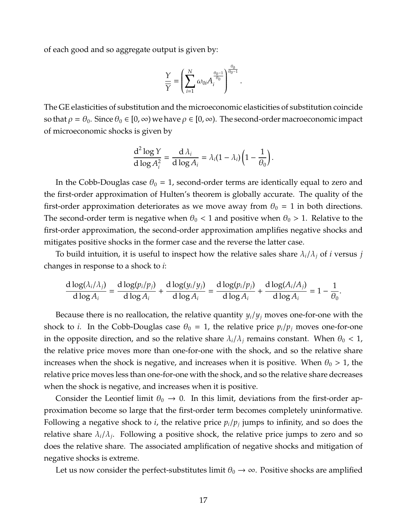of each good and so aggregate output is given by:

$$
\frac{\Upsilon}{\overline{\Upsilon}} = \left(\sum_{i=1}^N \omega_{0i} A_i^{\frac{\theta_0 - 1}{\theta_0}}\right)^{\frac{\theta_0}{\theta_0 - 1}}.
$$

The GE elasticities of substitution and the microeconomic elasticities of substitution coincide so that  $\rho = \theta_0$ . Since  $\theta_0 \in [0, \infty)$  we have  $\rho \in [0, \infty)$ . The second-order macroeconomic impact of microeconomic shocks is given by

$$
\frac{d^2 \log Y}{d \log A_i^2} = \frac{d \lambda_i}{d \log A_i} = \lambda_i (1 - \lambda_i) \left(1 - \frac{1}{\theta_0}\right).
$$

In the Cobb-Douglas case  $\theta_0 = 1$ , second-order terms are identically equal to zero and the first-order approximation of Hulten's theorem is globally accurate. The quality of the first-order approximation deteriorates as we move away from  $\theta_0 = 1$  in both directions. The second-order term is negative when  $\theta_0 < 1$  and positive when  $\theta_0 > 1$ . Relative to the first-order approximation, the second-order approximation amplifies negative shocks and mitigates positive shocks in the former case and the reverse the latter case.

To build intuition, it is useful to inspect how the relative sales share  $\lambda_i/\lambda_j$  of *i* versus *j* changes in response to a shock to *i*:

$$
\frac{d \log(\lambda_i/\lambda_j)}{d \log A_i} = \frac{d \log(p_i/p_j)}{d \log A_i} + \frac{d \log(y_i/y_j)}{d \log A_i} = \frac{d \log(p_i/p_j)}{d \log A_i} + \frac{d \log(A_i/A_j)}{d \log A_i} = 1 - \frac{1}{\theta_0}.
$$

Because there is no reallocation, the relative quantity  $y_i/y_j$  moves one-for-one with the shock to *i*. In the Cobb-Douglas case  $\theta_0 = 1$ , the relative price  $p_i/p_j$  moves one-for-one in the opposite direction, and so the relative share  $\lambda_i/\lambda_j$  remains constant. When  $\theta_0 < 1$ , the relative price moves more than one-for-one with the shock, and so the relative share increases when the shock is negative, and increases when it is positive. When  $\theta_0 > 1$ , the relative price moves less than one-for-one with the shock, and so the relative share decreases when the shock is negative, and increases when it is positive.

Consider the Leontief limit  $\theta_0 \rightarrow 0$ . In this limit, deviations from the first-order approximation become so large that the first-order term becomes completely uninformative. Following a negative shock to *i*, the relative price *pi*/*p<sup>j</sup>* jumps to infinity, and so does the relative share λ*i*/λ*<sup>j</sup>* . Following a positive shock, the relative price jumps to zero and so does the relative share. The associated amplification of negative shocks and mitigation of negative shocks is extreme.

Let us now consider the perfect-substitutes limit  $\theta_0 \rightarrow \infty$ . Positive shocks are amplified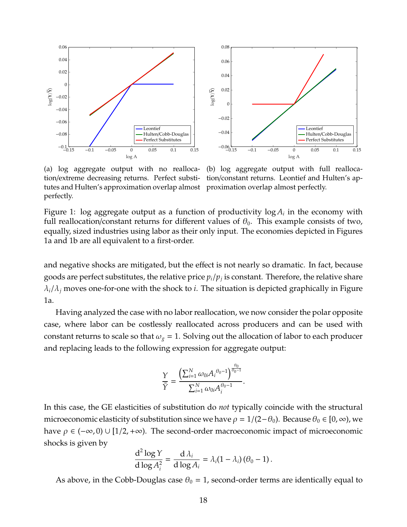<span id="page-18-0"></span>

(a) log aggregate output with no reallocation/extreme decreasing returns. Perfect substitutes and Hulten's approximation overlap almost proximation overlap almost perfectly. perfectly.

(b) log aggregate output with full reallocation/constant returns. Leontief and Hulten's ap-

Figure 1:  $\log$  aggregate output as a function of productivity  $\log A_i$  in the economy with full reallocation/constant returns for different values of  $\theta_0$ . This example consists of two, equally, sized industries using labor as their only input. The economies depicted in Figures [1a](#page-18-0) and [1b](#page-18-0) are all equivalent to a first-order.

and negative shocks are mitigated, but the effect is not nearly so dramatic. In fact, because goods are perfect substitutes, the relative price *pi*/*p<sup>j</sup>* is constant. Therefore, the relative share  $\lambda_i/\lambda_j$  moves one-for-one with the shock to *i*. The situation is depicted graphically in Figure [1a.](#page-18-0)

Having analyzed the case with no labor reallocation, we now consider the polar opposite case, where labor can be costlessly reallocated across producers and can be used with constant returns to scale so that  $\omega_g = 1$ . Solving out the allocation of labor to each producer and replacing leads to the following expression for aggregate output:

$$
\frac{\gamma}{\bar{Y}} = \frac{\left(\sum_{i=1}^{N} \omega_{0i} A_i^{\theta_0 - 1}\right)^{\frac{\theta_0}{\theta_0 - 1}}}{\sum_{i=1}^{N} \omega_{0i} A_i^{\theta_0 - 1}}.
$$

In this case, the GE elasticities of substitution do *not* typically coincide with the structural microeconomic elasticity of substitution since we have  $\rho = 1/(2-\theta_0)$ . Because  $\theta_0 \in [0, \infty)$ , we have  $\rho \in (-\infty, 0) \cup [1/2, +\infty)$ . The second-order macroeconomic impact of microeconomic shocks is given by

$$
\frac{\mathrm{d}^2\log Y}{\mathrm{d}\log A_i^2} = \frac{\mathrm{d}\lambda_i}{\mathrm{d}\log A_i} = \lambda_i(1-\lambda_i)\left(\theta_0-1\right).
$$

As above, in the Cobb-Douglas case  $\theta_0 = 1$ , second-order terms are identically equal to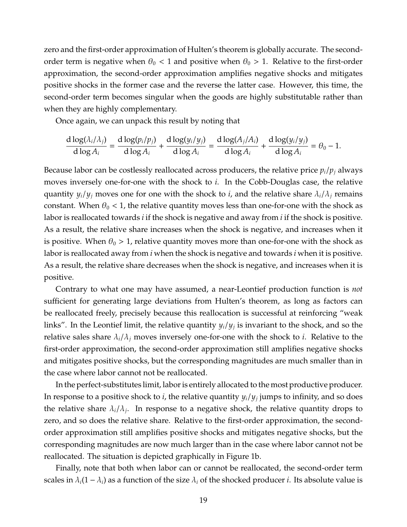zero and the first-order approximation of Hulten's theorem is globally accurate. The secondorder term is negative when  $\theta_0 < 1$  and positive when  $\theta_0 > 1$ . Relative to the first-order approximation, the second-order approximation amplifies negative shocks and mitigates positive shocks in the former case and the reverse the latter case. However, this time, the second-order term becomes singular when the goods are highly substitutable rather than when they are highly complementary.

Once again, we can unpack this result by noting that

$$
\frac{d \log(\lambda_i/\lambda_j)}{d \log A_i} = \frac{d \log(p_i/p_j)}{d \log A_i} + \frac{d \log(y_i/y_j)}{d \log A_i} = \frac{d \log(A_j/A_i)}{d \log A_i} + \frac{d \log(y_i/y_j)}{d \log A_i} = \theta_0 - 1.
$$

Because labor can be costlessly reallocated across producers, the relative price  $p_i/p_j$  always moves inversely one-for-one with the shock to *i*. In the Cobb-Douglas case, the relative quantity  $y_i/y_j$  moves one for one with the shock to *i*, and the relative share  $\lambda_i/\lambda_j$  remains constant. When  $\theta_0$  < 1, the relative quantity moves less than one-for-one with the shock as labor is reallocated towards *i* if the shock is negative and away from *i* if the shock is positive. As a result, the relative share increases when the shock is negative, and increases when it is positive. When  $\theta_0 > 1$ , relative quantity moves more than one-for-one with the shock as labor is reallocated away from *i* when the shock is negative and towards *i* when it is positive. As a result, the relative share decreases when the shock is negative, and increases when it is positive.

Contrary to what one may have assumed, a near-Leontief production function is *not* sufficient for generating large deviations from Hulten's theorem, as long as factors can be reallocated freely, precisely because this reallocation is successful at reinforcing "weak links". In the Leontief limit, the relative quantity *yi*/*y<sup>j</sup>* is invariant to the shock, and so the relative sales share  $\lambda_i/\lambda_j$  moves inversely one-for-one with the shock to *i*. Relative to the first-order approximation, the second-order approximation still amplifies negative shocks and mitigates positive shocks, but the corresponding magnitudes are much smaller than in the case where labor cannot not be reallocated.

In the perfect-substitutes limit, labor is entirely allocated to the most productive producer. In response to a positive shock to *i*, the relative quantity *yi*/*y<sup>j</sup>* jumps to infinity, and so does the relative share  $\lambda_i/\lambda_j$ . In response to a negative shock, the relative quantity drops to zero, and so does the relative share. Relative to the first-order approximation, the secondorder approximation still amplifies positive shocks and mitigates negative shocks, but the corresponding magnitudes are now much larger than in the case where labor cannot not be reallocated. The situation is depicted graphically in Figure [1b.](#page-18-0)

Finally, note that both when labor can or cannot be reallocated, the second-order term scales in  $\lambda_i(1 - \lambda_i)$  as a function of the size  $\lambda_i$  of the shocked producer *i*. Its absolute value is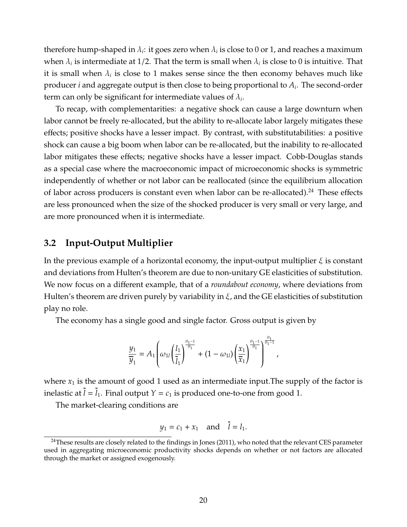therefore hump-shaped in  $\lambda_i$ : it goes zero when  $\lambda_i$  is close to 0 or 1, and reaches a maximum when  $\lambda_i$  is intermediate at 1/2. That the term is small when  $\lambda_i$  is close to 0 is intuitive. That it is small when  $\lambda_i$  is close to 1 makes sense since the then economy behaves much like producer *i* and aggregate output is then close to being proportional to *A<sup>i</sup>* . The second-order term can only be significant for intermediate values of  $\lambda_i$ .

To recap, with complementarities: a negative shock can cause a large downturn when labor cannot be freely re-allocated, but the ability to re-allocate labor largely mitigates these effects; positive shocks have a lesser impact. By contrast, with substitutabilities: a positive shock can cause a big boom when labor can be re-allocated, but the inability to re-allocated labor mitigates these effects; negative shocks have a lesser impact. Cobb-Douglas stands as a special case where the macroeconomic impact of microeconomic shocks is symmetric independently of whether or not labor can be reallocated (since the equilibrium allocation of labor across producers is constant even when labor can be re-allocated).<sup>[24](#page--1-0)</sup> These effects are less pronounced when the size of the shocked producer is very small or very large, and are more pronounced when it is intermediate.

# **3.2 Input-Output Multiplier**

In the previous example of a horizontal economy, the input-output multiplier  $\xi$  is constant and deviations from Hulten's theorem are due to non-unitary GE elasticities of substitution. We now focus on a different example, that of a *roundabout economy*, where deviations from Hulten's theorem are driven purely by variability in  $\xi$ , and the GE elasticities of substitution play no role.

The economy has a single good and single factor. Gross output is given by

$$
\frac{y_1}{\overline{y}_1}=A_1\left(\omega_{1l}\left(\frac{l_1}{\overline{l}_1}\right)^{\frac{\theta_1-1}{\theta_1}}+(1-\omega_{1l})\left(\frac{x_1}{\overline{x}_1}\right)^{\frac{\theta_1-1}{\theta_1}}\right)^{\frac{\theta_1}{\theta_1-1}},
$$

where  $x_1$  is the amount of good 1 used as an intermediate input. The supply of the factor is inelastic at  $l = l_1$ . Final output  $Y = c_1$  is produced one-to-one from good 1.

The market-clearing conditions are

$$
y_1 = c_1 + x_1 \quad \text{and} \quad l = l_1.
$$

<sup>&</sup>lt;sup>24</sup>These results are closely related to the findings in [Jones](#page-50-7) [\(2011\)](#page-50-7), who noted that the relevant CES parameter used in aggregating microeconomic productivity shocks depends on whether or not factors are allocated through the market or assigned exogenously.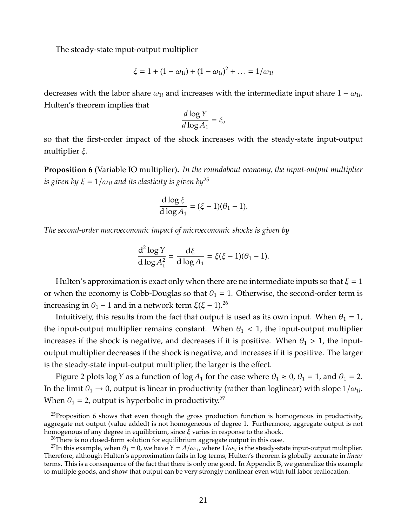The steady-state input-output multiplier

$$
\xi = 1 + (1 - \omega_{1l}) + (1 - \omega_{1l})^2 + \dots = 1/\omega_{1l}
$$

decreases with the labor share  $\omega_{1l}$  and increases with the intermediate input share  $1 - \omega_{1l}$ . Hulten's theorem implies that

$$
\frac{d \log Y}{d \log A_1} = \xi,
$$

so that the first-order impact of the shock increases with the steady-state input-output multiplier  $ξ$ .

<span id="page-21-0"></span>**Proposition 6** (Variable IO multiplier)**.** *In the roundabout economy, the input-output multiplier is given by*  $\xi = 1/\omega_{1l}$  *and its elasticity is given by*<sup>[25](#page--1-0)</sup>

$$
\frac{d \log \xi}{d \log A_1} = (\xi - 1)(\theta_1 - 1).
$$

*The second-order macroeconomic impact of microeconomic shocks is given by*

$$
\frac{\mathrm{d}^2\log Y}{\mathrm{d}\log A_1^2} = \frac{\mathrm{d}\xi}{\mathrm{d}\log A_1} = \xi(\xi - 1)(\theta_1 - 1).
$$

Hulten's approximation is exact only when there are no intermediate inputs so that  $\xi = 1$ or when the economy is Cobb-Douglas so that  $\theta_1 = 1$ . Otherwise, the second-order term is increasing in  $θ$ <sub>1</sub> − 1 and in a network term  $ξ(ξ – 1).<sup>26</sup>$  $ξ(ξ – 1).<sup>26</sup>$  $ξ(ξ – 1).<sup>26</sup>$ 

Intuitively, this results from the fact that output is used as its own input. When  $\theta_1 = 1$ , the input-output multiplier remains constant. When  $\theta_1$  < 1, the input-output multiplier increases if the shock is negative, and decreases if it is positive. When  $\theta_1 > 1$ , the inputoutput multiplier decreases if the shock is negative, and increases if it is positive. The larger is the steady-state input-output multiplier, the larger is the effect.

Figure [2](#page-22-1) plots log *Y* as a function of log  $A_1$  for the case where  $\theta_1 \approx 0$ ,  $\theta_1 = 1$ , and  $\theta_1 = 2$ . In the limit  $\theta_1 \to 0$ , output is linear in productivity (rather than loglinear) with slope  $1/\omega_{1l}$ . When  $\theta_1 = 2$ , output is hyperbolic in productivity.<sup>[27](#page--1-0)</sup>

 $25$ Proposition [6](#page-21-0) shows that even though the gross production function is homogenous in productivity, aggregate net output (value added) is not homogeneous of degree 1. Furthermore, aggregate output is not homogenous of any degree in equilibrium, since  $\xi$  varies in response to the shock.

 $26$ There is no closed-form solution for equilibrium aggregate output in this case.

<sup>&</sup>lt;sup>27</sup>In this example, when  $\theta_1 = 0$ , we have  $Y = A/\omega_{1l}$ , where  $1/\omega_{1l}$  is the steady-state input-output multiplier. Therefore, although Hulten's approximation fails in log terms, Hulten's theorem is globally accurate in *linear* terms. This is a consequence of the fact that there is only one good. In Appendix [B,](#page-58-0) we generalize this example to multiple goods, and show that output can be very strongly nonlinear even with full labor reallocation.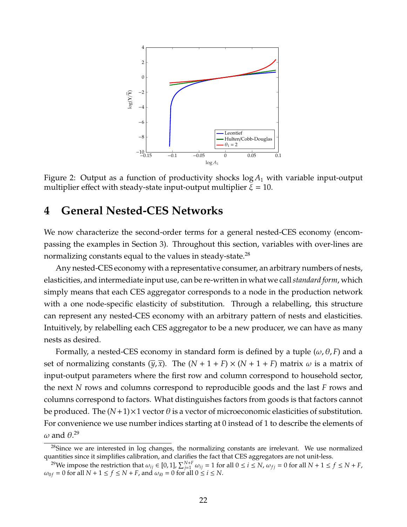<span id="page-22-1"></span>

Figure 2: Output as a function of productivity shocks log *A*<sup>1</sup> with variable input-output multiplier effect with steady-state input-output multiplier  $\xi = 10$ .

# <span id="page-22-0"></span>**4 General Nested-CES Networks**

We now characterize the second-order terms for a general nested-CES economy (encompassing the examples in Section [3\)](#page-15-0). Throughout this section, variables with over-lines are normalizing constants equal to the values in steady-state.<sup>[28](#page--1-0)</sup>

Any nested-CES economy with a representative consumer, an arbitrary numbers of nests, elasticities, and intermediate input use, can be re-written in what we call*standard form*, which simply means that each CES aggregator corresponds to a node in the production network with a one node-specific elasticity of substitution. Through a relabelling, this structure can represent any nested-CES economy with an arbitrary pattern of nests and elasticities. Intuitively, by relabelling each CES aggregator to be a new producer, we can have as many nests as desired.

Formally, a nested-CES economy in standard form is defined by a tuple  $(\omega, \theta, F)$  and a set of normalizing constants  $(\overline{y}, \overline{x})$ . The  $(N + 1 + F) \times (N + 1 + F)$  matrix  $\omega$  is a matrix of input-output parameters where the first row and column correspond to household sector, the next *N* rows and columns correspond to reproducible goods and the last *F* rows and columns correspond to factors. What distinguishes factors from goods is that factors cannot be produced. The  $(N+1)\times 1$  vector  $\theta$  is a vector of microeconomic elasticities of substitution. For convenience we use number indices starting at 0 instead of 1 to describe the elements of  $\omega$  and  $\theta$ .<sup>[29](#page--1-0)</sup>

<sup>&</sup>lt;sup>28</sup>Since we are interested in log changes, the normalizing constants are irrelevant. We use normalized quantities since it simplifies calibration, and clarifies the fact that CES aggregators are not unit-less.

<sup>&</sup>lt;sup>29</sup>We impose the restriction that  $\omega_{ij} \in [0,1]$ ,  $\sum_{j=1}^{N+F} \omega_{ij} = 1$  for all  $0 \le i \le N$ ,  $\omega_{fj} = 0$  for all  $N + 1 \le f \le N + F$ ,  $\omega_{0f} = 0$  for all  $N + 1 \le f \le N + F$ , and  $\omega_{i0} = 0$  for all  $0 \le i \le N$ .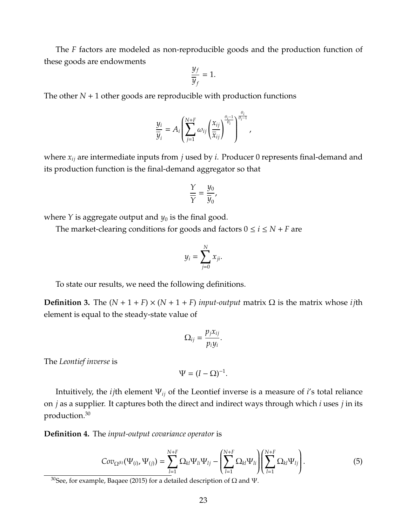The *F* factors are modeled as non-reproducible goods and the production function of these goods are endowments

<span id="page-23-0"></span>
$$
\frac{y_f}{\overline{y}_f}=1.
$$

The other  $N + 1$  other goods are reproducible with production functions

$$
\frac{y_i}{\overline{y}_i} = A_i \left( \sum_{j=1}^{N+F} \omega_{ij} \left( \frac{x_{ij}}{\overline{x}_{ij}} \right)^{\frac{\theta_i - 1}{\theta_i}} \right)^{\frac{\theta_i}{\theta_i - 1}},
$$

where *xij* are intermediate inputs from *j* used by *i*. Producer 0 represents final-demand and its production function is the final-demand aggregator so that

$$
\frac{Y}{\overline{Y}} = \frac{y_0}{\overline{y}_0},
$$

where *Y* is aggregate output and  $y_0$  is the final good.

The market-clearing conditions for goods and factors  $0 \le i \le N + F$  are

$$
y_i = \sum_{j=0}^N x_{ji}.
$$

To state our results, we need the following definitions.

**Definition 3.** The  $(N + 1 + F) \times (N + 1 + F)$  *input-output* matrix  $\Omega$  is the matrix whose *i j*th element is equal to the steady-state value of

$$
\Omega_{ij}=\frac{p_jx_{ij}}{p_iy_i}.
$$

The *Leontief inverse* is

$$
\Psi = (I - \Omega)^{-1}.
$$

Intuitively, the *ij*th element Ψ*ij* of the Leontief inverse is a measure of *i*'s total reliance on *j* as a supplier. It captures both the direct and indirect ways through which *i* uses *j* in its production.[30](#page--1-0)

**Definition 4.** The *input-output covariance operator* is

$$
Cov_{\Omega^{(k)}}(\Psi_{(i)},\Psi_{(j)}) = \sum_{l=1}^{N+F} \Omega_{kl} \Psi_{li} \Psi_{lj} - \left( \sum_{l=1}^{N+F} \Omega_{kl} \Psi_{li} \right) \left( \sum_{l=1}^{N+F} \Omega_{kl} \Psi_{lj} \right). \tag{5}
$$

<sup>&</sup>lt;sup>30</sup>See, for example, [Baqaee](#page-48-9) [\(2015\)](#page-48-9) for a detailed description of  $\Omega$  and  $\Psi$ .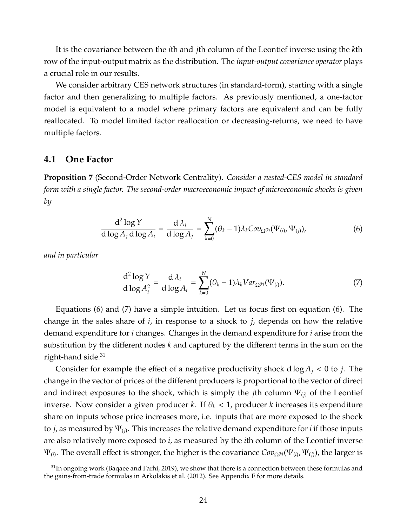It is the covariance between the *i*th and *j*th column of the Leontief inverse using the *k*th row of the input-output matrix as the distribution. The *input-output covariance operator* plays a crucial role in our results.

We consider arbitrary CES network structures (in standard-form), starting with a single factor and then generalizing to multiple factors. As previously mentioned, a one-factor model is equivalent to a model where primary factors are equivalent and can be fully reallocated. To model limited factor reallocation or decreasing-returns, we need to have multiple factors.

### <span id="page-24-3"></span>**4.1 One Factor**

<span id="page-24-2"></span>**Proposition 7** (Second-Order Network Centrality)**.** *Consider a nested-CES model in standard form with a single factor. The second-order macroeconomic impact of microeconomic shocks is given by*

$$
\frac{d^2 \log Y}{d \log A_j d \log A_i} = \frac{d \lambda_i}{d \log A_j} = \sum_{k=0}^N (\theta_k - 1) \lambda_k Cov_{\Omega^{(k)}}(\Psi_{(i)}, \Psi_{(j)}),
$$
(6)

*and in particular*

<span id="page-24-1"></span><span id="page-24-0"></span>
$$
\frac{\mathrm{d}^2 \log Y}{\mathrm{d} \log A_i^2} = \frac{\mathrm{d} \lambda_i}{\mathrm{d} \log A_i} = \sum_{k=0}^N (\theta_k - 1) \lambda_k Var_{\Omega^{(k)}}(\Psi_{(i)}).
$$
(7)

Equations [\(6\)](#page-24-0) and [\(7\)](#page-24-1) have a simple intuition. Let us focus first on equation [\(6\)](#page-24-0). The change in the sales share of *i*, in response to a shock to *j*, depends on how the relative demand expenditure for *i* changes. Changes in the demand expenditure for *i* arise from the substitution by the different nodes *k* and captured by the different terms in the sum on the right-hand side. $31$ 

Consider for example the effect of a negative productivity shock  $d \log A_i < 0$  to *j*. The change in the vector of prices of the different producers is proportional to the vector of direct and indirect exposures to the shock, which is simply the *j*th column  $\Psi_{(i)}$  of the Leontief inverse. Now consider a given producer *k*. If  $\theta_k$  < 1, producer *k* increases its expenditure share on inputs whose price increases more, i.e. inputs that are more exposed to the shock to *j*, as measured by Ψ(*j*) . This increases the relative demand expenditure for *i* if those inputs are also relatively more exposed to *i*, as measured by the *i*th column of the Leontief inverse  $\Psi_{(i)}.$  The overall effect is stronger, the higher is the covariance  $Cov_{\Omega^{(k)}}(\Psi_{(i)},\Psi_{(j)}),$  the larger is

 $31$ In ongoing work [\(Baqaee and Farhi, 2019\)](#page-49-22), we show that there is a connection between these formulas and the gains-from-trade formulas in [Arkolakis et al.](#page-48-10) [\(2012\)](#page-48-10). See Appendix [F](#page-70-0) for more details.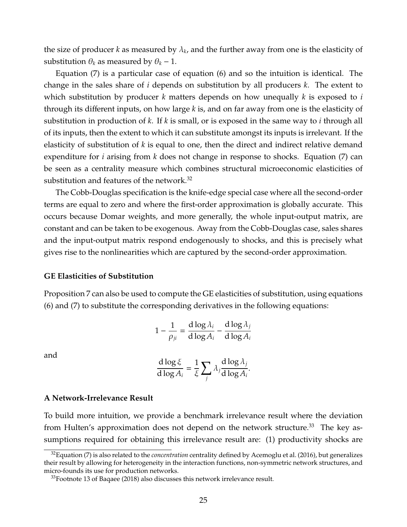the size of producer  $k$  as measured by  $\lambda_k$ , and the further away from one is the elasticity of substitution  $\theta_k$  as measured by  $\theta_k$  – 1.

Equation [\(7\)](#page-24-1) is a particular case of equation [\(6\)](#page-24-0) and so the intuition is identical. The change in the sales share of *i* depends on substitution by all producers *k*. The extent to which substitution by producer *k* matters depends on how unequally *k* is exposed to *i* through its different inputs, on how large *k* is, and on far away from one is the elasticity of substitution in production of *k*. If *k* is small, or is exposed in the same way to *i* through all of its inputs, then the extent to which it can substitute amongst its inputs is irrelevant. If the elasticity of substitution of *k* is equal to one, then the direct and indirect relative demand expenditure for *i* arising from *k* does not change in response to shocks. Equation [\(7\)](#page-24-1) can be seen as a centrality measure which combines structural microeconomic elasticities of substitution and features of the network.<sup>[32](#page--1-0)</sup>

The Cobb-Douglas specification is the knife-edge special case where all the second-order terms are equal to zero and where the first-order approximation is globally accurate. This occurs because Domar weights, and more generally, the whole input-output matrix, are constant and can be taken to be exogenous. Away from the Cobb-Douglas case, sales shares and the input-output matrix respond endogenously to shocks, and this is precisely what gives rise to the nonlinearities which are captured by the second-order approximation.

### **GE Elasticities of Substitution**

Proposition [7](#page-24-2) can also be used to compute the GE elasticities of substitution, using equations [\(6\)](#page-24-0) and [\(7\)](#page-24-1) to substitute the corresponding derivatives in the following equations:

$$
1 - \frac{1}{\rho_{ji}} = \frac{d \log \lambda_i}{d \log A_i} - \frac{d \log \lambda_j}{d \log A_i}
$$

and

$$
\frac{d \log \xi}{d \log A_i} = \frac{1}{\xi} \sum_j \lambda_j \frac{d \log \lambda_j}{d \log A_i}.
$$

#### **A Network-Irrelevance Result**

To build more intuition, we provide a benchmark irrelevance result where the deviation from Hulten's approximation does not depend on the network structure.<sup>[33](#page--1-0)</sup> The key assumptions required for obtaining this irrelevance result are: (1) productivity shocks are

<sup>32</sup>Equation [\(7\)](#page-24-1) is also related to the *concentration* centrality defined by [Acemoglu et al.](#page-48-4) [\(2016\)](#page-48-4), but generalizes their result by allowing for heterogeneity in the interaction functions, non-symmetric network structures, and micro-founds its use for production networks.

<sup>&</sup>lt;sup>33</sup>Footnote 13 of [Baqaee](#page-48-7) [\(2018\)](#page-48-7) also discusses this network irrelevance result.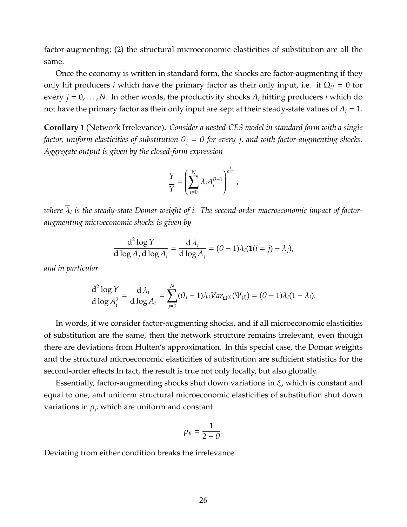factor-augmenting; (2) the structural microeconomic elasticities of substitution are all the same.

Once the economy is written in standard form, the shocks are factor-augmenting if they only hit producers *i* which have the primary factor as their only input, i.e. if  $\Omega_{ij} = 0$  for every  $j = 0, \ldots, N$ . In other words, the productivity shocks  $A_i$  hitting producers *i* which do not have the primary factor as their only input are kept at their steady-state values of  $A_i = 1$ .

<span id="page-26-0"></span>**Corollary 1** (Network Irrelevance)**.** *Consider a nested-CES model in standard form with a single factor, uniform elasticities of substitution*  $\theta_i = \theta$  *for every j, and with factor-augmenting shocks. Aggregate output is given by the closed-form expression*

<span id="page-26-1"></span>
$$
\frac{Y}{\overline{Y}} = \left(\sum_{i=0}^{N} \overline{\lambda}_{i} A_{i}^{\theta - 1}\right)^{\frac{1}{\theta - 1}},
$$

*where* λ*<sup>i</sup> is the steady-state Domar weight of i. The second-order macroeconomic impact of factoraugmenting microeconomic shocks is given by*

$$
\frac{d^2 \log Y}{d \log A_j d \log A_i} = \frac{d \lambda_i}{d \log A_j} = (\theta - 1)\lambda_i (1(i = j) - \lambda_j),
$$

*and in particular*

$$
\frac{d^2 \log Y}{d \log A_i^2} = \frac{d \lambda_i}{d \log A_i} = \sum_{j=0}^N (\theta_j - 1) \lambda_j Var_{\Omega^{(j)}}(\Psi_{(i)}) = (\theta - 1) \lambda_i (1 - \lambda_i).
$$

In words, if we consider factor-augmenting shocks, and if all microeconomic elasticities of substitution are the same, then the network structure remains irrelevant, even though there are deviations from Hulten's approximation. In this special case, the Domar weights and the structural microeconomic elasticities of substitution are sufficient statistics for the second-order effects.In fact, the result is true not only locally, but also globally.

Essentially, factor-augmenting shocks shut down variations in  $\xi$ , which is constant and equal to one, and uniform structural microeconomic elasticities of substitution shut down variations in  $\rho_{ji}$  which are uniform and constant

$$
\rho_{ji}=\frac{1}{2-\theta}.
$$

Deviating from either condition breaks the irrelevance.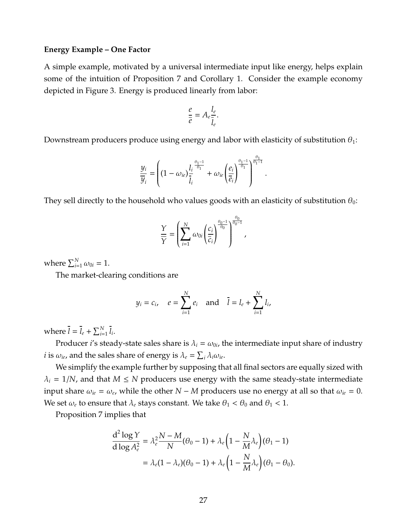#### **Energy Example – One Factor**

A simple example, motivated by a universal intermediate input like energy, helps explain some of the intuition of Proposition [7](#page-24-2) and Corollary [1.](#page-26-0) Consider the example economy depicted in Figure [3.](#page-28-0) Energy is produced linearly from labor:

$$
\frac{e}{\overline{e}} = A_e \frac{l_e}{\overline{l}_e}.
$$

Downstream producers produce using energy and labor with elasticity of substitution  $\theta_1$ :

$$
\frac{y_i}{\overline{y}_i} = \left( (1 - \omega_{ie}) \frac{l_i^{\frac{\theta_1 - 1}{\theta_1}}}{\overline{l}_i} + \omega_{ie} \left( \frac{e_i}{\overline{e}_i} \right)^{\frac{\theta_1 - 1}{\theta_1}} \right)^{\frac{\theta_1}{\theta_1 - 1}}.
$$

They sell directly to the household who values goods with an elasticity of substitution  $\theta_0$ :

$$
\frac{\Upsilon}{\overline{\Upsilon}} = \left(\sum_{i=1}^N \omega_{0i} \left(\frac{c_i}{\overline{c}_i}\right)^{\frac{\theta_0 - 1}{\theta_0}}\right)^{\frac{\theta_0}{\theta_0 - 1}},
$$

where  $\sum_{i=1}^{N} \omega_{0i} = 1$ .

The market-clearing conditions are

$$
y_i = c_i
$$
,  $e = \sum_{i=1}^{N} e_i$  and  $\bar{l} = l_e + \sum_{i=1}^{N} l_i$ ,

where  $\overline{l} = \overline{l}_e + \sum_{i=1}^N \overline{l}_i$ .

Producer *i'*s steady-state sales share is  $\lambda_i = \omega_{0i}$ , the intermediate input share of industry *i* is  $\omega_{ie}$ , and the sales share of energy is  $\lambda_e = \sum_i \lambda_i \omega_{ie}$ .

We simplify the example further by supposing that all final sectors are equally sized with  $\lambda_i = 1/N$ , and that  $M \leq N$  producers use energy with the same steady-state intermediate input share  $\omega_{ie} = \omega_{e}$ , while the other *N* − *M* producers use no energy at all so that  $\omega_{ie} = 0$ . We set  $\omega_e$  to ensure that  $\lambda_e$  stays constant. We take  $\theta_1 < \theta_0$  and  $\theta_1 < 1$ .

Proposition [7](#page-24-2) implies that

$$
\frac{d^2 \log Y}{d \log A_e^2} = \lambda_e^2 \frac{N - M}{N} (\theta_0 - 1) + \lambda_e \left(1 - \frac{N}{M} \lambda_e\right) (\theta_1 - 1)
$$
  
=  $\lambda_e (1 - \lambda_e) (\theta_0 - 1) + \lambda_e \left(1 - \frac{N}{M} \lambda_e\right) (\theta_1 - \theta_0).$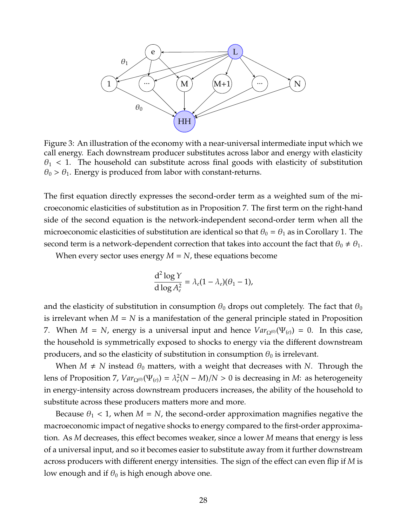<span id="page-28-0"></span>

Figure 3: An illustration of the economy with a near-universal intermediate input which we call energy. Each downstream producer substitutes across labor and energy with elasticity  $\theta_1$  < 1. The household can substitute across final goods with elasticity of substitution  $\theta_0 > \theta_1$ . Energy is produced from labor with constant-returns.

The first equation directly expresses the second-order term as a weighted sum of the microeconomic elasticities of substitution as in Proposition [7.](#page-24-2) The first term on the right-hand side of the second equation is the network-independent second-order term when all the microeconomic elasticities of substitution are identical so that  $\theta_0 = \theta_1$  as in Corollary [1.](#page-26-0) The second term is a network-dependent correction that takes into account the fact that  $\theta_0 \neq \theta_1$ .

When every sector uses energy *M* = *N*, these equations become

$$
\frac{\mathrm{d}^2\log Y}{\mathrm{d}\log A_e^2} = \lambda_e(1-\lambda_e)(\theta_1-1),
$$

and the elasticity of substitution in consumption  $\theta_0$  drops out completely. The fact that  $\theta_0$ is irrelevant when  $M = N$  is a manifestation of the general principle stated in Proposition [7.](#page-24-2) When  $M = N$ , energy is a universal input and hence  $Var_{\Omega^{(0)}}(\Psi_{(e)}) = 0$ . In this case, the household is symmetrically exposed to shocks to energy via the different downstream producers, and so the elasticity of substitution in consumption  $\theta_0$  is irrelevant.

When  $M \neq N$  instead  $\theta_0$  matters, with a weight that decreases with *N*. Through the lens of Proposition [7,](#page-24-2)  $Var_{\Omega^{(0)}}(\Psi_{(e)}) = \lambda_e^2(N-M)/N > 0$  is decreasing in *M*: as heterogeneity in energy-intensity across downstream producers increases, the ability of the household to substitute across these producers matters more and more.

Because  $\theta_1$  < 1, when  $M = N$ , the second-order approximation magnifies negative the macroeconomic impact of negative shocks to energy compared to the first-order approximation. As *M* decreases, this effect becomes weaker, since a lower *M* means that energy is less of a universal input, and so it becomes easier to substitute away from it further downstream across producers with different energy intensities. The sign of the effect can even flip if *M* is low enough and if  $\theta_0$  is high enough above one.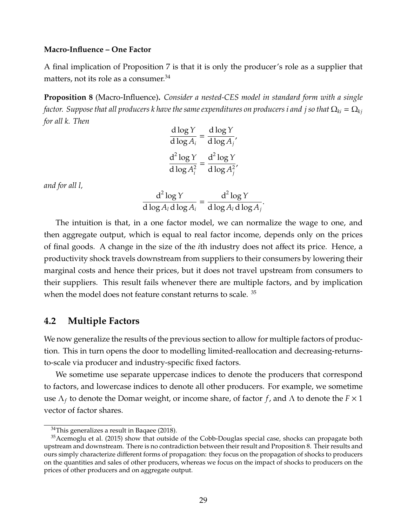#### **Macro-Influence – One Factor**

A final implication of Proposition [7](#page-24-2) is that it is only the producer's role as a supplier that matters, not its role as a consumer.<sup>[34](#page--1-0)</sup>

<span id="page-29-0"></span>**Proposition 8** (Macro-Influence)**.** *Consider a nested-CES model in standard form with a single factor. Suppose that all producers k have the same expenditures on producers i and j so that*  $\Omega_{ki} = \Omega_{ki}$ *for all k. Then*

$$
\frac{d \log Y}{d \log A_i} = \frac{d \log Y}{d \log A_j'},
$$

$$
\frac{d^2 \log Y}{d \log A_i^2} = \frac{d^2 \log Y}{d \log A_j^2},
$$

*and for all l,*

$$
\frac{d^2 \log Y}{d \log A_l d \log A_i} = \frac{d^2 \log Y}{d \log A_l d \log A_j}.
$$

The intuition is that, in a one factor model, we can normalize the wage to one, and then aggregate output, which is equal to real factor income, depends only on the prices of final goods. A change in the size of the *i*th industry does not affect its price. Hence, a productivity shock travels downstream from suppliers to their consumers by lowering their marginal costs and hence their prices, but it does not travel upstream from consumers to their suppliers. This result fails whenever there are multiple factors, and by implication when the model does not feature constant returns to scale. [35](#page--1-0)

# **4.2 Multiple Factors**

We now generalize the results of the previous section to allow for multiple factors of production. This in turn opens the door to modelling limited-reallocation and decreasing-returnsto-scale via producer and industry-specific fixed factors.

We sometime use separate uppercase indices to denote the producers that correspond to factors, and lowercase indices to denote all other producers. For example, we sometime use Λ*<sup>f</sup>* to denote the Domar weight, or income share, of factor *f*, and Λ to denote the *F* × 1 vector of factor shares.

 $34$ This generalizes a result in [Baqaee](#page-48-7) [\(2018\)](#page-48-7).

<sup>&</sup>lt;sup>35</sup>[Acemoglu et al.](#page-48-11) [\(2015\)](#page-48-11) show that outside of the Cobb-Douglas special case, shocks can propagate both upstream and downstream. There is no contradiction between their result and Proposition [8.](#page-29-0) Their results and ours simply characterize different forms of propagation: they focus on the propagation of shocks to producers on the quantities and sales of other producers, whereas we focus on the impact of shocks to producers on the prices of other producers and on aggregate output.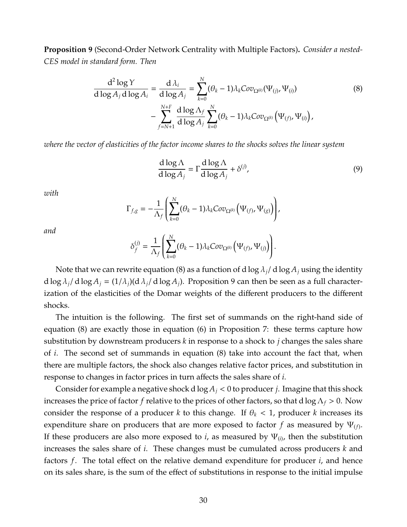<span id="page-30-0"></span>**Proposition 9** (Second-Order Network Centrality with Multiple Factors)**.** *Consider a nested-CES model in standard form. Then*

$$
\frac{d^2 \log Y}{d \log A_j d \log A_i} = \frac{d \lambda_i}{d \log A_j} = \sum_{k=0}^N (\theta_k - 1) \lambda_k Cov_{\Omega^{(k)}}(\Psi_{(j)}, \Psi_{(i)})
$$
\n
$$
- \sum_{f=N+1}^{N+F} \frac{d \log \Lambda_f}{d \log A_j} \sum_{k=0}^N (\theta_k - 1) \lambda_k Cov_{\Omega^{(k)}}(\Psi_{(f)}, \Psi_{(i)}),
$$
\n(8)

*where the vector of elasticities of the factor income shares to the shocks solves the linear system*

<span id="page-30-1"></span>
$$
\frac{\mathrm{d}\log\Lambda}{\mathrm{d}\log A_j} = \Gamma \frac{\mathrm{d}\log\Lambda}{\mathrm{d}\log A_j} + \delta^{(j)},\tag{9}
$$

*with*

$$
\Gamma_{f,g} = -\frac{1}{\Lambda_f} \left( \sum_{k=0}^N (\theta_k - 1) \lambda_k Cov_{\Omega^{(k)}} \left( \Psi_{(f)}, \Psi_{(g)} \right) \right),
$$

*and*

$$
\delta_f^{(j)} = \frac{1}{\Lambda_f}\left(\sum_{k=0}^N (\theta_k - 1)\lambda_k Cov_{\Omega^{(k)}}\left(\Psi_{(f)}, \Psi_{(j)}\right)\right).
$$

Note that we can rewrite equation [\(8\)](#page-26-1) as a function of d  $\log \lambda_i / d \log A_i$  using the identity d log  $\lambda_i$ / d log  $A_i = (1/\lambda_i)(d \lambda_i/d \log A_i)$ . Proposition [9](#page-30-0) can then be seen as a full characterization of the elasticities of the Domar weights of the different producers to the different shocks.

The intuition is the following. The first set of summands on the right-hand side of equation [\(8\)](#page-26-1) are exactly those in equation [\(6\)](#page-24-0) in Proposition [7:](#page-24-2) these terms capture how substitution by downstream producers *k* in response to a shock to *j* changes the sales share of *i*. The second set of summands in equation [\(8\)](#page-26-1) take into account the fact that, when there are multiple factors, the shock also changes relative factor prices, and substitution in response to changes in factor prices in turn affects the sales share of *i*.

Consider for example a negative shock d  $\log A_i < 0$  to producer *j*. Imagine that this shock increases the price of factor *f* relative to the prices of other factors, so that d  $\log \Lambda_f > 0$ . Now consider the response of a producer *k* to this change. If  $\theta_k$  < 1, producer *k* increases its expenditure share on producers that are more exposed to factor  $f$  as measured by  $\Psi_{(f)}.$ If these producers are also more exposed to *i*, as measured by  $\Psi_{(i)}$ , then the substitution increases the sales share of *i*. These changes must be cumulated across producers *k* and factors *f*. The total effect on the relative demand expenditure for producer *i*, and hence on its sales share, is the sum of the effect of substitutions in response to the initial impulse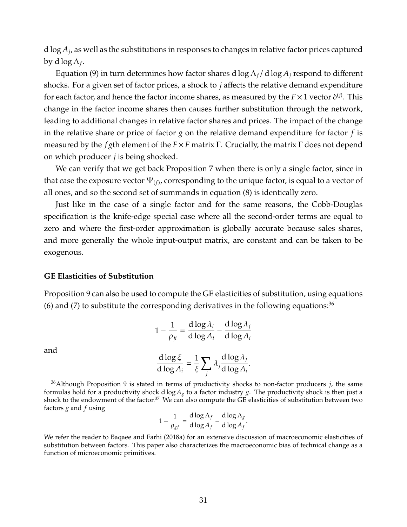d log *A<sup>j</sup>* , as well as the substitutions in responses to changes in relative factor prices captured by d log  $\Lambda_f.$ 

Equation [\(9\)](#page-30-1) in turn determines how factor shares d  $\log \Lambda_f / d \log A_i$  respond to different shocks. For a given set of factor prices, a shock to *j* affects the relative demand expenditure for each factor, and hence the factor income shares, as measured by the  $F \times 1$  vector  $\delta^{(j)}$ . This change in the factor income shares then causes further substitution through the network, leading to additional changes in relative factor shares and prices. The impact of the change in the relative share or price of factor *g* on the relative demand expenditure for factor *f* is measured by the *f g*th element of the *F*×*F* matrix Γ. Crucially, the matrix Γ does not depend on which producer *j* is being shocked.

We can verify that we get back Proposition [7](#page-24-2) when there is only a single factor, since in that case the exposure vector  $\Psi_{(f)}$ , corresponding to the unique factor, is equal to a vector of all ones, and so the second set of summands in equation [\(8\)](#page-26-1) is identically zero.

Just like in the case of a single factor and for the same reasons, the Cobb-Douglas specification is the knife-edge special case where all the second-order terms are equal to zero and where the first-order approximation is globally accurate because sales shares, and more generally the whole input-output matrix, are constant and can be taken to be exogenous.

### **GE Elasticities of Substitution**

Proposition [9](#page-30-0) can also be used to compute the GE elasticities of substitution, using equations [\(6\)](#page-24-0) and [\(7\)](#page-24-1) to substitute the corresponding derivatives in the following equations:<sup>[36](#page--1-0)</sup>

$$
1 - \frac{1}{\rho_{ji}} = \frac{d \log \lambda_i}{d \log A_i} - \frac{d \log \lambda_j}{d \log A_i}
$$

and

$$
\frac{d \log \xi}{d \log A_i} = \frac{1}{\xi} \sum_j \lambda_j \frac{d \log \lambda_j}{d \log A_i}.
$$

$$
1 - \frac{1}{\rho_{gf}} = \frac{d \log \Lambda_f}{d \log A_f} - \frac{d \log \Lambda_g}{d \log A_f}.
$$

<sup>36</sup>Although Proposition [9](#page-30-0) is stated in terms of productivity shocks to non-factor producers *j*, the same formulas hold for a productivity shock d log *A<sup>g</sup>* to a factor industry *g*. The productivity shock is then just a shock to the endowment of the factor.<sup>[37](#page--1-0)</sup> We can also compute the GE elasticities of substitution between two factors *g* and *f* using

We refer the reader to [Baqaee and Farhi](#page-48-12) [\(2018a\)](#page-48-12) for an extensive discussion of macroeconomic elasticities of substitution between factors. This paper also characterizes the macroeconomic bias of technical change as a function of microeconomic primitives.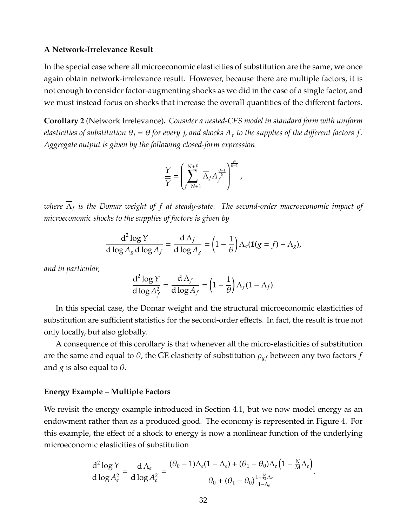### **A Network-Irrelevance Result**

In the special case where all microeconomic elasticities of substitution are the same, we once again obtain network-irrelevance result. However, because there are multiple factors, it is not enough to consider factor-augmenting shocks as we did in the case of a single factor, and we must instead focus on shocks that increase the overall quantities of the different factors.

<span id="page-32-0"></span>**Corollary 2** (Network Irrelevance)**.** *Consider a nested-CES model in standard form with uniform elasticities of substitution*  $\theta_i = \theta$  *for every j, and shocks*  $A_f$  *to the supplies of the different factors f*. *Aggregate output is given by the following closed-form expression*

$$
\frac{\Upsilon}{\overline{\Upsilon}} = \left(\sum_{f=N+1}^{N+F} \overline{\Lambda}_f A_f^{\frac{\theta-1}{\theta}}\right)^{\frac{\theta}{\theta-1}},
$$

*where* Λ*<sup>f</sup> is the Domar weight of f at steady-state. The second-order macroeconomic impact of microeconomic shocks to the supplies of factors is given by*

$$
\frac{d^2 \log Y}{d \log A_g d \log A_f} = \frac{d \Lambda_f}{d \log A_g} = \left(1 - \frac{1}{\theta}\right) \Lambda_g (\mathbf{1}(g = f) - \Lambda_g),
$$

*and in particular,*

$$
\frac{d^2 \log Y}{d \log A_f^2} = \frac{d \Lambda_f}{d \log A_f} = \left(1 - \frac{1}{\theta}\right) \Lambda_f (1 - \Lambda_f).
$$

In this special case, the Domar weight and the structural microeconomic elasticities of substitution are sufficient statistics for the second-order effects. In fact, the result is true not only locally, but also globally.

A consequence of this corollary is that whenever all the micro-elasticities of substitution are the same and equal to  $\theta$ , the GE elasticity of substitution  $\rho_{gf}$  between any two factors  $f$ and *g* is also equal to  $\theta$ .

### **Energy Example – Multiple Factors**

We revisit the energy example introduced in Section [4.1,](#page-24-3) but we now model energy as an endowment rather than as a produced good. The economy is represented in Figure [4.](#page-33-0) For this example, the effect of a shock to energy is now a nonlinear function of the underlying microeconomic elasticities of substitution

$$
\frac{d^2 \log Y}{d \log A_e^2} = \frac{d \Lambda_e}{d \log A_e^2} = \frac{(\theta_0 - 1)\Lambda_e (1 - \Lambda_e) + (\theta_1 - \theta_0)\Lambda_e \left(1 - \frac{N}{M}\Lambda_e\right)}{\theta_0 + (\theta_1 - \theta_0)\frac{1 - \frac{N}{M}\Lambda_e}{1 - \Lambda_e}}.
$$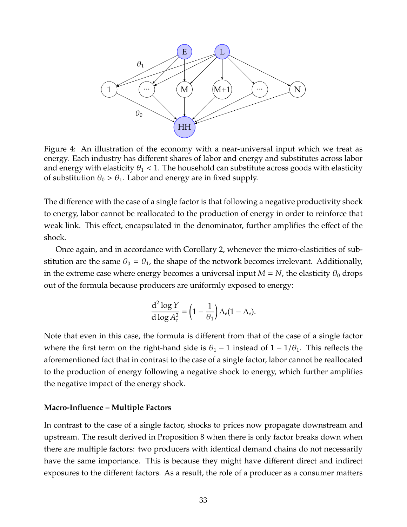<span id="page-33-0"></span>

Figure 4: An illustration of the economy with a near-universal input which we treat as energy. Each industry has different shares of labor and energy and substitutes across labor and energy with elasticity  $\theta_1$  < 1. The household can substitute across goods with elasticity of substitution  $\theta_0 > \theta_1$ . Labor and energy are in fixed supply.

The difference with the case of a single factor is that following a negative productivity shock to energy, labor cannot be reallocated to the production of energy in order to reinforce that weak link. This effect, encapsulated in the denominator, further amplifies the effect of the shock.

Once again, and in accordance with Corollary [2,](#page-32-0) whenever the micro-elasticities of substitution are the same  $\theta_0 = \theta_1$ , the shape of the network becomes irrelevant. Additionally, in the extreme case where energy becomes a universal input  $M = N$ , the elasticity  $\theta_0$  drops out of the formula because producers are uniformly exposed to energy:

$$
\frac{d^2 \log Y}{d \log A_e^2} = \left(1 - \frac{1}{\theta_1}\right) \Lambda_e (1 - \Lambda_e).
$$

Note that even in this case, the formula is different from that of the case of a single factor where the first term on the right-hand side is  $\theta_1$  – 1 instead of 1 – 1/ $\theta_1$ . This reflects the aforementioned fact that in contrast to the case of a single factor, labor cannot be reallocated to the production of energy following a negative shock to energy, which further amplifies the negative impact of the energy shock.

### **Macro-Influence – Multiple Factors**

In contrast to the case of a single factor, shocks to prices now propagate downstream and upstream. The result derived in Proposition [8](#page-29-0) when there is only factor breaks down when there are multiple factors: two producers with identical demand chains do not necessarily have the same importance. This is because they might have different direct and indirect exposures to the different factors. As a result, the role of a producer as a consumer matters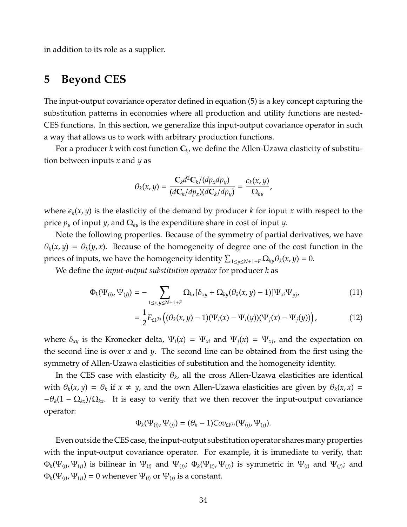in addition to its role as a supplier.

# <span id="page-34-0"></span>**5 Beyond CES**

The input-output covariance operator defined in equation [\(5\)](#page-23-0) is a key concept capturing the substitution patterns in economies where all production and utility functions are nested-CES functions. In this section, we generalize this input-output covariance operator in such a way that allows us to work with arbitrary production functions.

For a producer *k* with cost function **C***<sup>k</sup>* , we define the Allen-Uzawa elasticity of substitution between inputs *x* and *y* as

$$
\theta_k(x,y)=\frac{\mathbf{C}_k d^2 \mathbf{C}_k/(dp_x dp_y)}{(d\mathbf{C}_k/dp_x)(d\mathbf{C}_k/dp_y)}=\frac{\epsilon_k(x,y)}{\Omega_{ky}},
$$

where  $\epsilon_k(x, y)$  is the elasticity of the demand by producer *k* for input *x* with respect to the price  $p_y$  of input *y*, and  $\Omega_{k_y}$  is the expenditure share in cost of input *y*.

Note the following properties. Because of the symmetry of partial derivatives, we have  $\theta_k(x, y) = \theta_k(y, x)$ . Because of the homogeneity of degree one of the cost function in the prices of inputs, we have the homogeneity identity  $\sum_{1 \le y \le N+1+F} \Omega_{ky} \theta_k(x, y) = 0$ .

We define the *input-output substitution operator* for producer *k* as

$$
\Phi_k(\Psi_{(i)}, \Psi_{(j)}) = - \sum_{1 \le x, y \le N+1+F} \Omega_{kx} [\delta_{xy} + \Omega_{ky} (\theta_k(x, y) - 1)] \Psi_{xi} \Psi_{yj}, \tag{11}
$$

<span id="page-34-2"></span><span id="page-34-1"></span>
$$
= \frac{1}{2} E_{\Omega^{(k)}} ((\theta_k(x, y) - 1)(\Psi_i(x) - \Psi_i(y))(\Psi_j(x) - \Psi_j(y))), \qquad (12)
$$

where  $\delta_{xy}$  is the Kronecker delta,  $\Psi_i(x) = \Psi_{xi}$  and  $\Psi_i(x) = \Psi_{x,i}$ , and the expectation on the second line is over *x* and *y*. The second line can be obtained from the first using the symmetry of Allen-Uzawa elasticities of substitution and the homogeneity identity.

In the CES case with elasticity  $\theta_k$ , all the cross Allen-Uzawa elasticities are identical with  $\theta_k(x, y) = \theta_k$  if  $x \neq y$ , and the own Allen-Uzawa elasticities are given by  $\theta_k(x, x) =$  $-\theta_k(1-\Omega_{kx})/\Omega_{kx}$ . It is easy to verify that we then recover the input-output covariance operator:

$$
\Phi_k(\Psi_{(i)}, \Psi_{(j)}) = (\theta_k - 1)Cov_{\Omega^{(k)}}(\Psi_{(i)}, \Psi_{(j)}).
$$

Even outside the CES case, the input-output substitution operator shares many properties with the input-output covariance operator. For example, it is immediate to verify, that:  $\Phi_k(\Psi_{(i)},\Psi_{(j)})$  is bilinear in  $\Psi_{(i)}$  and  $\Psi_{(j)}$ ;  $\Phi_k(\Psi_{(i)},\Psi_{(j)})$  is symmetric in  $\Psi_{(i)}$  and  $\Psi_{(j)}$ ; and  $\Phi_k(\Psi_{(i)},\Psi_{(j)})=0$  whenever  $\Psi_{(i)}$  or  $\Psi_{(j)}$  is a constant.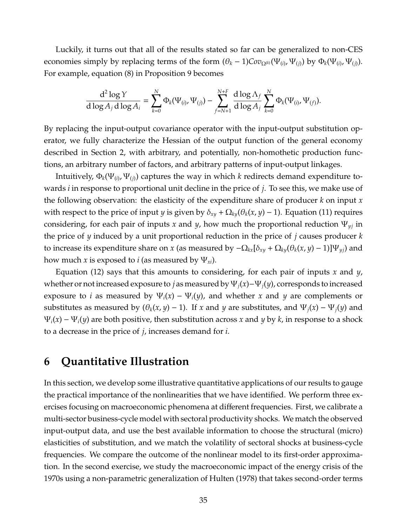Luckily, it turns out that all of the results stated so far can be generalized to non-CES economies simply by replacing terms of the form  $(\theta_k - 1)Cov_{\Omega^{(k)}}(\Psi_{(i)}, \Psi_{(j)})$  by  $\Phi_k(\Psi_{(i)}, \Psi_{(j)})$ . For example, equation [\(8\)](#page-26-1) in Proposition [9](#page-30-0) becomes

$$
\frac{\text{d}^2\log Y}{\text{d}\log A_j\,\text{d}\log A_i}=\sum_{k=0}^N \Phi_k(\Psi_{(i)},\Psi_{(j)})-\sum_{f=N+1}^{N+F}\frac{\text{d}\log\Lambda_f}{\text{d}\log A_j}\sum_{k=0}^N \Phi_k(\Psi_{(i)},\Psi_{(f)}).
$$

By replacing the input-output covariance operator with the input-output substitution operator, we fully characterize the Hessian of the output function of the general economy described in Section [2,](#page-6-0) with arbitrary, and potentially, non-homothetic production functions, an arbitrary number of factors, and arbitrary patterns of input-output linkages.

Intuitively,  $\Phi_k(\Psi_{(i)},\Psi_{(j)})$  captures the way in which  $k$  redirects demand expenditure towards *i* in response to proportional unit decline in the price of *j*. To see this, we make use of the following observation: the elasticity of the expenditure share of producer *k* on input *x* with respect to the price of input *y* is given by  $\delta_{xy} + \Omega_{ky}(\theta_k(x, y) - 1)$ . Equation [\(11\)](#page-34-1) requires considering, for each pair of inputs *x* and *y*, how much the proportional reduction Ψ*yj* in the price of *y* induced by a unit proportional reduction in the price of *j* causes producer *k* to increase its expenditure share on *x* (as measured by  $-\Omega_{kx}[\delta_{xy} + \Omega_{ky}(\theta_k(x, y) - 1)]\Psi_{y_i}$ ) and how much *x* is exposed to *i* (as measured by  $\Psi_{xi}$ ).

Equation [\(12\)](#page-34-2) says that this amounts to considering, for each pair of inputs *x* and *y*, whether or not increased exposure to *j* as measured by Ψ*j*(*x*)−Ψ*j*(*y*), corresponds to increased exposure to *i* as measured by  $\Psi_i(x) - \Psi_i(y)$ , and whether *x* and *y* are complements or substitutes as measured by  $(\theta_k(x, y) - 1)$ . If *x* and *y* are substitutes, and  $\Psi_i(x) - \Psi_i(y)$  and  $\Psi_i(x) - \Psi_i(y)$  are both positive, then substitution across x and y by k, in response to a shock to a decrease in the price of *j*, increases demand for *i*.

# <span id="page-35-0"></span>**6 Quantitative Illustration**

In this section, we develop some illustrative quantitative applications of our results to gauge the practical importance of the nonlinearities that we have identified. We perform three exercises focusing on macroeconomic phenomena at different frequencies. First, we calibrate a multi-sector business-cycle model with sectoral productivity shocks. We match the observed input-output data, and use the best available information to choose the structural (micro) elasticities of substitution, and we match the volatility of sectoral shocks at business-cycle frequencies. We compare the outcome of the nonlinear model to its first-order approximation. In the second exercise, we study the macroeconomic impact of the energy crisis of the 1970s using a non-parametric generalization of [Hulten](#page-50-0) [\(1978\)](#page-50-0) that takes second-order terms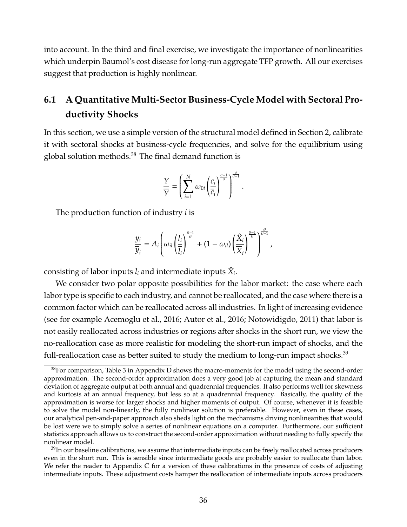into account. In the third and final exercise, we investigate the importance of nonlinearities which underpin Baumol's cost disease for long-run aggregate TFP growth. All our exercises suggest that production is highly nonlinear.

# <span id="page-36-0"></span>**6.1 A Quantitative Multi-Sector Business-Cycle Model with Sectoral Productivity Shocks**

In this section, we use a simple version of the structural model defined in Section [2,](#page-6-0) calibrate it with sectoral shocks at business-cycle frequencies, and solve for the equilibrium using global solution methods. $38$  The final demand function is

$$
\frac{Y}{\overline{Y}} = \left(\sum_{i=1}^{N} \omega_{0i} \left(\frac{c_i}{\overline{c}_i}\right)^{\frac{\sigma-1}{\sigma}}\right)^{\frac{\sigma}{\sigma-1}}
$$

.

The production function of industry *i* is

$$
\frac{y_i}{\overline{y}_i}=A_i\left(\omega_{il}\left(\frac{l_i}{\overline{l}_i}\right)^{\frac{\theta-1}{\theta}}+(1-\omega_{il})\left(\frac{\hat{X}_i}{\overline{X}_i}\right)^{\frac{\theta-1}{\theta}}\right)^{\frac{\theta}{\theta-1}},
$$

consisting of labor inputs  $l_i$  and intermediate inputs  $\hat{X}_i$ .

We consider two polar opposite possibilities for the labor market: the case where each labor type is specific to each industry, and cannot be reallocated, and the case where there is a common factor which can be reallocated across all industries. In light of increasing evidence (see for example [Acemoglu et al., 2016;](#page-48-0) [Autor et al., 2016;](#page-48-1) [Notowidigdo, 2011\)](#page-50-0) that labor is not easily reallocated across industries or regions after shocks in the short run, we view the no-reallocation case as more realistic for modeling the short-run impact of shocks, and the full-reallocation case as better suited to study the medium to long-run impact shocks.<sup>[39](#page--1-0)</sup>

 $38$ For comparison, Table [3](#page-63-0) in Appendix [D](#page-61-0) shows the macro-moments for the model using the second-order approximation. The second-order approximation does a very good job at capturing the mean and standard deviation of aggregate output at both annual and quadrennial frequencies. It also performs well for skewness and kurtosis at an annual frequency, but less so at a quadrennial frequency. Basically, the quality of the approximation is worse for larger shocks and higher moments of output. Of course, whenever it is feasible to solve the model non-linearly, the fully nonlinear solution is preferable. However, even in these cases, our analytical pen-and-paper approach also sheds light on the mechanisms driving nonlinearities that would be lost were we to simply solve a series of nonlinear equations on a computer. Furthermore, our sufficient statistics approach allows us to construct the second-order approximation without needing to fully specify the nonlinear model.

<sup>&</sup>lt;sup>39</sup>In our baseline calibrations, we assume that intermediate inputs can be freely reallocated across producers even in the short run. This is sensible since intermediate goods are probably easier to reallocate than labor. We refer the reader to Appendix [C](#page-61-1) for a version of these calibrations in the presence of costs of adjusting intermediate inputs. These adjustment costs hamper the reallocation of intermediate inputs across producers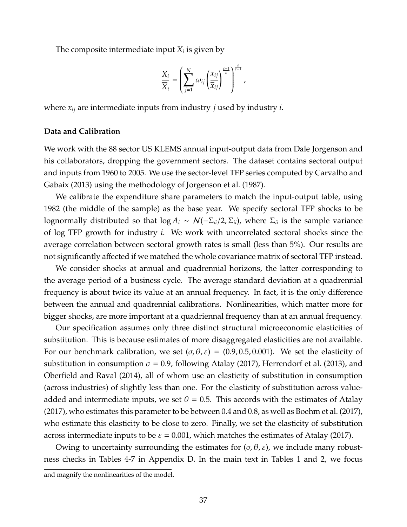The composite intermediate input *X<sup>i</sup>* is given by

$$
\frac{X_i}{\overline{X}_i} = \left(\sum_{j=1}^N \omega_{ij} \left(\frac{x_{ij}}{\overline{x}_{ij}}\right)^{\frac{\varepsilon-1}{\varepsilon}}\right)^{\frac{\varepsilon}{\varepsilon-1}},
$$

where *xij* are intermediate inputs from industry *j* used by industry *i*.

#### **Data and Calibration**

We work with the 88 sector US KLEMS annual input-output data from Dale Jorgenson and his collaborators, dropping the government sectors. The dataset contains sectoral output and inputs from 1960 to 2005. We use the sector-level TFP series computed by [Carvalho and](#page-49-0) [Gabaix](#page-49-0) [\(2013\)](#page-49-0) using the methodology of [Jorgenson et al.](#page-50-1) [\(1987\)](#page-50-1).

We calibrate the expenditure share parameters to match the input-output table, using 1982 (the middle of the sample) as the base year. We specify sectoral TFP shocks to be lognormally distributed so that  $\log A_i \sim \mathcal{N}(-\Sigma_{ii}/2, \Sigma_{ii})$ , where  $\Sigma_{ii}$  is the sample variance of log TFP growth for industry *i*. We work with uncorrelated sectoral shocks since the average correlation between sectoral growth rates is small (less than 5%). Our results are not significantly affected if we matched the whole covariance matrix of sectoral TFP instead.

We consider shocks at annual and quadrennial horizons, the latter corresponding to the average period of a business cycle. The average standard deviation at a quadrennial frequency is about twice its value at an annual frequency. In fact, it is the only difference between the annual and quadrennial calibrations. Nonlinearities, which matter more for bigger shocks, are more important at a quadriennal frequency than at an annual frequency.

Our specification assumes only three distinct structural microeconomic elasticities of substitution. This is because estimates of more disaggregated elasticities are not available. For our benchmark calibration, we set  $(\sigma, \theta, \varepsilon) = (0.9, 0.5, 0.001)$ . We set the elasticity of substitution in consumption  $\sigma = 0.9$ , following [Atalay](#page-48-2) [\(2017\)](#page-48-2), [Herrendorf et al.](#page-50-2) [\(2013\)](#page-50-2), and [Oberfield and Raval](#page-50-3) [\(2014\)](#page-50-3), all of whom use an elasticity of substitution in consumption (across industries) of slightly less than one. For the elasticity of substitution across valueadded and intermediate inputs, we set  $\theta = 0.5$ . This accords with the estimates of [Atalay](#page-48-2) [\(2017\)](#page-48-2), who estimates this parameter to be between 0.4 and 0.8, as well as [Boehm et al.](#page-49-1) [\(2017\)](#page-49-1), who estimate this elasticity to be close to zero. Finally, we set the elasticity of substitution across intermediate inputs to be  $\varepsilon = 0.001$ , which matches the estimates of [Atalay](#page-48-2) [\(2017\)](#page-48-2).

Owing to uncertainty surrounding the estimates for  $(\sigma, \theta, \varepsilon)$ , we include many robustness checks in Tables [4](#page-64-0)[-7](#page-67-0) in Appendix [D.](#page-61-0) In the main text in Tables [1](#page-39-0) and [2,](#page-62-0) we focus

and magnify the nonlinearities of the model.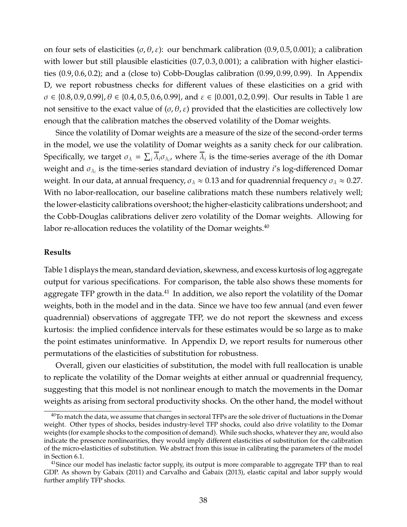on four sets of elasticities ( $\sigma$ ,  $\theta$ ,  $\varepsilon$ ): our benchmark calibration (0.9, 0.5, 0.001); a calibration with lower but still plausible elasticities  $(0.7, 0.3, 0.001)$ ; a calibration with higher elasticities (0.9, 0.6, 0.2); and a (close to) Cobb-Douglas calibration (0.99, 0.99, 0.99). In Appendix [D,](#page-61-0) we report robustness checks for different values of these elasticities on a grid with  $\sigma \in \{0.8, 0.9, 0.99\}, \theta \in \{0.4, 0.5, 0.6, 0.99\}, \text{ and } \varepsilon \in \{0.001, 0.2, 0.99\}.$  Our results in Table [1](#page-39-0) are not sensitive to the exact value of  $(σ, θ, ε)$  provided that the elasticities are collectively low enough that the calibration matches the observed volatility of the Domar weights.

Since the volatility of Domar weights are a measure of the size of the second-order terms in the model, we use the volatility of Domar weights as a sanity check for our calibration. Specifically, we target  $\sigma_{\lambda} = \sum_i \lambda_i \sigma_{\lambda_i}$ , where  $\lambda_i$  is the time-series average of the *i*th Domar weight and σ<sup>λ</sup>*<sup>i</sup>* is the time-series standard deviation of industry *i*'s log-differenced Domar weight. In our data, at annual frequency,  $\sigma_{\lambda} \approx 0.13$  and for quadrennial frequency  $\sigma_{\lambda} \approx 0.27$ . With no labor-reallocation, our baseline calibrations match these numbers relatively well; the lower-elasticity calibrations overshoot; the higher-elasticity calibrations undershoot; and the Cobb-Douglas calibrations deliver zero volatility of the Domar weights. Allowing for labor re-allocation reduces the volatility of the Domar weights. $40$ 

#### **Results**

Table [1](#page-39-0) displays the mean, standard deviation, skewness, and excess kurtosis of log aggregate output for various specifications. For comparison, the table also shows these moments for aggregate TFP growth in the data. $^{41}$  $^{41}$  $^{41}$  In addition, we also report the volatility of the Domar weights, both in the model and in the data. Since we have too few annual (and even fewer quadrennial) observations of aggregate TFP, we do not report the skewness and excess kurtosis: the implied confidence intervals for these estimates would be so large as to make the point estimates uninformative. In Appendix [D,](#page-61-0) we report results for numerous other permutations of the elasticities of substitution for robustness.

Overall, given our elasticities of substitution, the model with full reallocation is unable to replicate the volatility of the Domar weights at either annual or quadrennial frequency, suggesting that this model is not nonlinear enough to match the movements in the Domar weights as arising from sectoral productivity shocks. On the other hand, the model without

 $40$ To match the data, we assume that changes in sectoral TFPs are the sole driver of fluctuations in the Domar weight. Other types of shocks, besides industry-level TFP shocks, could also drive volatility to the Domar weights (for example shocks to the composition of demand). While such shocks, whatever they are, would also indicate the presence nonlinearities, they would imply different elasticities of substitution for the calibration of the micro-elasticities of substitution. We abstract from this issue in calibrating the parameters of the model in Section [6.1.](#page-36-0)

<sup>&</sup>lt;sup>41</sup>Since our model has inelastic factor supply, its output is more comparable to aggregate TFP than to real GDP. As shown by [Gabaix](#page-49-2) [\(2011\)](#page-49-2) and [Carvalho and Gabaix](#page-49-0) [\(2013\)](#page-49-0), elastic capital and labor supply would further amplify TFP shocks.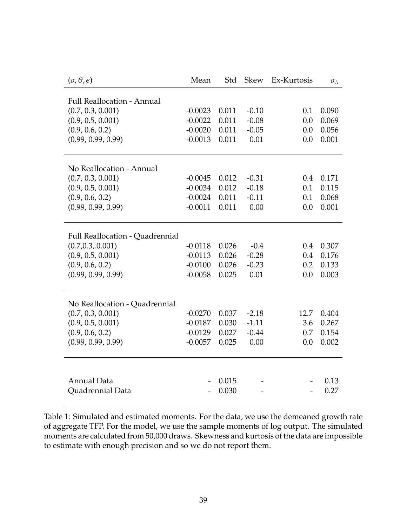<span id="page-39-0"></span>

| $(\sigma, \theta, \epsilon)$           | Mean      | Std   | <b>Skew</b> | Ex-Kurtosis | $\sigma_{\lambda}$ |
|----------------------------------------|-----------|-------|-------------|-------------|--------------------|
|                                        |           |       |             |             |                    |
| <b>Full Reallocation - Annual</b>      |           |       |             |             |                    |
| (0.7, 0.3, 0.001)                      | $-0.0023$ | 0.011 | $-0.10$     | 0.1         | 0.090              |
| (0.9, 0.5, 0.001)                      | $-0.0022$ | 0.011 | $-0.08$     | 0.0         | 0.069              |
| (0.9, 0.6, 0.2)                        | $-0.0020$ | 0.011 | $-0.05$     | 0.0         | 0.056              |
| (0.99, 0.99, 0.99)                     | $-0.0013$ | 0.011 | 0.01        | 0.0         | 0.001              |
|                                        |           |       |             |             |                    |
| No Reallocation - Annual               |           |       |             |             |                    |
| (0.7, 0.3, 0.001)                      | $-0.0045$ | 0.012 | $-0.31$     | 0.4         | 0.171              |
| (0.9, 0.5, 0.001)                      | $-0.0034$ | 0.012 | $-0.18$     | 0.1         | 0.115              |
| (0.9, 0.6, 0.2)                        | $-0.0024$ | 0.011 | $-0.11$     | 0.1         | 0.068              |
| (0.99, 0.99, 0.99)                     | $-0.0011$ | 0.011 | 0.00        | 0.0         | 0.001              |
|                                        |           |       |             |             |                    |
| <b>Full Reallocation - Quadrennial</b> |           |       |             |             |                    |
| (0.7, 0.3, 0.001)                      | $-0.0118$ | 0.026 | $-0.4$      | 0.4         | 0.307              |
| (0.9, 0.5, 0.001)                      | $-0.0113$ | 0.026 | $-0.28$     | 0.4         | 0.176              |
| (0.9, 0.6, 0.2)                        | $-0.0100$ | 0.026 | $-0.23$     | 0.2         | 0.133              |
| (0.99, 0.99, 0.99)                     | $-0.0058$ | 0.025 | 0.01        | 0.0         | 0.003              |
|                                        |           |       |             |             |                    |
|                                        |           |       |             |             |                    |
| No Reallocation - Quadrennial          |           |       |             |             |                    |
| (0.7, 0.3, 0.001)                      | $-0.0270$ | 0.037 | $-2.18$     | 12.7        | 0.404              |
| (0.9, 0.5, 0.001)                      | $-0.0187$ | 0.030 | $-1.11$     | 3.6         | 0.267              |
| (0.9, 0.6, 0.2)                        | $-0.0129$ | 0.027 | $-0.44$     | 0.7         | 0.154              |
| (0.99, 0.99, 0.99)                     | $-0.0057$ | 0.025 | 0.00        | 0.0         | 0.002              |
|                                        |           |       |             |             |                    |
|                                        |           |       |             |             |                    |
| <b>Annual Data</b>                     |           | 0.015 |             |             | 0.13               |
| Quadrennial Data                       |           | 0.030 |             |             | 0.27               |

Table 1: Simulated and estimated moments. For the data, we use the demeaned growth rate of aggregate TFP. For the model, we use the sample moments of log output. The simulated moments are calculated from 50,000 draws. Skewness and kurtosis of the data are impossible to estimate with enough precision and so we do not report them.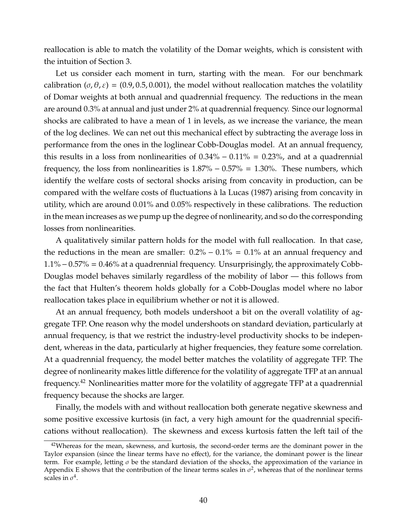reallocation is able to match the volatility of the Domar weights, which is consistent with the intuition of Section [3.](#page-15-0)

Let us consider each moment in turn, starting with the mean. For our benchmark calibration ( $\sigma$ ,  $\theta$ ,  $\varepsilon$ ) = (0.9, 0.5, 0.001), the model without reallocation matches the volatility of Domar weights at both annual and quadrennial frequency. The reductions in the mean are around 0.3% at annual and just under 2% at quadrennial frequency. Since our lognormal shocks are calibrated to have a mean of 1 in levels, as we increase the variance, the mean of the log declines. We can net out this mechanical effect by subtracting the average loss in performance from the ones in the loglinear Cobb-Douglas model. At an annual frequency, this results in a loss from nonlinearities of  $0.34\% - 0.11\% = 0.23\%$ , and at a quadrennial frequency, the loss from nonlinearities is  $1.87\% - 0.57\% = 1.30\%$ . These numbers, which identify the welfare costs of sectoral shocks arising from concavity in production, can be compared with the welfare costs of fluctuations a la [Lucas](#page-50-4) [\(1987\)](#page-50-4) arising from concavity in ` utility, which are around 0.01% and 0.05% respectively in these calibrations. The reduction in the mean increases as we pump up the degree of nonlinearity, and so do the corresponding losses from nonlinearities.

A qualitatively similar pattern holds for the model with full reallocation. In that case, the reductions in the mean are smaller:  $0.2\% - 0.1\% = 0.1\%$  at an annual frequency and 1.1% −0.57% = 0.46% at a quadrennial frequency. Unsurprisingly, the approximately Cobb-Douglas model behaves similarly regardless of the mobility of labor — this follows from the fact that Hulten's theorem holds globally for a Cobb-Douglas model where no labor reallocation takes place in equilibrium whether or not it is allowed.

At an annual frequency, both models undershoot a bit on the overall volatility of aggregate TFP. One reason why the model undershoots on standard deviation, particularly at annual frequency, is that we restrict the industry-level productivity shocks to be independent, whereas in the data, particularly at higher frequencies, they feature some correlation. At a quadrennial frequency, the model better matches the volatility of aggregate TFP. The degree of nonlinearity makes little difference for the volatility of aggregate TFP at an annual frequency.[42](#page--1-0) Nonlinearities matter more for the volatility of aggregate TFP at a quadrennial frequency because the shocks are larger.

Finally, the models with and without reallocation both generate negative skewness and some positive excessive kurtosis (in fact, a very high amount for the quadrennial specifications without reallocation). The skewness and excess kurtosis fatten the left tail of the

<sup>&</sup>lt;sup>42</sup>Whereas for the mean, skewness, and kurtosis, the second-order terms are the dominant power in the Taylor expansion (since the linear terms have no effect), for the variance, the dominant power is the linear term. For example, letting  $\sigma$  be the standard deviation of the shocks, the approximation of the variance in Appendix [E](#page-68-0) shows that the contribution of the linear terms scales in  $\sigma^2$ , whereas that of the nonlinear terms scales in  $\sigma^4$ .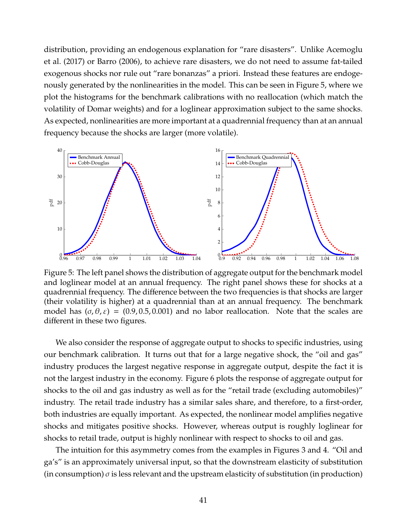distribution, providing an endogenous explanation for "rare disasters". Unlike [Acemoglu](#page-48-3) [et al.](#page-48-3) [\(2017\)](#page-48-3) or [Barro](#page-49-3) [\(2006\)](#page-49-3), to achieve rare disasters, we do not need to assume fat-tailed exogenous shocks nor rule out "rare bonanzas" a priori. Instead these features are endogenously generated by the nonlinearities in the model. This can be seen in Figure [5,](#page-41-0) where we plot the histograms for the benchmark calibrations with no reallocation (which match the volatility of Domar weights) and for a loglinear approximation subject to the same shocks. As expected, nonlinearities are more important at a quadrennial frequency than at an annual frequency because the shocks are larger (more volatile).

<span id="page-41-0"></span>

Figure 5: The left panel shows the distribution of aggregate output for the benchmark model and loglinear model at an annual frequency. The right panel shows these for shocks at a quadrennial frequency. The difference between the two frequencies is that shocks are larger (their volatility is higher) at a quadrennial than at an annual frequency. The benchmark model has  $(\sigma, \theta, \varepsilon) = (0.9, 0.5, 0.001)$  and no labor reallocation. Note that the scales are different in these two figures.

We also consider the response of aggregate output to shocks to specific industries, using our benchmark calibration. It turns out that for a large negative shock, the "oil and gas" industry produces the largest negative response in aggregate output, despite the fact it is not the largest industry in the economy. Figure [6](#page-42-0) plots the response of aggregate output for shocks to the oil and gas industry as well as for the "retail trade (excluding automobiles)" industry. The retail trade industry has a similar sales share, and therefore, to a first-order, both industries are equally important. As expected, the nonlinear model amplifies negative shocks and mitigates positive shocks. However, whereas output is roughly loglinear for shocks to retail trade, output is highly nonlinear with respect to shocks to oil and gas.

The intuition for this asymmetry comes from the examples in Figures [3](#page-28-0) and [4.](#page-33-0) "Oil and ga's" is an approximately universal input, so that the downstream elasticity of substitution (in consumption)  $\sigma$  is less relevant and the upstream elasticity of substitution (in production)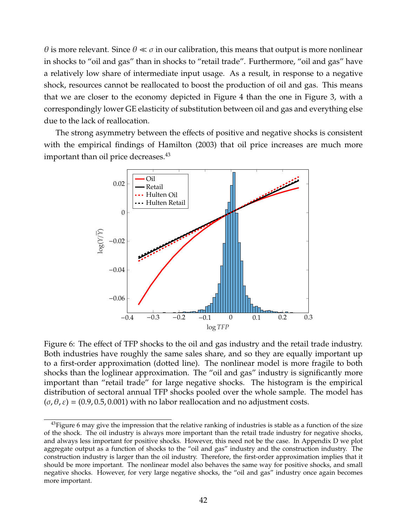θ is more relevant. Since  $θ \ll σ$  in our calibration, this means that output is more nonlinear in shocks to "oil and gas" than in shocks to "retail trade". Furthermore, "oil and gas" have a relatively low share of intermediate input usage. As a result, in response to a negative shock, resources cannot be reallocated to boost the production of oil and gas. This means that we are closer to the economy depicted in Figure [4](#page-33-0) than the one in Figure [3,](#page-28-0) with a correspondingly lower GE elasticity of substitution between oil and gas and everything else due to the lack of reallocation.

<span id="page-42-0"></span>The strong asymmetry between the effects of positive and negative shocks is consistent with the empirical findings of [Hamilton](#page-49-4) [\(2003\)](#page-49-4) that oil price increases are much more important than oil price decreases.<sup>[43](#page--1-0)</sup>



Figure 6: The effect of TFP shocks to the oil and gas industry and the retail trade industry. Both industries have roughly the same sales share, and so they are equally important up to a first-order approximation (dotted line). The nonlinear model is more fragile to both shocks than the loglinear approximation. The "oil and gas" industry is significantly more important than "retail trade" for large negative shocks. The histogram is the empirical distribution of sectoral annual TFP shocks pooled over the whole sample. The model has  $(\sigma, \theta, \varepsilon) = (0.9, 0.5, 0.001)$  with no labor reallocation and no adjustment costs.

 $43$ Figure [6](#page-42-0) may give the impression that the relative ranking of industries is stable as a function of the size of the shock. The oil industry is always more important than the retail trade industry for negative shocks, and always less important for positive shocks. However, this need not be the case. In Appendix [D](#page-61-0) we plot aggregate output as a function of shocks to the "oil and gas" industry and the construction industry. The construction industry is larger than the oil industry. Therefore, the first-order approximation implies that it should be more important. The nonlinear model also behaves the same way for positive shocks, and small negative shocks. However, for very large negative shocks, the "oil and gas" industry once again becomes more important.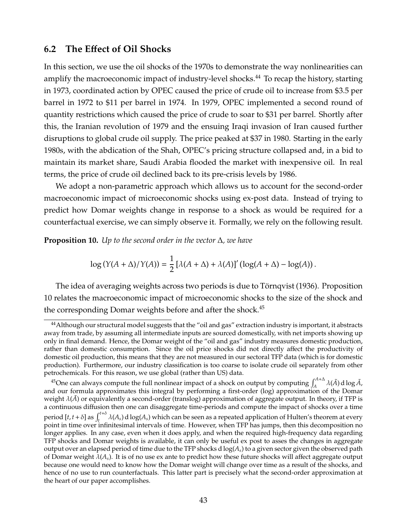### **6.2 The E**ff**ect of Oil Shocks**

In this section, we use the oil shocks of the 1970s to demonstrate the way nonlinearities can amplify the macroeconomic impact of industry-level shocks.<sup>[44](#page--1-0)</sup> To recap the history, starting in 1973, coordinated action by OPEC caused the price of crude oil to increase from \$3.5 per barrel in 1972 to \$11 per barrel in 1974. In 1979, OPEC implemented a second round of quantity restrictions which caused the price of crude to soar to \$31 per barrel. Shortly after this, the Iranian revolution of 1979 and the ensuing Iraqi invasion of Iran caused further disruptions to global crude oil supply. The price peaked at \$37 in 1980. Starting in the early 1980s, with the abdication of the Shah, OPEC's pricing structure collapsed and, in a bid to maintain its market share, Saudi Arabia flooded the market with inexpensive oil. In real terms, the price of crude oil declined back to its pre-crisis levels by 1986.

We adopt a non-parametric approach which allows us to account for the second-order macroeconomic impact of microeconomic shocks using ex-post data. Instead of trying to predict how Domar weights change in response to a shock as would be required for a counterfactual exercise, we can simply observe it. Formally, we rely on the following result.

<span id="page-43-0"></span>**Proposition 10.** *Up to the second order in the vector* ∆*, we have*

$$
\log(Y(A + \Delta)/Y(A)) = \frac{1}{2} [\lambda(A + \Delta) + \lambda(A)]' (\log(A + \Delta) - \log(A)).
$$

The idea of averaging weights across two periods is due to Törnqvist [\(1936\)](#page-50-5). Proposition [10](#page-43-0) relates the macroeconomic impact of microeconomic shocks to the size of the shock and the corresponding Domar weights before and after the shock.<sup>[45](#page--1-0)</sup>

<sup>&</sup>lt;sup>44</sup> Although our structural model suggests that the "oil and gas" extraction industry is important, it abstracts away from trade, by assuming all intermediate inputs are sourced domestically, with net imports showing up only in final demand. Hence, the Domar weight of the "oil and gas" industry measures domestic production, rather than domestic consumption. Since the oil price shocks did not directly affect the productivity of domestic oil production, this means that they are not measured in our sectoral TFP data (which is for domestic production). Furthermore, our industry classification is too coarse to isolate crude oil separately from other petrochemicals. For this reason, we use global (rather than US) data.

<sup>&</sup>lt;sup>45</sup>One can always compute the full nonlinear impact of a shock on output by computing  $\int_A^{A+\Delta} \lambda(\tilde{A}) d\log \tilde{A}$ , and our formula approximates this integral by performing a first-order (log) approximation of the Domar weight  $\lambda(\tilde{A})$  or equivalently a second-order (translog) approximation of aggregate output. In theory, if TFP is a continuous diffusion then one can disaggregate time-periods and compute the impact of shocks over a time period  $[t, t + \delta]$  as  $\int_{t}^{t+\delta} \lambda(A_s) d \log(A_s)$  which can be seen as a repeated application of Hulten's theorem at every point in time over infinitesimal intervals of time. However, when TFP has jumps, then this decomposition no longer applies. In any case, even when it does apply, and when the required high-frequency data regarding TFP shocks and Domar weights is available, it can only be useful ex post to asses the changes in aggregate output over an elapsed period of time due to the TFP shocks d log(*As*) to a given sector given the observed path of Domar weight λ(*As*). It is of no use ex ante to predict how these future shocks will affect aggregate output because one would need to know how the Domar weight will change over time as a result of the shocks, and hence of no use to run counterfactuals. This latter part is precisely what the second-order approximation at the heart of our paper accomplishes.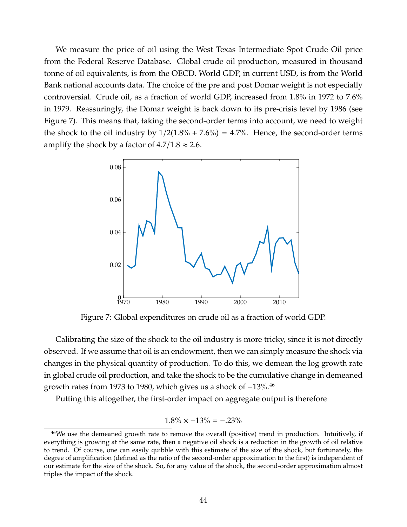We measure the price of oil using the West Texas Intermediate Spot Crude Oil price from the Federal Reserve Database. Global crude oil production, measured in thousand tonne of oil equivalents, is from the OECD. World GDP, in current USD, is from the World Bank national accounts data. The choice of the pre and post Domar weight is not especially controversial. Crude oil, as a fraction of world GDP, increased from 1.8% in 1972 to 7.6% in 1979. Reassuringly, the Domar weight is back down to its pre-crisis level by 1986 (see Figure [7\)](#page-44-0). This means that, taking the second-order terms into account, we need to weight the shock to the oil industry by  $1/2(1.8\% + 7.6\%) = 4.7\%$ . Hence, the second-order terms amplify the shock by a factor of  $4.7/1.8 \approx 2.6$ .

<span id="page-44-0"></span>

Figure 7: Global expenditures on crude oil as a fraction of world GDP.

Calibrating the size of the shock to the oil industry is more tricky, since it is not directly observed. If we assume that oil is an endowment, then we can simply measure the shock via changes in the physical quantity of production. To do this, we demean the log growth rate in global crude oil production, and take the shock to be the cumulative change in demeaned growth rates from 1973 to 1980, which gives us a shock of −13%.[46](#page--1-0)

Putting this altogether, the first-order impact on aggregate output is therefore

$$
1.8\% \times -13\% = -.23\%
$$

<sup>&</sup>lt;sup>46</sup>We use the demeaned growth rate to remove the overall (positive) trend in production. Intuitively, if everything is growing at the same rate, then a negative oil shock is a reduction in the growth of oil relative to trend. Of course, one can easily quibble with this estimate of the size of the shock, but fortunately, the degree of amplification (defined as the ratio of the second-order approximation to the first) is independent of our estimate for the size of the shock. So, for any value of the shock, the second-order approximation almost triples the impact of the shock.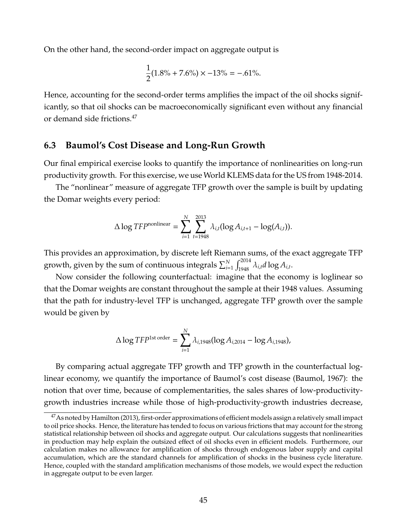On the other hand, the second-order impact on aggregate output is

$$
\frac{1}{2}(1.8\% + 7.6\%) \times -13\% = -.61\%.
$$

Hence, accounting for the second-order terms amplifies the impact of the oil shocks significantly, so that oil shocks can be macroeconomically significant even without any financial or demand side frictions.[47](#page--1-0)

#### **6.3 Baumol's Cost Disease and Long-Run Growth**

Our final empirical exercise looks to quantify the importance of nonlinearities on long-run productivity growth. For this exercise, we use World KLEMS data for the US from 1948-2014.

The "nonlinear" measure of aggregate TFP growth over the sample is built by updating the Domar weights every period:

$$
\Delta \log TFP^{\text{nonlinear}} = \sum_{i=1}^{N} \sum_{t=1948}^{2013} \lambda_{i,t} (\log A_{i,t+1} - \log(A_{i,t})).
$$

This provides an approximation, by discrete left Riemann sums, of the exact aggregate TFP growth, given by the sum of continuous integrals  $\sum_{i=1}^{N}\int_{1948}^{2014}\lambda_{i,t}d\log A_{i,t}.$ 

Now consider the following counterfactual: imagine that the economy is loglinear so that the Domar weights are constant throughout the sample at their 1948 values. Assuming that the path for industry-level TFP is unchanged, aggregate TFP growth over the sample would be given by

$$
\Delta \log TFP^{1st \text{ order}} = \sum_{i=1}^{N} \lambda_{i,1948} (\log A_{i,2014} - \log A_{i,1948}),
$$

By comparing actual aggregate TFP growth and TFP growth in the counterfactual loglinear economy, we quantify the importance of Baumol's cost disease [\(Baumol, 1967\)](#page-49-5): the notion that over time, because of complementarities, the sales shares of low-productivitygrowth industries increase while those of high-productivity-growth industries decrease,

<sup>&</sup>lt;sup>47</sup> As noted by [Hamilton](#page-49-6) [\(2013\)](#page-49-6), first-order approximations of efficient models assign a relatively small impact to oil price shocks. Hence, the literature has tended to focus on various frictions that may account for the strong statistical relationship between oil shocks and aggregate output. Our calculations suggests that nonlinearities in production may help explain the outsized effect of oil shocks even in efficient models. Furthermore, our calculation makes no allowance for amplification of shocks through endogenous labor supply and capital accumulation, which are the standard channels for amplification of shocks in the business cycle literature. Hence, coupled with the standard amplification mechanisms of those models, we would expect the reduction in aggregate output to be even larger.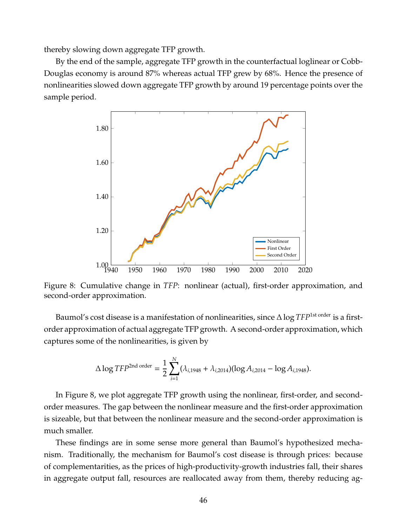thereby slowing down aggregate TFP growth.

By the end of the sample, aggregate TFP growth in the counterfactual loglinear or Cobb-Douglas economy is around 87% whereas actual TFP grew by 68%. Hence the presence of nonlinearities slowed down aggregate TFP growth by around 19 percentage points over the sample period.

<span id="page-46-0"></span>

Figure 8: Cumulative change in *TFP*: nonlinear (actual), first-order approximation, and second-order approximation.

Baumol's cost disease is a manifestation of nonlinearities, since ∆log *TFP*1st order is a firstorder approximation of actual aggregate TFP growth. A second-order approximation, which captures some of the nonlinearities, is given by

$$
\Delta \log TFP^{2nd \space order} = \frac{1}{2} \sum_{i=1}^{N} (\lambda_{i,1948} + \lambda_{i,2014}) (\log A_{i,2014} - \log A_{i,1948}).
$$

In Figure [8,](#page-46-0) we plot aggregate TFP growth using the nonlinear, first-order, and secondorder measures. The gap between the nonlinear measure and the first-order approximation is sizeable, but that between the nonlinear measure and the second-order approximation is much smaller.

These findings are in some sense more general than Baumol's hypothesized mechanism. Traditionally, the mechanism for Baumol's cost disease is through prices: because of complementarities, as the prices of high-productivity-growth industries fall, their shares in aggregate output fall, resources are reallocated away from them, thereby reducing ag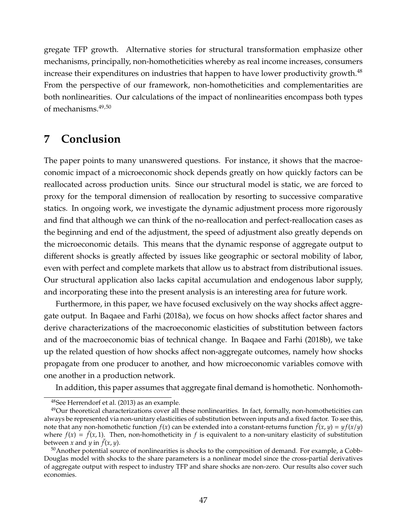gregate TFP growth. Alternative stories for structural transformation emphasize other mechanisms, principally, non-homotheticities whereby as real income increases, consumers increase their expenditures on industries that happen to have lower productivity growth.<sup>[48](#page--1-0)</sup> From the perspective of our framework, non-homotheticities and complementarities are both nonlinearities. Our calculations of the impact of nonlinearities encompass both types of mechanisms.[49](#page--1-0),[50](#page--1-0)

# **7 Conclusion**

The paper points to many unanswered questions. For instance, it shows that the macroeconomic impact of a microeconomic shock depends greatly on how quickly factors can be reallocated across production units. Since our structural model is static, we are forced to proxy for the temporal dimension of reallocation by resorting to successive comparative statics. In ongoing work, we investigate the dynamic adjustment process more rigorously and find that although we can think of the no-reallocation and perfect-reallocation cases as the beginning and end of the adjustment, the speed of adjustment also greatly depends on the microeconomic details. This means that the dynamic response of aggregate output to different shocks is greatly affected by issues like geographic or sectoral mobility of labor, even with perfect and complete markets that allow us to abstract from distributional issues. Our structural application also lacks capital accumulation and endogenous labor supply, and incorporating these into the present analysis is an interesting area for future work.

Furthermore, in this paper, we have focused exclusively on the way shocks affect aggregate output. In [Baqaee and Farhi](#page-48-4) [\(2018a\)](#page-48-4), we focus on how shocks affect factor shares and derive characterizations of the macroeconomic elasticities of substitution between factors and of the macroeconomic bias of technical change. In [Baqaee and Farhi](#page-49-7) [\(2018b\)](#page-49-7), we take up the related question of how shocks affect non-aggregate outcomes, namely how shocks propagate from one producer to another, and how microeconomic variables comove with one another in a production network.

In addition, this paper assumes that aggregate final demand is homothetic. Nonhomoth-

<sup>48</sup>See [Herrendorf et al.](#page-50-2) [\(2013\)](#page-50-2) as an example.

 $^{49}$ Our theoretical characterizations cover all these nonlinearities. In fact, formally, non-homotheticities can always be represented via non-unitary elasticities of substitution between inputs and a fixed factor. To see this, note that any non-homothetic function  $f(x)$  can be extended into a constant-returns function  $\tilde{f}(x, y) = y f(x/y)$ where  $f(x) = \tilde{f}(x, 1)$ . Then, non-homotheticity in f is equivalent to a non-unitary elasticity of substitution between *x* and *y* in  $\tilde{f}(x, y)$ .

 $50$ Another potential source of nonlinearities is shocks to the composition of demand. For example, a Cobb-Douglas model with shocks to the share parameters is a nonlinear model since the cross-partial derivatives of aggregate output with respect to industry TFP and share shocks are non-zero. Our results also cover such economies.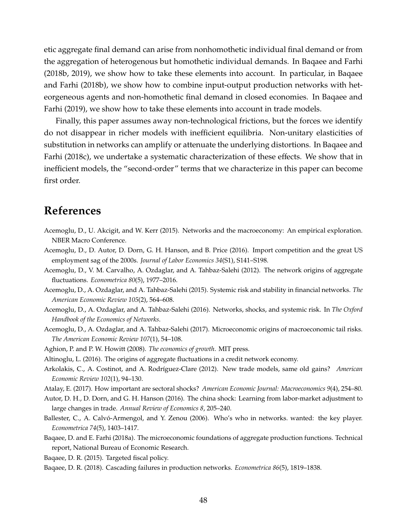etic aggregate final demand can arise from nonhomothetic individual final demand or from the aggregation of heterogenous but homothetic individual demands. In [Baqaee and Farhi](#page-49-7) [\(2018b,](#page-49-7) [2019\)](#page-49-8), we show how to take these elements into account. In particular, in [Baqaee](#page-49-7) [and Farhi](#page-49-7) [\(2018b\)](#page-49-7), we show how to combine input-output production networks with heteorgeneous agents and non-homothetic final demand in closed economies. In [Baqaee and](#page-49-8) [Farhi](#page-49-8) [\(2019\)](#page-49-8), we show how to take these elements into account in trade models.

Finally, this paper assumes away non-technological frictions, but the forces we identify do not disappear in richer models with inefficient equilibria. Non-unitary elasticities of substitution in networks can amplify or attenuate the underlying distortions. In [Baqaee and](#page-49-9) [Farhi](#page-49-9) [\(2018c\)](#page-49-9), we undertake a systematic characterization of these effects. We show that in inefficient models, the "second-order" terms that we characterize in this paper can become first order.

# **References**

- Acemoglu, D., U. Akcigit, and W. Kerr (2015). Networks and the macroeconomy: An empirical exploration. NBER Macro Conference.
- <span id="page-48-0"></span>Acemoglu, D., D. Autor, D. Dorn, G. H. Hanson, and B. Price (2016). Import competition and the great US employment sag of the 2000s. *Journal of Labor Economics 34*(S1), S141–S198.
- Acemoglu, D., V. M. Carvalho, A. Ozdaglar, and A. Tahbaz-Salehi (2012). The network origins of aggregate fluctuations. *Econometrica 80*(5), 1977–2016.
- Acemoglu, D., A. Ozdaglar, and A. Tahbaz-Salehi (2015). Systemic risk and stability in financial networks. *The American Economic Review 105*(2), 564–608.
- Acemoglu, D., A. Ozdaglar, and A. Tahbaz-Salehi (2016). Networks, shocks, and systemic risk. In *The Oxford Handbook of the Economics of Networks*.
- <span id="page-48-3"></span>Acemoglu, D., A. Ozdaglar, and A. Tahbaz-Salehi (2017). Microeconomic origins of macroeconomic tail risks. *The American Economic Review 107*(1), 54–108.
- Aghion, P. and P. W. Howitt (2008). *The economics of growth*. MIT press.
- <span id="page-48-6"></span>Altinoglu, L. (2016). The origins of aggregate fluctuations in a credit network economy.
- Arkolakis, C., A. Costinot, and A. Rodríguez-Clare (2012). New trade models, same old gains? American *Economic Review 102*(1), 94–130.
- <span id="page-48-2"></span><span id="page-48-1"></span>Atalay, E. (2017). How important are sectoral shocks? *American Economic Journal: Macroeconomics 9*(4), 254–80.
- Autor, D. H., D. Dorn, and G. H. Hanson (2016). The china shock: Learning from labor-market adjustment to large changes in trade. *Annual Review of Economics 8*, 205–240.
- Ballester, C., A. Calvó-Armengol, and Y. Zenou (2006). Who's who in networks. wanted: the key player. *Econometrica 74*(5), 1403–1417.
- <span id="page-48-4"></span>Baqaee, D. and E. Farhi (2018a). The microeconomic foundations of aggregate production functions. Technical report, National Bureau of Economic Research.

<span id="page-48-5"></span>Baqaee, D. R. (2015). Targeted fiscal policy.

Baqaee, D. R. (2018). Cascading failures in production networks. *Econometrica 86*(5), 1819–1838.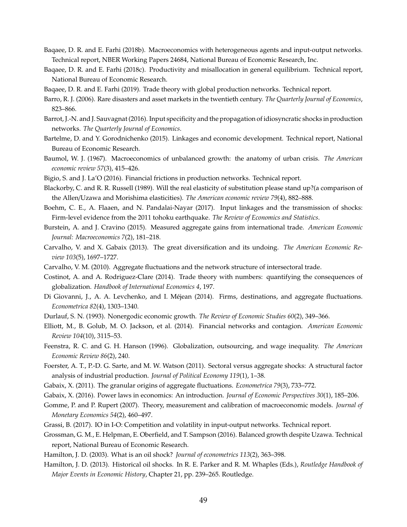- <span id="page-49-7"></span>Baqaee, D. R. and E. Farhi (2018b). Macroeconomics with heterogeneous agents and input-output networks. Technical report, NBER Working Papers 24684, National Bureau of Economic Research, Inc.
- <span id="page-49-9"></span>Baqaee, D. R. and E. Farhi (2018c). Productivity and misallocation in general equilibrium. Technical report, National Bureau of Economic Research.
- <span id="page-49-8"></span>Baqaee, D. R. and E. Farhi (2019). Trade theory with global production networks. Technical report.
- <span id="page-49-3"></span>Barro, R. J. (2006). Rare disasters and asset markets in the twentieth century. *The Quarterly Journal of Economics*, 823–866.
- Barrot, J.-N. and J. Sauvagnat (2016). Input specificity and the propagation of idiosyncratic shocks in production networks. *The Quarterly Journal of Economics*.
- Bartelme, D. and Y. Gorodnichenko (2015). Linkages and economic development. Technical report, National Bureau of Economic Research.
- <span id="page-49-5"></span>Baumol, W. J. (1967). Macroeconomics of unbalanced growth: the anatomy of urban crisis. *The American economic review 57*(3), 415–426.
- Bigio, S. and J. La'O (2016). Financial frictions in production networks. Technical report.
- Blackorby, C. and R. R. Russell (1989). Will the real elasticity of substitution please stand up?(a comparison of the Allen/Uzawa and Morishima elasticities). *The American economic review 79*(4), 882–888.
- <span id="page-49-1"></span>Boehm, C. E., A. Flaaen, and N. Pandalai-Nayar (2017). Input linkages and the transmission of shocks: Firm-level evidence from the 2011 tohoku earthquake. *The Review of Economics and Statistics*.
- Burstein, A. and J. Cravino (2015). Measured aggregate gains from international trade. *American Economic Journal: Macroeconomics 7*(2), 181–218.
- <span id="page-49-0"></span>Carvalho, V. and X. Gabaix (2013). The great diversification and its undoing. *The American Economic Review 103*(5), 1697–1727.
- Carvalho, V. M. (2010). Aggregate fluctuations and the network structure of intersectoral trade.
- <span id="page-49-10"></span>Costinot, A. and A. Rodriguez-Clare (2014). Trade theory with numbers: quantifying the consequences of globalization. *Handbook of International Economics 4*, 197.
- Di Giovanni, J., A. A. Levchenko, and I. Méjean (2014). Firms, destinations, and aggregate fluctuations. *Econometrica 82*(4), 1303–1340.
- Durlauf, S. N. (1993). Nonergodic economic growth. *The Review of Economic Studies 60*(2), 349–366.
- Elliott, M., B. Golub, M. O. Jackson, et al. (2014). Financial networks and contagion. *American Economic Review 104*(10), 3115–53.
- Feenstra, R. C. and G. H. Hanson (1996). Globalization, outsourcing, and wage inequality. *The American Economic Review 86*(2), 240.
- Foerster, A. T., P.-D. G. Sarte, and M. W. Watson (2011). Sectoral versus aggregate shocks: A structural factor analysis of industrial production. *Journal of Political Economy 119*(1), 1–38.
- <span id="page-49-2"></span>Gabaix, X. (2011). The granular origins of aggregate fluctuations. *Econometrica 79*(3), 733–772.
- Gabaix, X. (2016). Power laws in economics: An introduction. *Journal of Economic Perspectives 30*(1), 185–206.
- Gomme, P. and P. Rupert (2007). Theory, measurement and calibration of macroeconomic models. *Journal of Monetary Economics 54*(2), 460–497.
- Grassi, B. (2017). IO in I-O: Competition and volatility in input-output networks. Technical report.
- Grossman, G. M., E. Helpman, E. Oberfield, and T. Sampson (2016). Balanced growth despite Uzawa. Technical report, National Bureau of Economic Research.
- <span id="page-49-6"></span><span id="page-49-4"></span>Hamilton, J. D. (2003). What is an oil shock? *Journal of econometrics 113*(2), 363–398.
- Hamilton, J. D. (2013). Historical oil shocks. In R. E. Parker and R. M. Whaples (Eds.), *Routledge Handbook of Major Events in Economic History*, Chapter 21, pp. 239–265. Routledge.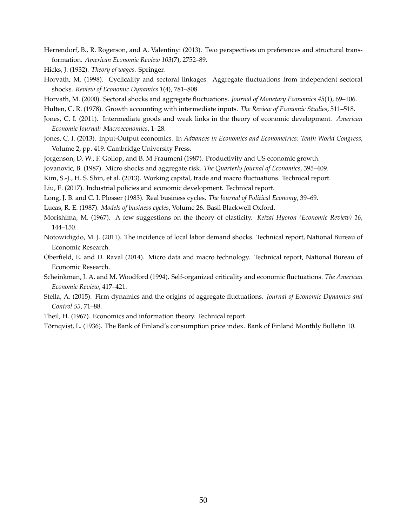<span id="page-50-2"></span>Herrendorf, B., R. Rogerson, and A. Valentinyi (2013). Two perspectives on preferences and structural transformation. *American Economic Review 103*(7), 2752–89.

Hicks, J. (1932). *Theory of wages*. Springer.

- Horvath, M. (1998). Cyclicality and sectoral linkages: Aggregate fluctuations from independent sectoral shocks. *Review of Economic Dynamics 1*(4), 781–808.
- <span id="page-50-7"></span>Horvath, M. (2000). Sectoral shocks and aggregate fluctuations. *Journal of Monetary Economics 45*(1), 69–106.
- Hulten, C. R. (1978). Growth accounting with intermediate inputs. *The Review of Economic Studies*, 511–518.
- Jones, C. I. (2011). Intermediate goods and weak links in the theory of economic development. *American Economic Journal: Macroeconomics*, 1–28.
- Jones, C. I. (2013). Input-Output economics. In *Advances in Economics and Econometrics: Tenth World Congress*, Volume 2, pp. 419. Cambridge University Press.
- <span id="page-50-1"></span>Jorgenson, D. W., F. Gollop, and B. M Fraumeni (1987). Productivity and US economic growth.

Jovanovic, B. (1987). Micro shocks and aggregate risk. *The Quarterly Journal of Economics*, 395–409.

Kim, S.-J., H. S. Shin, et al. (2013). Working capital, trade and macro fluctuations. Technical report.

Liu, E. (2017). Industrial policies and economic development. Technical report.

- Long, J. B. and C. I. Plosser (1983). Real business cycles. *The Journal of Political Economy*, 39–69.
- <span id="page-50-4"></span>Lucas, R. E. (1987). *Models of business cycles*, Volume 26. Basil Blackwell Oxford.
- Morishima, M. (1967). A few suggestions on the theory of elasticity. *Keizai Hyoron (Economic Review) 16*, 144–150.
- <span id="page-50-0"></span>Notowidigdo, M. J. (2011). The incidence of local labor demand shocks. Technical report, National Bureau of Economic Research.
- <span id="page-50-3"></span>Oberfield, E. and D. Raval (2014). Micro data and macro technology. Technical report, National Bureau of Economic Research.
- Scheinkman, J. A. and M. Woodford (1994). Self-organized criticality and economic fluctuations. *The American Economic Review*, 417–421.
- Stella, A. (2015). Firm dynamics and the origins of aggregate fluctuations. *Journal of Economic Dynamics and Control 55*, 71–88.
- <span id="page-50-6"></span><span id="page-50-5"></span>Theil, H. (1967). Economics and information theory. Technical report.

Tornqvist, L. (1936). The Bank of Finland's consumption price index. Bank of Finland Monthly Bulletin 10. ¨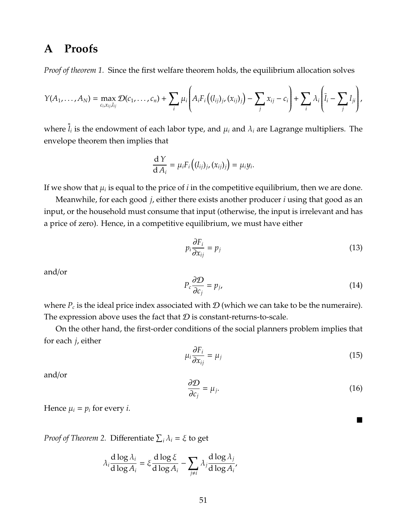# **A Proofs**

*Proof of theorem [1.](#page-8-0)* Since the first welfare theorem holds, the equilibrium allocation solves

$$
Y(A_1,\ldots,A_N)=\max_{c_i,x_{ij},l_{ij}}\mathcal{D}(c_1,\ldots,c_n)+\sum_i\mu_i\left(A_iF_i\left((l_{ij})_{j},(x_{ij})_j\right)-\sum_jx_{ij}-c_i\right)+\sum_i\lambda_i\left(\overline{l}_i-\sum_jl_{ji}\right),
$$

where  $l_i$  is the endowment of each labor type, and  $\mu_i$  and  $\lambda_i$  are Lagrange multipliers. The envelope theorem then implies that

$$
\frac{\mathrm{d} Y}{\mathrm{d} A_i} = \mu_i F_i \big( (l_{ij})_j, (x_{ij})_j \big) = \mu_i y_i.
$$

If we show that  $\mu_i$  is equal to the price of  $i$  in the competitive equilibrium, then we are done.

Meanwhile, for each good *j*, either there exists another producer *i* using that good as an input, or the household must consume that input (otherwise, the input is irrelevant and has a price of zero). Hence, in a competitive equilibrium, we must have either

$$
p_i \frac{\partial F_i}{\partial x_{ij}} = p_j \tag{13}
$$

and/or

$$
P_c \frac{\partial \mathcal{D}}{\partial c_j} = p_j,\tag{14}
$$

where  $P_c$  is the ideal price index associated with  $\mathcal D$  (which we can take to be the numeraire). The expression above uses the fact that  $\mathcal D$  is constant-returns-to-scale.

On the other hand, the first-order conditions of the social planners problem implies that for each *j*, either

$$
\mu_i \frac{\partial F_i}{\partial x_{ij}} = \mu_j \tag{15}
$$

and/or

$$
\frac{\partial \mathcal{D}}{\partial c_j} = \mu_j. \tag{16}
$$

■

Hence  $\mu_i = p_i$  for every *i*.

*Proof of Theorem [2.](#page-10-0)* Differentiate  $\sum_i \lambda_i = \xi$  to get

$$
\lambda_i \frac{d \log \lambda_i}{d \log A_i} = \xi \frac{d \log \xi}{d \log A_i} - \sum_{j \neq i} \lambda_j \frac{d \log \lambda_j}{d \log A_i'}
$$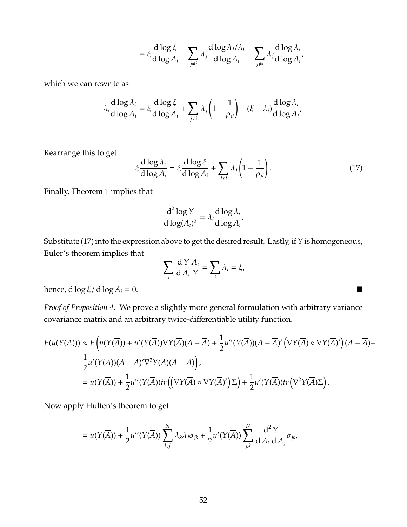$$
= \xi \frac{d \log \xi}{d \log A_i} - \sum_{j \neq i} \lambda_j \frac{d \log \lambda_j/\lambda_i}{d \log A_i} - \sum_{j \neq i} \lambda_j \frac{d \log \lambda_i}{d \log A_i'}
$$

which we can rewrite as

$$
\lambda_i \frac{d \log \lambda_i}{d \log A_i} = \xi \frac{d \log \xi}{d \log A_i} + \sum_{j \neq i} \lambda_j \left(1 - \frac{1}{\rho_{ji}}\right) - (\xi - \lambda_i) \frac{d \log \lambda_i}{d \log A_i},
$$

Rearrange this to get

<span id="page-52-0"></span>
$$
\xi \frac{\mathrm{d}\log\lambda_i}{\mathrm{d}\log A_i} = \xi \frac{\mathrm{d}\log\xi}{\mathrm{d}\log A_i} + \sum_{j\neq i} \lambda_j \left(1 - \frac{1}{\rho_{ji}}\right). \tag{17}
$$

Finally, Theorem [1](#page-8-0) implies that

$$
\frac{d^2 \log Y}{d \log(A_i)^2} = \lambda_i \frac{d \log \lambda_i}{d \log A_i}.
$$

Substitute [\(17\)](#page-52-0) into the expression above to get the desired result. Lastly, if*Y*is homogeneous, Euler's theorem implies that

$$
\sum_i \frac{\mathrm{d}\, Y}{\mathrm{d}\, A_i} \frac{A_i}{Y} = \sum_i \lambda_i = \xi,
$$

hence,  $d \log \xi / d \log A_i = 0$ .

*Proof of Proposition [4.](#page-14-0)* We prove a slightly more general formulation with arbitrary variance covariance matrix and an arbitrary twice-differentiable utility function.

$$
E(u(Y(A))) \approx E\left(u(Y(\overline{A}))+u'(Y(\overline{A}))\nabla Y(\overline{A})(A-\overline{A})+\frac{1}{2}u''(Y(\overline{A}))(A-\overline{A})'\left(\nabla Y(\overline{A})\circ\nabla Y(\overline{A})'\right)(A-\overline{A})+\frac{1}{2}u'(Y(\overline{A}))(A-\overline{A})'Y^2Y(\overline{A})(A-\overline{A})\right),
$$
  
=  $u(Y(\overline{A}))+\frac{1}{2}u''(Y(\overline{A}))tr\left(\left(\nabla Y(\overline{A})\circ\nabla Y(\overline{A})'\right)\Sigma\right)+\frac{1}{2}u'(Y(\overline{A}))tr\left(\nabla^2 Y(\overline{A})\Sigma\right).$ 

Now apply Hulten's theorem to get

$$
=u(Y(\overline{A})) + \frac{1}{2}u''(Y(\overline{A}))\sum_{k,j}^{N}\lambda_{k}\lambda_{j}\sigma_{jk} + \frac{1}{2}u'(Y(\overline{A}))\sum_{j,k}^{N}\frac{d^{2}Y}{dA_{k}dA_{j}}\sigma_{jk},
$$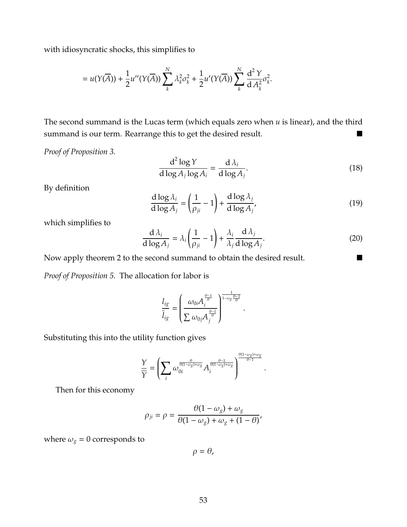with idiosyncratic shocks, this simplifies to

$$
=u(Y(\overline{A}))+\frac{1}{2}u''(Y(\overline{A}))\sum_{k}^{N}\lambda_{k}^{2}\sigma_{k}^{2}+\frac{1}{2}u'(Y(\overline{A}))\sum_{k}^{N}\frac{d^{2}Y}{dA_{k}^{2}}\sigma_{k}^{2}.
$$

The second summand is the Lucas term (which equals zero when *u* is linear), and the third summand is our term. Rearrange this to get the desired result.

*Proof of Proposition [3.](#page-12-0)*

$$
\frac{d^2 \log Y}{d \log A_j \log A_i} = \frac{d \lambda_i}{d \log A_j}.
$$
\n(18)

By definition

$$
\frac{d \log \lambda_i}{d \log A_j} = \left(\frac{1}{\rho_{ji}} - 1\right) + \frac{d \log \lambda_j}{d \log A_j'},\tag{19}
$$

which simplifies to

$$
\frac{d \lambda_i}{d \log A_j} = \lambda_i \left(\frac{1}{\rho_{ji}} - 1\right) + \frac{\lambda_i}{\lambda_j} \frac{d \lambda_j}{d \log A_j}.
$$
\n(20)

.

.

Now apply theorem [2](#page-10-0) to the second summand to obtain the desired result.

*Proof of Proposition [5.](#page-16-0)* The allocation for labor is

$$
\frac{l_{ig}}{\overline{l}_{ig}} = \left(\frac{\omega_{0i}A_i^{\frac{\theta-1}{\theta}}}{\sum \omega_{0j}A_j^{\frac{\theta-1}{\theta}}}\right)^{\frac{1}{1-\omega_g\frac{\theta-1}{\theta}}}
$$

Substituting this into the utility function gives

$$
\frac{Y}{\overline{Y}} = \left(\sum_{i} \omega_{0i}^{\frac{\theta}{\theta(1-\omega_g)+\omega_g}} A_i^{\frac{\theta-1}{\theta(1-\omega_g)+\omega_g}}\right)^{\frac{\theta(1-\omega_g)+\omega_g}{\theta-1}}
$$

Then for this economy

$$
\rho_{ji} = \rho = \frac{\theta(1 - \omega_g) + \omega_g}{\theta(1 - \omega_g) + \omega_g + (1 - \theta)},
$$

where  $\omega_g = 0$  corresponds to

 $\rho = \theta$ ,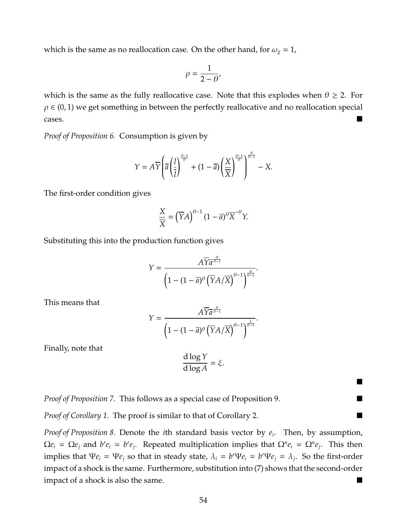which is the same as no reallocation case. On the other hand, for  $\omega_g = 1$ ,

$$
\rho = \frac{1}{2 - \theta'}
$$

which is the same as the fully reallocative case. Note that this explodes when  $\theta \ge 2$ . For  $\rho \in (0, 1)$  we get something in between the perfectly reallocative and no reallocation special cases.

*Proof of Proposition [6.](#page-21-0)* Consumption is given by

$$
Y = A\overline{Y}\left(\overline{a}\left(\frac{l}{\overline{l}}\right)^{\frac{\theta-1}{\theta}} + (1-\overline{a})\left(\frac{X}{\overline{X}}\right)^{\frac{\theta-1}{\theta}}\right)^{\frac{\theta}{\theta-1}} - X.
$$

The first-order condition gives

$$
\frac{X}{\overline{X}} = \left(\overline{Y}A\right)^{\theta-1} (1-\overline{a})^{\theta} \overline{X}^{-\theta} Y.
$$

Substituting this into the production function gives

$$
Y = \frac{A\overline{Y} \overline{a}^{\frac{\theta}{\theta-1}}}{\left(1 - (1 - \overline{a})^{\theta} \left(\overline{Y} A / \overline{X}\right)^{\theta-1}\right)^{\frac{\theta}{\theta-1}}}.
$$

This means that

$$
Y = \frac{A\overline{Y} \overline{a}^{\frac{\theta}{\theta-1}}}{\left(1 - (1 - \overline{a})^{\theta} \left(\overline{Y} A / \overline{X}\right)^{\theta-1}\right)^{\frac{1}{\theta-1}}}.
$$

Finally, note that

$$
\frac{\mathrm{d}\log Y}{\mathrm{d}\log A} = \xi.
$$

■

*Proof of Proposition [7.](#page-24-0)* This follows as a special case of Proposition [9.](#page-30-0)

*Proof of Corollary* [1.](#page-26-0) The proof is similar to that of Corollary [2.](#page-32-0) ■

*Proof of Proposition [8.](#page-29-0)* Denote the *i*th standard basis vector by *e<sup>i</sup>* . Then, by assumption,  $\Omega e_i = \Omega e_j$  and  $b' e_i = b' e_j$ . Repeated multiplication implies that  $\Omega^n e_i = \Omega^n e_j$ . This then implies that  $\Psi e_i = \Psi e_j$  so that in steady state,  $\lambda_i = b' \Psi e_i = b' \Psi e_j = \lambda_j$ . So the first-order impact of a shock is the same. Furthermore, substitution into [\(7\)](#page-24-1) shows that the second-order impact of a shock is also the same.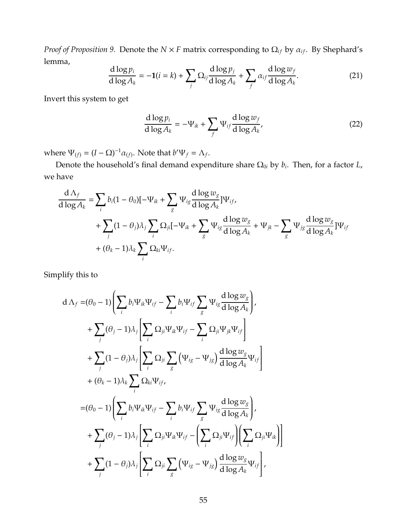*Proof of Proposition* [9.](#page-30-0) Denote the  $N \times F$  matrix corresponding to  $\Omega_{if}$  by  $\alpha_{if}$ . By Shephard's lemma,

$$
\frac{\mathrm{d}\log p_i}{\mathrm{d}\log A_k} = -1(i=k) + \sum_j \Omega_{ij} \frac{\mathrm{d}\log p_j}{\mathrm{d}\log A_k} + \sum_j \alpha_{ij} \frac{\mathrm{d}\log w_j}{\mathrm{d}\log A_k}.\tag{21}
$$

Invert this system to get

$$
\frac{\mathrm{d}\log p_i}{\mathrm{d}\log A_k} = -\Psi_{ik} + \sum_f \Psi_{if} \frac{\mathrm{d}\log w_f}{\mathrm{d}\log A_k},\tag{22}
$$

where  $\Psi_{(f)} = (I - \Omega)^{-1} \alpha_{(f)}$ . Note that  $b' \Psi_f = \Lambda_f$ .

Denote the household's final demand expenditure share Ω0*<sup>i</sup>* by *b<sup>i</sup>* . Then, for a factor *L*, we have

$$
\frac{d\Lambda_f}{d\log A_k} = \sum_i b_i (1 - \theta_0) [-\Psi_{ik} + \sum_g \Psi_{ig} \frac{d\log w_g}{d\log A_k}] \Psi_{if},
$$
\n
$$
+ \sum_j (1 - \theta_j) \lambda_j \sum_i \Omega_{ji} [-\Psi_{ik} + \sum_g \Psi_{ig} \frac{d\log w_g}{d\log A_k}] + \Psi_{jk} - \sum_g \Psi_{jg} \frac{d\log w_g}{d\log A_k}] \Psi_{if}
$$
\n
$$
+ (\theta_k - 1) \lambda_k \sum_i \Omega_{ki} \Psi_{if}.
$$

Simplify this to

$$
d \Lambda_{f} = (\theta_{0} - 1) \left( \sum_{i} b_{i} \Psi_{ik} \Psi_{if} - \sum_{i} b_{i} \Psi_{if} \sum_{g} \Psi_{ig} \frac{d \log w_{g}}{d \log A_{k}} \right),
$$
  
+ 
$$
\sum_{j} (\theta_{j} - 1) \lambda_{j} \left[ \sum_{i} \Omega_{ji} \Psi_{ik} \Psi_{if} - \sum_{i} \Omega_{ji} \Psi_{jk} \Psi_{if} \right]
$$
  
+ 
$$
\sum_{j} (1 - \theta_{j}) \lambda_{j} \left[ \sum_{i} \Omega_{ji} \sum_{g} (\Psi_{ig} - \Psi_{jg}) \frac{d \log w_{g}}{d \log A_{k}} \Psi_{if} \right]
$$
  
+ 
$$
(\theta_{k} - 1) \lambda_{k} \sum_{i} \Omega_{ki} \Psi_{if},
$$
  
= 
$$
(\theta_{0} - 1) \left( \sum_{i} b_{i} \Psi_{ik} \Psi_{if} - \sum_{i} b_{i} \Psi_{if} \sum_{g} \Psi_{ig} \frac{d \log w_{g}}{d \log A_{k}} \right),
$$
  
+ 
$$
\sum_{j} (\theta_{j} - 1) \lambda_{j} \left[ \sum_{i} \Omega_{ji} \Psi_{ik} \Psi_{if} - \left( \sum_{i} \Omega_{ji} \Psi_{if} \right) \left( \sum_{i} \Omega_{ji} \Psi_{ik} \right) \right]
$$
  
+ 
$$
\sum_{j} (1 - \theta_{j}) \lambda_{j} \left[ \sum_{i} \Omega_{ji} \sum_{g} (\Psi_{ig} - \Psi_{jg}) \frac{d \log w_{g}}{d \log A_{k}} \Psi_{if} \right],
$$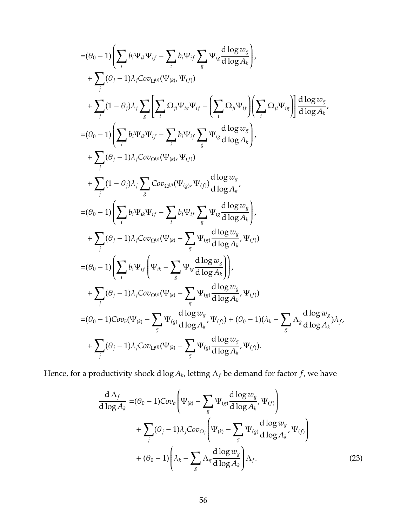$$
\begin{split}\n&=(\theta_{0}-1)\left(\sum_{i}b_{i}\Psi_{ik}\Psi_{if}-\sum_{i}b_{i}\Psi_{if}\sum_{g}\Psi_{ig}\frac{d\log w_{g}}{d\log A_{k}}\right),\\ &+\sum_{j}(\theta_{j}-1)\lambda_{j}Cov_{\Omega^{(j)}}(\Psi_{(k)},\Psi_{(j)})\\ &+\sum_{j}(1-\theta_{j})\lambda_{j}\sum_{g}\left[\sum_{i}\Omega_{ji}\Psi_{ig}\Psi_{if}-\left(\sum_{i}\Omega_{ji}\Psi_{if}\right)\left(\sum_{i}\Omega_{ji}\Psi_{ig}\right)\right]\frac{d\log w_{g}}{d\log A_{k}},\\ &=(\theta_{0}-1)\left(\sum_{i}b_{i}\Psi_{ik}\Psi_{if}-\sum_{i}b_{i}\Psi_{if}\sum_{g}\Psi_{ig}\frac{d\log w_{g}}{d\log A_{k}}\right),\\ &+\sum_{j}(\theta_{j}-1)\lambda_{j}Cov_{\Omega^{(j)}}(\Psi_{(k)},\Psi_{(j)})\\ &+\sum_{j}(1-\theta_{j})\lambda_{j}\sum_{g}Cov_{\Omega^{(j)}}(\Psi_{(g)},\Psi_{(f)})\frac{d\log w_{g}}{d\log A_{k}},\\ &=(\theta_{0}-1)\left(\sum_{i}b_{i}\Psi_{ik}\Psi_{if}-\sum_{i}b_{i}\Psi_{if}\sum_{g}\Psi_{ig}\frac{d\log w_{g}}{d\log A_{k}}\right),\\ &+\sum_{j}(\theta_{j}-1)\lambda_{j}Cov_{\Omega^{(j)}}(\Psi_{(k)}-\sum_{g}\Psi_{(g)}\frac{d\log w_{g}}{d\log A_{k}},\Psi_{(f)})\\ &=(\theta_{0}-1)\left(\sum_{i}b_{i}\Psi_{if}\left(\Psi_{ik}-\sum_{g}\Psi_{ig}\frac{d\log w_{g}}{d\log A_{k}}\right)\right),\\ &+\sum_{j}(\theta_{j}-1)\lambda_{j}Cov_{\Omega^{(j)}}(\Psi_{(k)}-\sum_{g}\Psi_{(g)}\frac{d\log w_{g}}{d\log A_{k}},\Psi_{(f)})\\ &=(\theta_{0}-1)Cov_{b}(\Psi_{(k)}-\sum_{g}\Psi_{(g)}\frac{d\log w_{g}}{d\log A_{k}},\Psi_{(f)})+ (\theta_{0}-1)(\lambda_{k}-\sum_{g}\Lambda_{g}\frac{d\log w_{g}}{d\log A_{k}})\lambda_{f},\\ &+\sum_{j}(\theta_{j}-1)\lambda_{j}Cov_{\Omega^{(j)}}
$$

Hence, for a productivity shock d log *A<sup>k</sup>* , letting Λ*<sup>f</sup>* be demand for factor *f*, we have

$$
\frac{d\Lambda_f}{d\log A_k} = (\theta_0 - 1)Cov_b \left( \Psi_{(k)} - \sum_g \Psi_{(g)} \frac{d\log w_g}{d\log A_k}, \Psi_{(f)} \right) \n+ \sum_j (\theta_j - 1)\lambda_j Cov_{\Omega_j} \left( \Psi_{(k)} - \sum_g \Psi_{(g)} \frac{d\log w_g}{d\log A_k}, \Psi_{(f)} \right) \n+ (\theta_0 - 1) \left( \lambda_k - \sum_g \Lambda_g \frac{d\log w_g}{d\log A_k} \right) \Lambda_f.
$$
\n(23)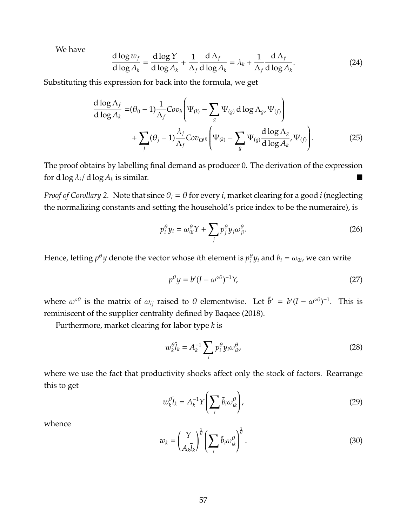We have

$$
\frac{d \log w_f}{d \log A_k} = \frac{d \log Y}{d \log A_k} + \frac{1}{\Lambda_f} \frac{d \Lambda_f}{d \log A_k} = \lambda_k + \frac{1}{\Lambda_f} \frac{d \Lambda_f}{d \log A_k}.
$$
\n(24)

Substituting this expression for back into the formula, we get

$$
\frac{d \log \Lambda_f}{d \log A_k} = (\theta_0 - 1) \frac{1}{\Lambda_f} Cov_b \left( \Psi_{(k)} - \sum_g \Psi_{(g)} d \log \Lambda_g, \Psi_{(f)} \right) \n+ \sum_j (\theta_j - 1) \frac{\lambda_j}{\Lambda_f} Cov_{\Omega^{(j)}} \left( \Psi_{(k)} - \sum_g \Psi_{(g)} \frac{d \log \Lambda_g}{d \log A_k}, \Psi_{(f)} \right).
$$
\n(25)

The proof obtains by labelling final demand as producer 0. The derivation of the expression for d  $\log \lambda_i / d \log A_k$  is similar.

*Proof of Corollary* [2.](#page-32-0) Note that since  $\theta_i = \theta$  for every *i*, market clearing for a good *i* (neglecting the normalizing constants and setting the household's price index to be the numeraire), is

$$
p_i^{\theta} y_i = \omega_{0i}^{\theta} Y + \sum_j p_j^{\theta} y_j \omega_{ji}^{\theta}.
$$
 (26)

Hence, letting  $p^\theta y$  denote the vector whose *i*th element is  $p^\theta_i$  $v_i^{\theta}$ *y<sub>i</sub>* and  $b_i = \omega_{0i}$ , we can write

$$
p^{\theta}y = b'(I - \omega^{\circ \theta})^{-1}Y,\tag{27}
$$

where  $\omega^{\circ\theta}$  is the matrix of  $\omega_{ij}$  raised to  $\theta$  elementwise. Let  $\tilde{b}' = b'(I - \omega^{\circ\theta})^{-1}$ . This is reminiscent of the supplier centrality defined by [Baqaee](#page-48-5) [\(2018\)](#page-48-5).

Furthermore, market clearing for labor type *k* is

$$
w_k^{\theta} \bar{l}_k = A_k^{-1} \sum_i p_i^{\theta} y_i \omega_{ik}^{\theta}, \qquad (28)
$$

where we use the fact that productivity shocks affect only the stock of factors. Rearrange this to get

$$
w_k^{\theta} \overline{l}_k = A_k^{-1} Y \left( \sum_i \tilde{b}_i \omega_{ik}^{\theta} \right), \tag{29}
$$

whence

$$
w_k = \left(\frac{Y}{A_k \overline{l}_k}\right)^{\frac{1}{\theta}} \left(\sum_i \tilde{b}_i \omega_{ik}^{\theta}\right)^{\frac{1}{\theta}}.
$$
\n(30)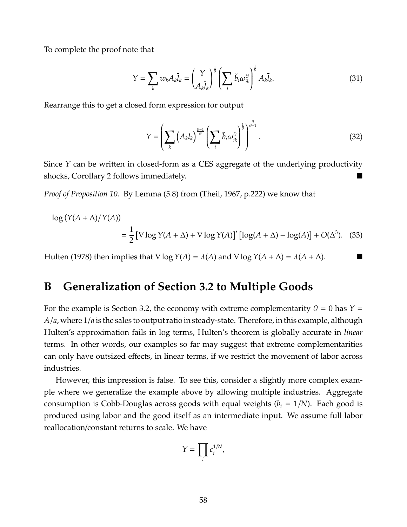To complete the proof note that

$$
Y = \sum_{k} w_{k} A_{k} \overline{I}_{k} = \left(\frac{Y}{A_{k} \overline{I}_{k}}\right)^{\frac{1}{\theta}} \left(\sum_{i} \tilde{b}_{i} \omega_{ik}^{\theta}\right)^{\frac{1}{\theta}} A_{k} \overline{I}_{k}.
$$
 (31)

Rearrange this to get a closed form expression for output

$$
Y = \left(\sum_{k} \left(A_{k} \overline{l}_{k}\right)^{\frac{\theta-1}{\theta}} \left(\sum_{i} \tilde{b}_{i} \omega_{ik}^{\theta}\right)^{\frac{1}{\theta}}\right)^{\frac{\theta}{\theta-1}}.
$$
\n(32)

Since *Y* can be written in closed-form as a CES aggregate of the underlying productivity shocks, Corollary [2](#page-32-0) follows immediately.

*Proof of Proposition [10.](#page-43-0)* By Lemma (5.8) from [\(Theil, 1967,](#page-50-6) p.222) we know that

$$
\log (Y(A + \Delta) / Y(A))
$$
  
=  $\frac{1}{2} [\nabla \log Y(A + \Delta) + \nabla \log Y(A)]' [\log(A + \Delta) - \log(A)] + O(\Delta^3)$ . (33)

[Hulten](#page-50-7) [\(1978\)](#page-50-7) then implies that  $\nabla \log Y(A) = \lambda(A)$  and  $\nabla \log Y(A + \Delta) = \lambda(A + \Delta)$ .

# **B Generalization of Section [3.2](#page-20-0) to Multiple Goods**

For the example is Section [3.2,](#page-20-0) the economy with extreme complementarity  $\theta = 0$  has  $Y =$ *A*/*a*, where 1/*a* is the sales to output ratio in steady-state. Therefore, in this example, although Hulten's approximation fails in log terms, Hulten's theorem is globally accurate in *linear* terms. In other words, our examples so far may suggest that extreme complementarities can only have outsized effects, in linear terms, if we restrict the movement of labor across industries.

However, this impression is false. To see this, consider a slightly more complex example where we generalize the example above by allowing multiple industries. Aggregate consumption is Cobb-Douglas across goods with equal weights  $(b_i = 1/N)$ . Each good is produced using labor and the good itself as an intermediate input. We assume full labor reallocation/constant returns to scale. We have

$$
Y=\prod_i c_i^{1/N},
$$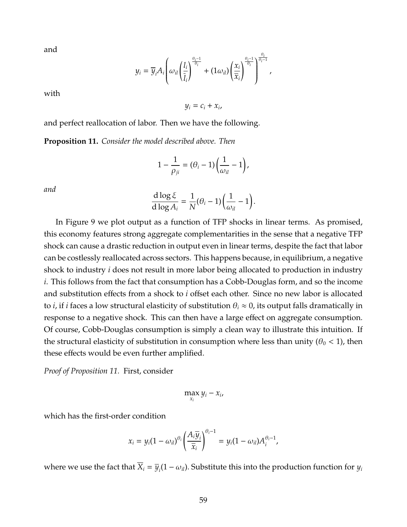and

$$
y_i = \overline{y}_i A_i \left( \omega_{il} \left( \frac{l_i}{\overline{l}_i} \right)^{\frac{\theta_i - 1}{\theta_i}} + (1 \omega_{il}) \left( \frac{x_i}{\overline{x}_i} \right)^{\frac{\theta_i - 1}{\theta_i}} \right)^{\frac{\theta_i}{\theta_i - 1}},
$$

with

 $y_i = c_i + x_i$ 

and perfect reallocation of labor. Then we have the following.

<span id="page-59-0"></span>**Proposition 11.** *Consider the model described above. Then*

$$
1-\frac{1}{\rho_{ji}}=(\theta_i-1)\left(\frac{1}{\omega_{il}}-1\right),\,
$$

*and*

$$
\frac{d \log \xi}{d \log A_i} = \frac{1}{N} (\theta_i - 1) \left( \frac{1}{\omega_{il}} - 1 \right).
$$

In Figure [9](#page-60-0) we plot output as a function of TFP shocks in linear terms. As promised, this economy features strong aggregate complementarities in the sense that a negative TFP shock can cause a drastic reduction in output even in linear terms, despite the fact that labor can be costlessly reallocated across sectors. This happens because, in equilibrium, a negative shock to industry *i* does not result in more labor being allocated to production in industry *i*. This follows from the fact that consumption has a Cobb-Douglas form, and so the income and substitution effects from a shock to *i* offset each other. Since no new labor is allocated to *i*, if *i* faces a low structural elasticity of substitution  $\theta_i \approx 0$ , its output falls dramatically in response to a negative shock. This can then have a large effect on aggregate consumption. Of course, Cobb-Douglas consumption is simply a clean way to illustrate this intuition. If the structural elasticity of substitution in consumption where less than unity ( $\theta_0$  < 1), then these effects would be even further amplified.

*Proof of Proposition [11.](#page-59-0)* First, consider

$$
\max_{x_i} y_i - x_i,
$$

which has the first-order condition

$$
x_i = y_i(1 - \omega_{il})^{\theta_i} \left(\frac{A_i \overline{y}_i}{\overline{x}_i}\right)^{\theta_i - 1} = y_i(1 - \omega_{il}) A_i^{\theta_i - 1},
$$

where we use the fact that  $\overline{X}_i = \overline{y}_i(1 - \omega_{ii})$ . Substitute this into the production function for  $y_i$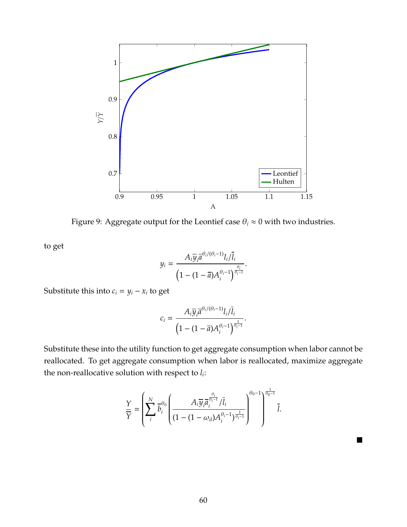<span id="page-60-0"></span>

Figure 9: Aggregate output for the Leontief case  $\theta_i \approx 0$  with two industries.

to get

$$
y_i = \frac{A_i \overline{y}_i \overline{a}^{\theta_i/(\theta_i - 1)} l_i / \overline{l}_i}{\left(1 - (1 - \overline{a}) A_i^{\theta_i - 1}\right)^{\frac{\theta_i}{\theta_i - 1}}}.
$$

Substitute this into  $c_i = y_i - x_i$  to get

$$
c_i=\frac{A_i\overline{y}_i\overline{a}^{\theta_i/(\theta_i-1)}l_i/\overline{l}_i}{\left(1-(1-\overline{a})A_i^{\theta_i-1}\right)^{\frac{1}{\theta_i-1}}}.
$$

Substitute these into the utility function to get aggregate consumption when labor cannot be reallocated. To get aggregate consumption when labor is reallocated, maximize aggregate the non-reallocative solution with respect to *l<sup>i</sup>* :

$$
\frac{Y}{\overline{Y}} = \left(\sum_{i}^{N} \overline{b}_{i}^{\theta_{0}} \left(\frac{A_{i} \overline{y}_{i} \overline{a}_{i}^{\frac{\theta_{i}}{\theta_{i}-1}}/\overline{l}_{i}}{(1-(1-\omega_{i})A_{i}^{\theta_{i}-1})^{\frac{1}{\theta_{i}-1}}}\right)^{\theta_{0}-1}\right)^{\frac{1}{\theta_{0}-1}} \overline{l}.
$$

 $\blacksquare$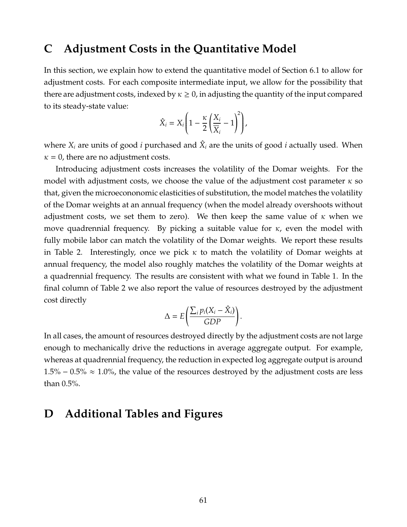### <span id="page-61-1"></span>**C Adjustment Costs in the Quantitative Model**

In this section, we explain how to extend the quantitative model of Section [6.1](#page-36-0) to allow for adjustment costs. For each composite intermediate input, we allow for the possibility that there are adjustment costs, indexed by  $\kappa \geq 0$ , in adjusting the quantity of the input compared to its steady-state value:

$$
\hat{X}_i = X_i \left( 1 - \frac{\kappa}{2} \left( \frac{X_i}{\overline{X}_i} - 1 \right)^2 \right),
$$

where  $X_i$  are units of good *i* purchased and  $\hat{X}_i$  are the units of good *i* actually used. When  $\kappa$  = 0, there are no adjustment costs.

Introducing adjustment costs increases the volatility of the Domar weights. For the model with adjustment costs, we choose the value of the adjustment cost parameter  $\kappa$  so that, given the microecononomic elasticities of substitution, the model matches the volatility of the Domar weights at an annual frequency (when the model already overshoots without adjustment costs, we set them to zero). We then keep the same value of  $\kappa$  when we move quadrennial frequency. By picking a suitable value for  $\kappa$ , even the model with fully mobile labor can match the volatility of the Domar weights. We report these results in Table [2.](#page-62-0) Interestingly, once we pick  $\kappa$  to match the volatility of Domar weights at annual frequency, the model also roughly matches the volatility of the Domar weights at a quadrennial frequency. The results are consistent with what we found in Table [1.](#page-39-0) In the final column of Table [2](#page-62-0) we also report the value of resources destroyed by the adjustment cost directly

$$
\Delta = E\left(\frac{\sum_i p_i (X_i - \hat{X}_i)}{GDP}\right).
$$

In all cases, the amount of resources destroyed directly by the adjustment costs are not large enough to mechanically drive the reductions in average aggregate output. For example, whereas at quadrennial frequency, the reduction in expected log aggregate output is around  $1.5\% - 0.5\% \approx 1.0\%$ , the value of the resources destroyed by the adjustment costs are less than 0.5%.

# <span id="page-61-0"></span>**D Additional Tables and Figures**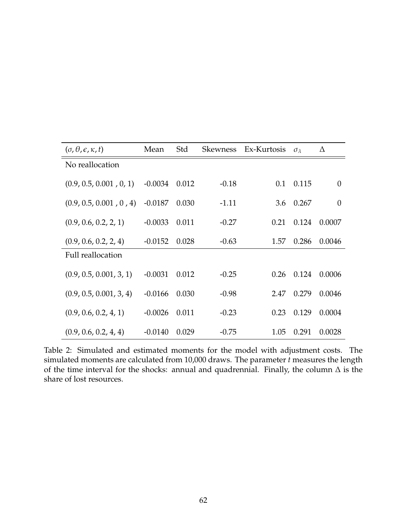<span id="page-62-0"></span>

| $(\sigma, \theta, \epsilon, \kappa, t)$ | Mean      | Std   | <b>Skewness</b> | Ex-Kurtosis | $\sigma_{\lambda}$ | Δ              |
|-----------------------------------------|-----------|-------|-----------------|-------------|--------------------|----------------|
| No reallocation                         |           |       |                 |             |                    |                |
| (0.9, 0.5, 0.001, 0, 1)                 | $-0.0034$ | 0.012 | $-0.18$         | 0.1         | 0.115              | $\theta$       |
| (0.9, 0.5, 0.001, 0, 4)                 | $-0.0187$ | 0.030 | $-1.11$         | 3.6         | 0.267              | $\overline{0}$ |
| (0.9, 0.6, 0.2, 2, 1)                   | $-0.0033$ | 0.011 | $-0.27$         | 0.21        | 0.124              | 0.0007         |
| (0.9, 0.6, 0.2, 2, 4)                   | $-0.0152$ | 0.028 | $-0.63$         | 1.57        | 0.286              | 0.0046         |
| Full reallocation                       |           |       |                 |             |                    |                |
| (0.9, 0.5, 0.001, 3, 1)                 | $-0.0031$ | 0.012 | $-0.25$         | 0.26        | 0.124              | 0.0006         |
| (0.9, 0.5, 0.001, 3, 4)                 | $-0.0166$ | 0.030 | $-0.98$         | 2.47        | 0.279              | 0.0046         |
| (0.9, 0.6, 0.2, 4, 1)                   | $-0.0026$ | 0.011 | $-0.23$         | 0.23        | 0.129              | 0.0004         |
| (0.9, 0.6, 0.2, 4, 4)                   | $-0.0140$ | 0.029 | $-0.75$         | 1.05        | 0.291              | 0.0028         |

Table 2: Simulated and estimated moments for the model with adjustment costs. The simulated moments are calculated from 10,000 draws. The parameter *t* measures the length of the time interval for the shocks: annual and quadrennial. Finally, the column  $\Delta$  is the share of lost resources.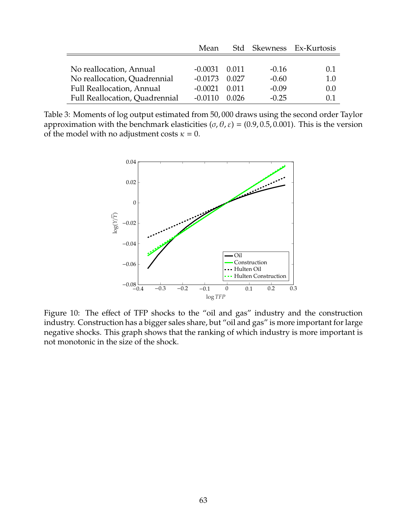<span id="page-63-0"></span>

|                                  | Mean      |       |         | Std Skewness Ex-Kurtosis |
|----------------------------------|-----------|-------|---------|--------------------------|
|                                  |           |       |         |                          |
| No reallocation, Annual          | -0.0031   | 0.011 | $-0.16$ | 0.1                      |
| No reallocation, Quadrennial     | $-0.0173$ | 0.027 | $-0.60$ | 1.0                      |
| <b>Full Reallocation, Annual</b> | $-0.0021$ | 0.011 | $-0.09$ | 0.0                      |
| Full Reallocation, Quadrennial   | $-0.0110$ | 0.026 | $-0.25$ | 0.1                      |

Table 3: Moments of log output estimated from 50, 000 draws using the second order Taylor approximation with the benchmark elasticities (σ, θ, ε) = (0.9, 0.5, 0.001). This is the version of the model with no adjustment costs  $\kappa = 0$ .



Figure 10: The effect of TFP shocks to the "oil and gas" industry and the construction industry. Construction has a bigger sales share, but "oil and gas" is more important for large negative shocks. This graph shows that the ranking of which industry is more important is not monotonic in the size of the shock.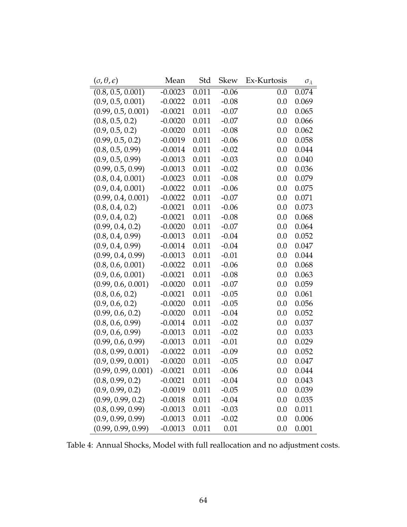<span id="page-64-0"></span>

| $(\sigma, \theta, \epsilon)$ | Mean      | Std   | <b>Skew</b> | Ex-Kurtosis | $\sigma_{\lambda}$ |
|------------------------------|-----------|-------|-------------|-------------|--------------------|
| (0.8, 0.5, 0.001)            | $-0.0023$ | 0.011 | $-0.06$     | 0.0         | 0.074              |
| (0.9, 0.5, 0.001)            | $-0.0022$ | 0.011 | $-0.08$     | 0.0         | 0.069              |
| (0.99, 0.5, 0.001)           | $-0.0021$ | 0.011 | $-0.07$     | 0.0         | 0.065              |
| (0.8, 0.5, 0.2)              | $-0.0020$ | 0.011 | $-0.07$     | 0.0         | 0.066              |
| (0.9, 0.5, 0.2)              | $-0.0020$ | 0.011 | $-0.08$     | 0.0         | 0.062              |
| (0.99, 0.5, 0.2)             | $-0.0019$ | 0.011 | $-0.06$     | 0.0         | 0.058              |
| (0.8, 0.5, 0.99)             | $-0.0014$ | 0.011 | $-0.02$     | 0.0         | 0.044              |
| (0.9, 0.5, 0.99)             | $-0.0013$ | 0.011 | $-0.03$     | 0.0         | 0.040              |
| (0.99, 0.5, 0.99)            | $-0.0013$ | 0.011 | $-0.02$     | 0.0         | 0.036              |
| (0.8, 0.4, 0.001)            | $-0.0023$ | 0.011 | $-0.08$     | 0.0         | 0.079              |
| (0.9, 0.4, 0.001)            | $-0.0022$ | 0.011 | $-0.06$     | 0.0         | 0.075              |
| (0.99, 0.4, 0.001)           | $-0.0022$ | 0.011 | $-0.07$     | 0.0         | 0.071              |
| (0.8, 0.4, 0.2)              | $-0.0021$ | 0.011 | $-0.06$     | 0.0         | 0.073              |
| (0.9, 0.4, 0.2)              | $-0.0021$ | 0.011 | $-0.08$     | 0.0         | 0.068              |
| (0.99, 0.4, 0.2)             | $-0.0020$ | 0.011 | $-0.07$     | 0.0         | 0.064              |
| (0.8, 0.4, 0.99)             | $-0.0013$ | 0.011 | $-0.04$     | 0.0         | 0.052              |
| (0.9, 0.4, 0.99)             | $-0.0014$ | 0.011 | $-0.04$     | 0.0         | 0.047              |
| (0.99, 0.4, 0.99)            | $-0.0013$ | 0.011 | $-0.01$     | 0.0         | 0.044              |
| (0.8, 0.6, 0.001)            | $-0.0022$ | 0.011 | $-0.06$     | 0.0         | 0.068              |
| (0.9, 0.6, 0.001)            | $-0.0021$ | 0.011 | $-0.08$     | 0.0         | 0.063              |
| (0.99, 0.6, 0.001)           | $-0.0020$ | 0.011 | $-0.07$     | 0.0         | 0.059              |
| (0.8, 0.6, 0.2)              | $-0.0021$ | 0.011 | $-0.05$     | 0.0         | 0.061              |
| (0.9, 0.6, 0.2)              | $-0.0020$ | 0.011 | $-0.05$     | 0.0         | 0.056              |
| (0.99, 0.6, 0.2)             | $-0.0020$ | 0.011 | $-0.04$     | 0.0         | 0.052              |
| (0.8, 0.6, 0.99)             | $-0.0014$ | 0.011 | $-0.02$     | 0.0         | 0.037              |
| (0.9, 0.6, 0.99)             | $-0.0013$ | 0.011 | $-0.02$     | 0.0         | 0.033              |
| (0.99, 0.6, 0.99)            | $-0.0013$ | 0.011 | $-0.01$     | 0.0         | 0.029              |
| (0.8, 0.99, 0.001)           | $-0.0022$ | 0.011 | $-0.09$     | 0.0         | 0.052              |
| (0.9, 0.99, 0.001)           | $-0.0020$ | 0.011 | $-0.05$     | 0.0         | 0.047              |
| (0.99, 0.99, 0.001)          | $-0.0021$ | 0.011 | $-0.06$     | 0.0         | 0.044              |
| (0.8, 0.99, 0.2)             | $-0.0021$ | 0.011 | $-0.04$     | 0.0         | 0.043              |
| (0.9, 0.99, 0.2)             | $-0.0019$ | 0.011 | $-0.05$     | 0.0         | 0.039              |
| (0.99, 0.99, 0.2)            | $-0.0018$ | 0.011 | $-0.04$     | 0.0         | 0.035              |
| (0.8, 0.99, 0.99)            | $-0.0013$ | 0.011 | $-0.03$     | 0.0         | 0.011              |
| (0.9, 0.99, 0.99)            | $-0.0013$ | 0.011 | $-0.02$     | 0.0         | 0.006              |
| (0.99, 0.99, 0.99)           | $-0.0013$ | 0.011 | 0.01        | 0.0         | 0.001              |

Table 4: Annual Shocks, Model with full reallocation and no adjustment costs.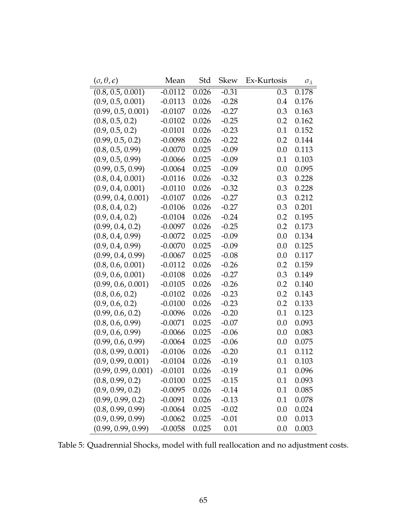| $(\sigma, \theta, \epsilon)$ | Mean      | Std   | Skew    | Ex-Kurtosis | $\sigma_{\lambda}$ |
|------------------------------|-----------|-------|---------|-------------|--------------------|
| (0.8, 0.5, 0.001)            | $-0.0112$ | 0.026 | $-0.31$ | 0.3         | 0.178              |
| (0.9, 0.5, 0.001)            | $-0.0113$ | 0.026 | $-0.28$ | 0.4         | 0.176              |
| (0.99, 0.5, 0.001)           | $-0.0107$ | 0.026 | $-0.27$ | 0.3         | 0.163              |
| (0.8, 0.5, 0.2)              | $-0.0102$ | 0.026 | $-0.25$ | 0.2         | 0.162              |
| (0.9, 0.5, 0.2)              | $-0.0101$ | 0.026 | $-0.23$ | 0.1         | 0.152              |
| (0.99, 0.5, 0.2)             | $-0.0098$ | 0.026 | $-0.22$ | 0.2         | 0.144              |
| (0.8, 0.5, 0.99)             | $-0.0070$ | 0.025 | $-0.09$ | 0.0         | 0.113              |
| (0.9, 0.5, 0.99)             | $-0.0066$ | 0.025 | $-0.09$ | 0.1         | 0.103              |
| (0.99, 0.5, 0.99)            | $-0.0064$ | 0.025 | $-0.09$ | 0.0         | 0.095              |
| (0.8, 0.4, 0.001)            | $-0.0116$ | 0.026 | $-0.32$ | 0.3         | 0.228              |
| (0.9, 0.4, 0.001)            | $-0.0110$ | 0.026 | $-0.32$ | 0.3         | 0.228              |
| (0.99, 0.4, 0.001)           | $-0.0107$ | 0.026 | $-0.27$ | 0.3         | 0.212              |
| (0.8, 0.4, 0.2)              | $-0.0106$ | 0.026 | $-0.27$ | 0.3         | 0.201              |
| (0.9, 0.4, 0.2)              | $-0.0104$ | 0.026 | $-0.24$ | 0.2         | 0.195              |
| (0.99, 0.4, 0.2)             | $-0.0097$ | 0.026 | $-0.25$ | 0.2         | 0.173              |
| (0.8, 0.4, 0.99)             | $-0.0072$ | 0.025 | $-0.09$ | 0.0         | 0.134              |
| (0.9, 0.4, 0.99)             | $-0.0070$ | 0.025 | $-0.09$ | 0.0         | 0.125              |
| (0.99, 0.4, 0.99)            | $-0.0067$ | 0.025 | $-0.08$ | 0.0         | 0.117              |
| (0.8, 0.6, 0.001)            | $-0.0112$ | 0.026 | $-0.26$ | 0.2         | 0.159              |
| (0.9, 0.6, 0.001)            | $-0.0108$ | 0.026 | $-0.27$ | 0.3         | 0.149              |
| (0.99, 0.6, 0.001)           | $-0.0105$ | 0.026 | $-0.26$ | 0.2         | 0.140              |
| (0.8, 0.6, 0.2)              | $-0.0102$ | 0.026 | $-0.23$ | 0.2         | 0.143              |
| (0.9, 0.6, 0.2)              | $-0.0100$ | 0.026 | $-0.23$ | 0.2         | 0.133              |
| (0.99, 0.6, 0.2)             | $-0.0096$ | 0.026 | $-0.20$ | 0.1         | 0.123              |
| (0.8, 0.6, 0.99)             | $-0.0071$ | 0.025 | $-0.07$ | 0.0         | 0.093              |
| (0.9, 0.6, 0.99)             | $-0.0066$ | 0.025 | $-0.06$ | 0.0         | 0.083              |
| (0.99, 0.6, 0.99)            | $-0.0064$ | 0.025 | $-0.06$ | 0.0         | 0.075              |
| (0.8, 0.99, 0.001)           | $-0.0106$ | 0.026 | $-0.20$ | 0.1         | 0.112              |
| (0.9, 0.99, 0.001)           | $-0.0104$ | 0.026 | $-0.19$ | 0.1         | 0.103              |
| (0.99, 0.99, 0.001)          | $-0.0101$ | 0.026 | $-0.19$ | 0.1         | 0.096              |
| (0.8, 0.99, 0.2)             | $-0.0100$ | 0.025 | $-0.15$ | 0.1         | 0.093              |
| (0.9, 0.99, 0.2)             | $-0.0095$ | 0.026 | $-0.14$ | 0.1         | 0.085              |
| (0.99, 0.99, 0.2)            | $-0.0091$ | 0.026 | $-0.13$ | 0.1         | 0.078              |
| (0.8, 0.99, 0.99)            | $-0.0064$ | 0.025 | $-0.02$ | 0.0         | 0.024              |
| (0.9, 0.99, 0.99)            | $-0.0062$ | 0.025 | $-0.01$ | 0.0         | 0.013              |
| (0.99, 0.99, 0.99)           | $-0.0058$ | 0.025 | 0.01    | 0.0         | 0.003              |

Table 5: Quadrennial Shocks, model with full reallocation and no adjustment costs.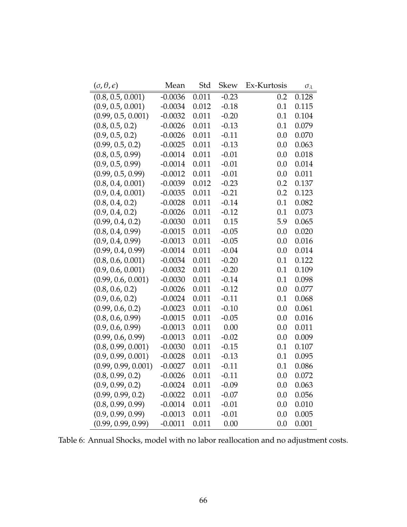| $(\sigma, \theta, \epsilon)$ | Mean      | Std   | <b>Skew</b> | Ex-Kurtosis | $\sigma_{\lambda}$ |
|------------------------------|-----------|-------|-------------|-------------|--------------------|
| (0.8, 0.5, 0.001)            | $-0.0036$ | 0.011 | $-0.23$     | 0.2         | 0.128              |
| (0.9, 0.5, 0.001)            | $-0.0034$ | 0.012 | $-0.18$     | 0.1         | 0.115              |
| (0.99, 0.5, 0.001)           | $-0.0032$ | 0.011 | $-0.20$     | 0.1         | 0.104              |
| (0.8, 0.5, 0.2)              | $-0.0026$ | 0.011 | $-0.13$     | 0.1         | 0.079              |
| (0.9, 0.5, 0.2)              | $-0.0026$ | 0.011 | $-0.11$     | 0.0         | 0.070              |
| (0.99, 0.5, 0.2)             | $-0.0025$ | 0.011 | $-0.13$     | 0.0         | 0.063              |
| (0.8, 0.5, 0.99)             | $-0.0014$ | 0.011 | $-0.01$     | 0.0         | 0.018              |
| (0.9, 0.5, 0.99)             | $-0.0014$ | 0.011 | $-0.01$     | 0.0         | 0.014              |
| (0.99, 0.5, 0.99)            | $-0.0012$ | 0.011 | $-0.01$     | 0.0         | 0.011              |
| (0.8, 0.4, 0.001)            | $-0.0039$ | 0.012 | $-0.23$     | 0.2         | 0.137              |
| (0.9, 0.4, 0.001)            | $-0.0035$ | 0.011 | $-0.21$     | 0.2         | 0.123              |
| (0.8, 0.4, 0.2)              | $-0.0028$ | 0.011 | $-0.14$     | 0.1         | 0.082              |
| (0.9, 0.4, 0.2)              | $-0.0026$ | 0.011 | $-0.12$     | 0.1         | 0.073              |
| (0.99, 0.4, 0.2)             | $-0.0030$ | 0.011 | 0.15        | 5.9         | 0.065              |
| (0.8, 0.4, 0.99)             | $-0.0015$ | 0.011 | $-0.05$     | 0.0         | 0.020              |
| (0.9, 0.4, 0.99)             | $-0.0013$ | 0.011 | $-0.05$     | 0.0         | 0.016              |
| (0.99, 0.4, 0.99)            | $-0.0014$ | 0.011 | $-0.04$     | 0.0         | 0.014              |
| (0.8, 0.6, 0.001)            | $-0.0034$ | 0.011 | $-0.20$     | 0.1         | 0.122              |
| (0.9, 0.6, 0.001)            | $-0.0032$ | 0.011 | $-0.20$     | 0.1         | 0.109              |
| (0.99, 0.6, 0.001)           | $-0.0030$ | 0.011 | $-0.14$     | 0.1         | 0.098              |
| (0.8, 0.6, 0.2)              | $-0.0026$ | 0.011 | $-0.12$     | 0.0         | 0.077              |
| (0.9, 0.6, 0.2)              | $-0.0024$ | 0.011 | $-0.11$     | 0.1         | 0.068              |
| (0.99, 0.6, 0.2)             | $-0.0023$ | 0.011 | $-0.10$     | 0.0         | 0.061              |
| (0.8, 0.6, 0.99)             | $-0.0015$ | 0.011 | $-0.05$     | 0.0         | 0.016              |
| (0.9, 0.6, 0.99)             | $-0.0013$ | 0.011 | 0.00        | 0.0         | 0.011              |
| (0.99, 0.6, 0.99)            | $-0.0013$ | 0.011 | $-0.02$     | 0.0         | 0.009              |
| (0.8, 0.99, 0.001)           | $-0.0030$ | 0.011 | $-0.15$     | 0.1         | 0.107              |
| (0.9, 0.99, 0.001)           | $-0.0028$ | 0.011 | $-0.13$     | 0.1         | 0.095              |
| (0.99, 0.99, 0.001)          | $-0.0027$ | 0.011 | $-0.11$     | 0.1         | 0.086              |
| (0.8, 0.99, 0.2)             | $-0.0026$ | 0.011 | $-0.11$     | 0.0         | 0.072              |
| (0.9, 0.99, 0.2)             | $-0.0024$ | 0.011 | $-0.09$     | 0.0         | 0.063              |
| (0.99, 0.99, 0.2)            | $-0.0022$ | 0.011 | $-0.07$     | 0.0         | 0.056              |
| (0.8, 0.99, 0.99)            | $-0.0014$ | 0.011 | $-0.01$     | 0.0         | 0.010              |
| (0.9, 0.99, 0.99)            | $-0.0013$ | 0.011 | $-0.01$     | 0.0         | 0.005              |
| (0.99, 0.99, 0.99)           | $-0.0011$ | 0.011 | 0.00        | 0.0         | 0.001              |

Table 6: Annual Shocks, model with no labor reallocation and no adjustment costs.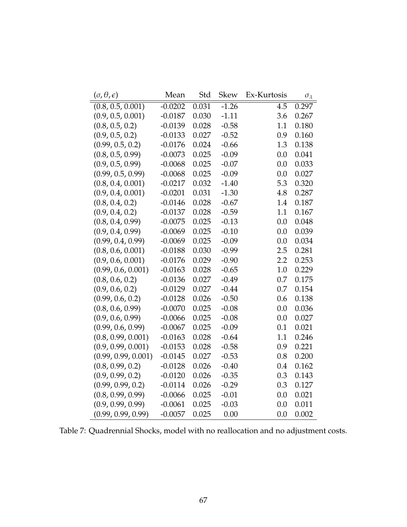<span id="page-67-0"></span>

| $(\sigma, \theta, \epsilon)$ | Mean      | Std   | <b>Skew</b> | Ex-Kurtosis      | $\sigma_{\lambda}$ |
|------------------------------|-----------|-------|-------------|------------------|--------------------|
| (0.8, 0.5, 0.001)            | $-0.0202$ | 0.031 | $-1.26$     | $\overline{4.5}$ | 0.297              |
| (0.9, 0.5, 0.001)            | $-0.0187$ | 0.030 | $-1.11$     | 3.6              | 0.267              |
| (0.8, 0.5, 0.2)              | $-0.0139$ | 0.028 | $-0.58$     | 1.1              | 0.180              |
| (0.9, 0.5, 0.2)              | $-0.0133$ | 0.027 | $-0.52$     | 0.9              | 0.160              |
| (0.99, 0.5, 0.2)             | $-0.0176$ | 0.024 | $-0.66$     | 1.3              | 0.138              |
| (0.8, 0.5, 0.99)             | $-0.0073$ | 0.025 | $-0.09$     | 0.0              | 0.041              |
| (0.9, 0.5, 0.99)             | $-0.0068$ | 0.025 | $-0.07$     | 0.0              | 0.033              |
| (0.99, 0.5, 0.99)            | $-0.0068$ | 0.025 | $-0.09$     | 0.0              | 0.027              |
| (0.8, 0.4, 0.001)            | $-0.0217$ | 0.032 | $-1.40$     | 5.3              | 0.320              |
| (0.9, 0.4, 0.001)            | $-0.0201$ | 0.031 | $-1.30$     | 4.8              | 0.287              |
| (0.8, 0.4, 0.2)              | $-0.0146$ | 0.028 | $-0.67$     | 1.4              | 0.187              |
| (0.9, 0.4, 0.2)              | $-0.0137$ | 0.028 | $-0.59$     | 1.1              | 0.167              |
| (0.8, 0.4, 0.99)             | $-0.0075$ | 0.025 | $-0.13$     | 0.0              | 0.048              |
| (0.9, 0.4, 0.99)             | $-0.0069$ | 0.025 | $-0.10$     | 0.0              | 0.039              |
| (0.99, 0.4, 0.99)            | $-0.0069$ | 0.025 | $-0.09$     | 0.0              | 0.034              |
| (0.8, 0.6, 0.001)            | $-0.0188$ | 0.030 | $-0.99$     | 2.5              | 0.281              |
| (0.9, 0.6, 0.001)            | $-0.0176$ | 0.029 | $-0.90$     | 2.2              | 0.253              |
| (0.99, 0.6, 0.001)           | $-0.0163$ | 0.028 | $-0.65$     | 1.0              | 0.229              |
| (0.8, 0.6, 0.2)              | $-0.0136$ | 0.027 | $-0.49$     | 0.7              | 0.175              |
| (0.9, 0.6, 0.2)              | $-0.0129$ | 0.027 | $-0.44$     | 0.7              | 0.154              |
| (0.99, 0.6, 0.2)             | $-0.0128$ | 0.026 | $-0.50$     | 0.6              | 0.138              |
| (0.8, 0.6, 0.99)             | $-0.0070$ | 0.025 | $-0.08$     | 0.0              | 0.036              |
| (0.9, 0.6, 0.99)             | $-0.0066$ | 0.025 | $-0.08$     | 0.0              | 0.027              |
| (0.99, 0.6, 0.99)            | $-0.0067$ | 0.025 | $-0.09$     | 0.1              | 0.021              |
| (0.8, 0.99, 0.001)           | $-0.0163$ | 0.028 | $-0.64$     | 1.1              | 0.246              |
| (0.9, 0.99, 0.001)           | $-0.0153$ | 0.028 | $-0.58$     | 0.9              | 0.221              |
| (0.99, 0.99, 0.001)          | $-0.0145$ | 0.027 | $-0.53$     | 0.8              | 0.200              |
| (0.8, 0.99, 0.2)             | $-0.0128$ | 0.026 | $-0.40$     | 0.4              | 0.162              |
| (0.9, 0.99, 0.2)             | $-0.0120$ | 0.026 | $-0.35$     | 0.3              | 0.143              |
| (0.99, 0.99, 0.2)            | $-0.0114$ | 0.026 | $-0.29$     | 0.3              | 0.127              |
| (0.8, 0.99, 0.99)            | $-0.0066$ | 0.025 | $-0.01$     | 0.0              | 0.021              |
| (0.9, 0.99, 0.99)            | $-0.0061$ | 0.025 | $-0.03$     | 0.0              | 0.011              |
| (0.99, 0.99, 0.99)           | $-0.0057$ | 0.025 | 0.00        | 0.0              | 0.002              |

Table 7: Quadrennial Shocks, model with no reallocation and no adjustment costs.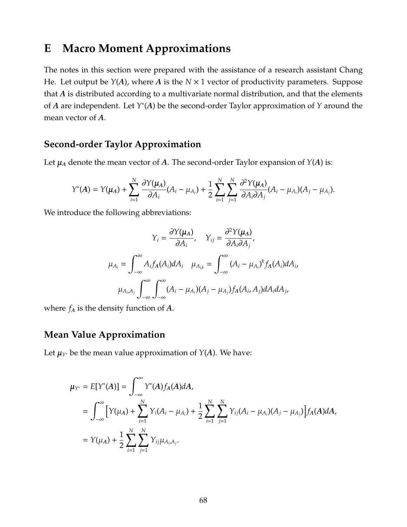## <span id="page-68-0"></span>**E Macro Moment Approximations**

The notes in this section were prepared with the assistance of a research assistant Chang He. Let output be *Y*(*A*), where *A* is the *N* × 1 vector of productivity parameters. Suppose that *A* is distributed according to a multivariate normal distribution, and that the elements of *A* are independent. Let *Y* ∗ (*A*) be the second-order Taylor approximation of *Y* around the mean vector of *A*.

### **Second-order Taylor Approximation**

Let  $\mu_A$  denote the mean vector of *A*. The second-order Taylor expansion of *Y*(*A*) is:

$$
Y^*(A) = Y(\mu_A) + \sum_{i=1}^N \frac{\partial Y(\mu_A)}{\partial A_i}(A_i - \mu_{A_i}) + \frac{1}{2} \sum_{i=1}^N \sum_{j=1}^N \frac{\partial^2 Y(\mu_A)}{\partial A_i \partial A_j}(A_i - \mu_{A_i})(A_j - \mu_{A_j}).
$$

We introduce the following abbreviations:

$$
Y_i = \frac{\partial Y(\mu_A)}{\partial A_i}, \quad Y_{ij} = \frac{\partial^2 Y(\mu_A)}{\partial A_i \partial A_j},
$$

$$
\mu_{A_i} = \int_{-\infty}^{\infty} A_i f_A(A_i) dA_i \quad \mu_{A_{i,k}} = \int_{-\infty}^{\infty} (A_i - \mu_{A_i})^k f_A(A_i) dA_i,
$$

$$
\mu_{A_i, A_j} \int_{-\infty}^{\infty} \int_{-\infty}^{\infty} (A_i - \mu_{A_i})(A_j - \mu_{A_j}) f_A(A_i, A_j) dA_i dA_j,
$$

where  $f_A$  is the density function of  $A$ .

### **Mean Value Approximation**

Let  $\mu_{Y^*}$  be the mean value approximation of *Y*(*A*). We have:

$$
\mu_{Y^*} = E[Y^*(A)] = \int_{-\infty}^{\infty} Y^*(A) f_A(A) dA,
$$
  
\n
$$
= \int_{-\infty}^{\infty} \left[ Y(\mu_A) + \sum_{i=1}^N Y_i (A_i - \mu_{A_i}) + \frac{1}{2} \sum_{i=1}^N \sum_{j=1}^N Y_{ij} (A_i - \mu_{A_i}) (A_j - \mu_{A_j}) \right] f_A(A) dA,
$$
  
\n
$$
= Y(\mu_A) + \frac{1}{2} \sum_{i=1}^N \sum_{j=1}^N Y_{ij} \mu_{A_i, A_j}.
$$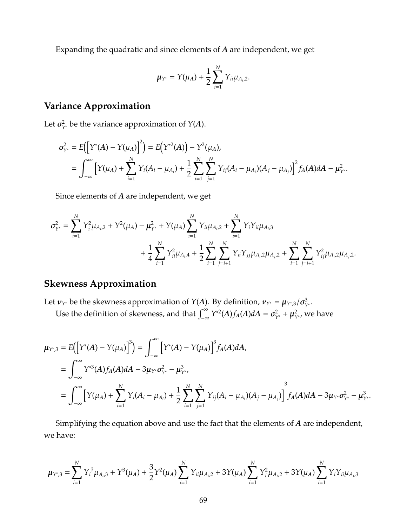Expanding the quadratic and since elements of *A* are independent, we get

$$
\mu_{Y^*} = Y(\mu_A) + \frac{1}{2} \sum_{i=1}^N Y_{ii} \mu_{A_i,2}.
$$

### **Variance Approximation**

Let  $\sigma_{Y^*}^2$  be the variance approximation of *Y*(*A*).

$$
\sigma_{Y^*}^2 = E\Big(\Big[Y^*(A) - Y(\mu_A)\Big]^2\Big) = E\Big(Y^{*2}(A)\Big) - Y^2(\mu_A),
$$
  
= 
$$
\int_{-\infty}^{\infty} \Big[Y(\mu_A) + \sum_{i=1}^N Y_i(A_i - \mu_{A_i}) + \frac{1}{2} \sum_{i=1}^N \sum_{j=1}^N Y_{ij}(A_i - \mu_{A_i})(A_j - \mu_{A_j})\Big]^2 f_A(A) dA - \mu_{Y^*}^2.
$$

Since elements of *A* are independent, we get

$$
\sigma_{Y^*}^2 = \sum_{i=1}^N Y_i^2 \mu_{A_i,2} + Y^2 (\mu_A) - \mu_{Y^*}^2 + Y(\mu_A) \sum_{i=1}^N Y_{ii} \mu_{A_i,2} + \sum_{i=1}^N Y_i Y_{ii} \mu_{A_i,3} + \frac{1}{4} \sum_{i=1}^N Y_{ii}^2 \mu_{A_i,4} + \frac{1}{2} \sum_{i=1}^N \sum_{j=i+1}^N Y_{ii} Y_{jj} \mu_{A_i,2} \mu_{A_j,2} + \sum_{i=1}^N \sum_{j=i+1}^N Y_{ij}^2 \mu_{A_i,2} \mu_{A_j,2}.
$$

### **Skewness Approximation**

Let  $v_{Y^*}$  be the skewness approximation of *Y*(*A*). By definition,  $v_{Y^*} = \mu_{Y^* ,3} / \sigma_{Y^*}^3$ .

Use the definition of skewness, and that  $\int_{-\infty}^{\infty} Y^{*2}(A) f_A(A) dA = \sigma_{Y^*}^2 + \mu_{Y^*}^2$ , we have

$$
\mu_{Y^*,3} = E\Big(\Big[Y^*(A) - Y(\mu_A)\Big]^3\Big) = \int_{-\infty}^{\infty} \Big[Y^*(A) - Y(\mu_A)\Big]^3 f_A(A) dA,
$$
  
\n
$$
= \int_{-\infty}^{\infty} Y^{*3}(A) f_A(A) dA - 3\mu_{Y^*} \sigma_{Y^*}^2 - \mu_{Y^*}^3,
$$
  
\n
$$
= \int_{-\infty}^{\infty} \Big[Y(\mu_A) + \sum_{i=1}^N Y_i(A_i - \mu_{A_i}) + \frac{1}{2} \sum_{i=1}^N \sum_{j=1}^N Y_{ij}(A_i - \mu_{A_i})(A_j - \mu_{A_j})\Big] f_A(A) dA - 3\mu_{Y^*} \sigma_{Y^*}^2 - \mu_{Y^*}^3.
$$

Simplifying the equation above and use the fact that the elements of *A* are independent, we have:

$$
\mu_{Y^*,3} = \sum_{i=1}^N Y_i^3 \mu_{A_i,3} + Y^3(\mu_A) + \frac{3}{2} Y^2(\mu_A) \sum_{i=1}^N Y_{ii} \mu_{A_i,2} + 3Y(\mu_A) \sum_{i=1}^N Y_i^2 \mu_{A_i,2} + 3Y(\mu_A) \sum_{i=1}^N Y_i Y_{ii} \mu_{A_i,3}
$$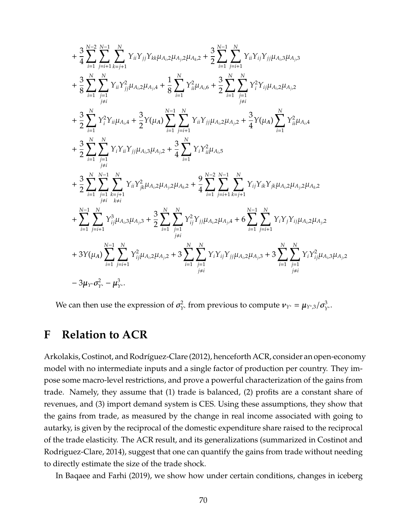$$
+\frac{3}{4}\sum_{i=1}^{N-2}\sum_{j=i+1}^{N-1}\sum_{k=j+1}^{N}Y_{ii}Y_{jj}Y_{kk}\mu_{A_{i},2}\mu_{A_{j},2}\mu_{A_{k},2} + \frac{3}{2}\sum_{i=1}^{N-1}\sum_{j=i+1}^{N}Y_{ii}Y_{ij}Y_{jj}\mu_{A_{i},3}\mu_{A_{j},3} \n+\frac{3}{8}\sum_{i=1}^{N}\sum_{j=1}^{N}Y_{ii}Y_{jj}^{2}\mu_{A_{i},2}\mu_{A_{j},4} + \frac{1}{8}\sum_{i=1}^{N}Y_{ii}^{2}\mu_{A_{i},6} + \frac{3}{2}\sum_{i=1}^{N}\sum_{j=1}^{N}Y_{i}^{2}Y_{ij}\mu_{A_{i},2}\mu_{A_{j},2} \n+\frac{3}{2}\sum_{i=1}^{N}Y_{i}^{2}Y_{ii}\mu_{A_{i},4} + \frac{3}{2}Y(\mu_{A})\sum_{i=1}^{N-1}\sum_{j=i+1}^{N}Y_{ii}Y_{jj}\mu_{A_{i},2}\mu_{A_{j},2} + \frac{3}{4}Y(\mu_{A})\sum_{i=1}^{N}Y_{ii}^{2}\mu_{A_{i},4} \n+\frac{3}{2}\sum_{i=1}^{N}\sum_{j=1}^{N}Y_{i}Y_{ii}Y_{jj}\mu_{A_{i},3}\mu_{A_{j},2} + \frac{3}{4}\sum_{i=1}^{N}Y_{i}Y_{ii}^{2}\mu_{A_{i},5} \n+\frac{3}{2}\sum_{i=1}^{N}\sum_{j=1}^{N-1}\sum_{k=j+1}^{N}Y_{ii}Y_{jk}\mu_{A_{i},2}\mu_{A_{j},2}\mu_{A_{k},2} + \frac{9}{4}\sum_{i=1}^{N-2}\sum_{j=i+1}^{N-1}\sum_{k=j+1}^{N}Y_{ij}Y_{ik}Y_{jk}\mu_{A_{i},2}\mu_{A_{j},2}\mu_{A_{k},2} \n+\sum_{i=1}^{N-1}\sum_{j=i+1}^{N}Y_{ij}^{3}\mu_{A_{i},3}\mu_{A_{j},3} + \frac{3}{2}\sum_{i=1}^{N}\sum_{j=1}^{N}Y_{ij}^{2}Y_{jj}\mu_{A_{i},2}\mu_{A_{j},4} +
$$

We can then use the expression of  $\sigma_{Y^*}^2$  from previous to compute  $\nu_{Y^*} = \mu_{Y^* ,3}/\sigma_{Y^*}^3$ .

# **F Relation to ACR**

Arkolakis, Costinot, and Rodríguez-Clare [\(2012\)](#page-48-6), henceforth ACR, consider an open-economy model with no intermediate inputs and a single factor of production per country. They impose some macro-level restrictions, and prove a powerful characterization of the gains from trade. Namely, they assume that (1) trade is balanced, (2) profits are a constant share of revenues, and (3) import demand system is CES. Using these assumptions, they show that the gains from trade, as measured by the change in real income associated with going to autarky, is given by the reciprocal of the domestic expenditure share raised to the reciprocal of the trade elasticity. The ACR result, and its generalizations (summarized in [Costinot and](#page-49-10) [Rodriguez-Clare, 2014\)](#page-49-10), suggest that one can quantify the gains from trade without needing to directly estimate the size of the trade shock.

In [Baqaee and Farhi](#page-49-8) [\(2019\)](#page-49-8), we show how under certain conditions, changes in iceberg